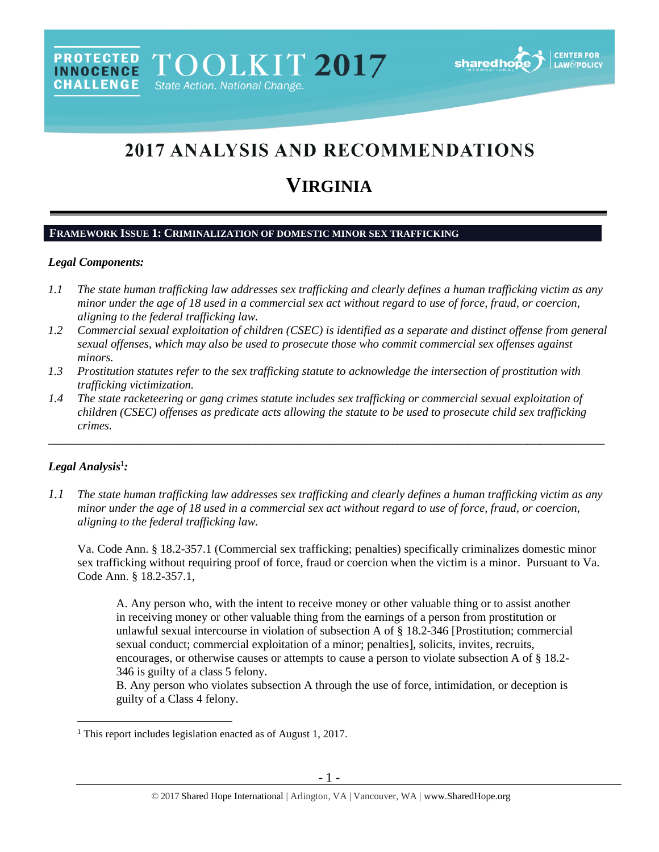# 2017 ANALYSIS AND RECOMMENDATIONS

# **VIRGINIA**

## **FRAMEWORK ISSUE 1: CRIMINALIZATION OF DOMESTIC MINOR SEX TRAFFICKING**

#### *Legal Components:*

- *1.1 The state human trafficking law addresses sex trafficking and clearly defines a human trafficking victim as any minor under the age of 18 used in a commercial sex act without regard to use of force, fraud, or coercion, aligning to the federal trafficking law.*
- *1.2 Commercial sexual exploitation of children (CSEC) is identified as a separate and distinct offense from general sexual offenses, which may also be used to prosecute those who commit commercial sex offenses against minors.*
- *1.3 Prostitution statutes refer to the sex trafficking statute to acknowledge the intersection of prostitution with trafficking victimization.*
- *1.4 The state racketeering or gang crimes statute includes sex trafficking or commercial sexual exploitation of children (CSEC) offenses as predicate acts allowing the statute to be used to prosecute child sex trafficking crimes.*

\_\_\_\_\_\_\_\_\_\_\_\_\_\_\_\_\_\_\_\_\_\_\_\_\_\_\_\_\_\_\_\_\_\_\_\_\_\_\_\_\_\_\_\_\_\_\_\_\_\_\_\_\_\_\_\_\_\_\_\_\_\_\_\_\_\_\_\_\_\_\_\_\_\_\_\_\_\_\_\_\_\_\_\_\_\_\_\_\_\_\_\_\_\_

# *Legal Analysis*<sup>1</sup> *:*

 $\overline{a}$ 

*1.1 The state human trafficking law addresses sex trafficking and clearly defines a human trafficking victim as any minor under the age of 18 used in a commercial sex act without regard to use of force, fraud, or coercion, aligning to the federal trafficking law.*

Va. Code Ann. § 18.2-357.1 (Commercial sex trafficking; penalties) specifically criminalizes domestic minor sex trafficking without requiring proof of force, fraud or coercion when the victim is a minor. Pursuant to Va. Code Ann. § 18.2-357.1,

A. Any person who, with the intent to receive money or other valuable thing or to assist another in receiving money or other valuable thing from the earnings of a person from prostitution or unlawful sexual intercourse in violation of subsection A of § 18.2-346 [Prostitution; commercial sexual conduct; commercial exploitation of a minor; penalties], solicits, invites, recruits, encourages, or otherwise causes or attempts to cause a person to violate subsection A of § 18.2- 346 is guilty of a class 5 felony.

B. Any person who violates subsection A through the use of force, intimidation, or deception is guilty of a Class 4 felony.

<sup>&</sup>lt;sup>1</sup> This report includes legislation enacted as of August 1, 2017.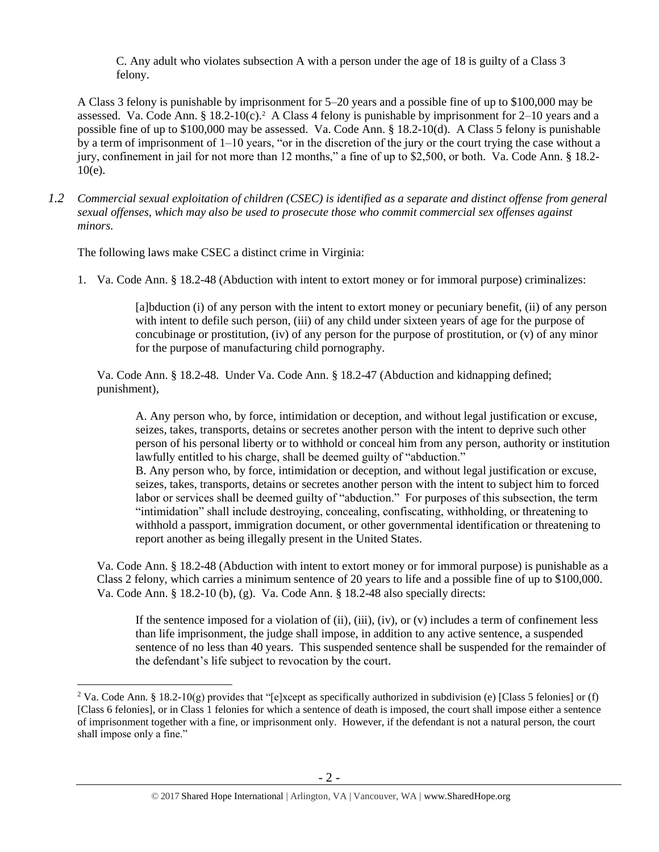<span id="page-1-0"></span>C. Any adult who violates subsection A with a person under the age of 18 is guilty of a Class 3 felony.

A Class 3 felony is punishable by imprisonment for 5–20 years and a possible fine of up to \$100,000 may be assessed. Va. Code Ann. § 18.2-10(c).<sup>2</sup> A Class 4 felony is punishable by imprisonment for 2–10 years and a possible fine of up to \$100,000 may be assessed. Va. Code Ann. § 18.2-10(d). A Class 5 felony is punishable by a term of imprisonment of  $1-10$  years, "or in the discretion of the jury or the court trying the case without a jury, confinement in jail for not more than 12 months," a fine of up to \$2,500, or both. Va. Code Ann. § 18.2- 10(e).

*1.2 Commercial sexual exploitation of children (CSEC) is identified as a separate and distinct offense from general sexual offenses, which may also be used to prosecute those who commit commercial sex offenses against minors.*

The following laws make CSEC a distinct crime in Virginia:

 $\overline{a}$ 

1. Va. Code Ann. § 18.2-48 (Abduction with intent to extort money or for immoral purpose) criminalizes:

[a]bduction (i) of any person with the intent to extort money or pecuniary benefit, (ii) of any person with intent to defile such person, (iii) of any child under sixteen years of age for the purpose of concubinage or prostitution, (iv) of any person for the purpose of prostitution, or (v) of any minor for the purpose of manufacturing child pornography.

Va. Code Ann. § 18.2-48. Under Va. Code Ann. § 18.2-47 (Abduction and kidnapping defined; punishment),

A. Any person who, by force, intimidation or deception, and without legal justification or excuse, seizes, takes, transports, detains or secretes another person with the intent to deprive such other person of his personal liberty or to withhold or conceal him from any person, authority or institution lawfully entitled to his charge, shall be deemed guilty of "abduction."

B. Any person who, by force, intimidation or deception, and without legal justification or excuse, seizes, takes, transports, detains or secretes another person with the intent to subject him to forced labor or services shall be deemed guilty of "abduction." For purposes of this subsection, the term "intimidation" shall include destroying, concealing, confiscating, withholding, or threatening to withhold a passport, immigration document, or other governmental identification or threatening to report another as being illegally present in the United States.

Va. Code Ann. § 18.2-48 (Abduction with intent to extort money or for immoral purpose) is punishable as a Class 2 felony, which carries a minimum sentence of 20 years to life and a possible fine of up to \$100,000. Va. Code Ann. § 18.2-10 (b), (g). Va. Code Ann. § 18.2-48 also specially directs:

If the sentence imposed for a violation of  $(ii)$ ,  $(iii)$ ,  $(iv)$ , or  $(v)$  includes a term of confinement less than life imprisonment, the judge shall impose, in addition to any active sentence, a suspended sentence of no less than 40 years. This suspended sentence shall be suspended for the remainder of the defendant's life subject to revocation by the court.

<sup>&</sup>lt;sup>2</sup> Va. Code Ann. § 18.2-10(g) provides that "[e]xcept as specifically authorized in subdivision (e) [Class 5 felonies] or (f) [Class 6 felonies], or in Class 1 felonies for which a sentence of death is imposed, the court shall impose either a sentence of imprisonment together with a fine, or imprisonment only. However, if the defendant is not a natural person, the court shall impose only a fine."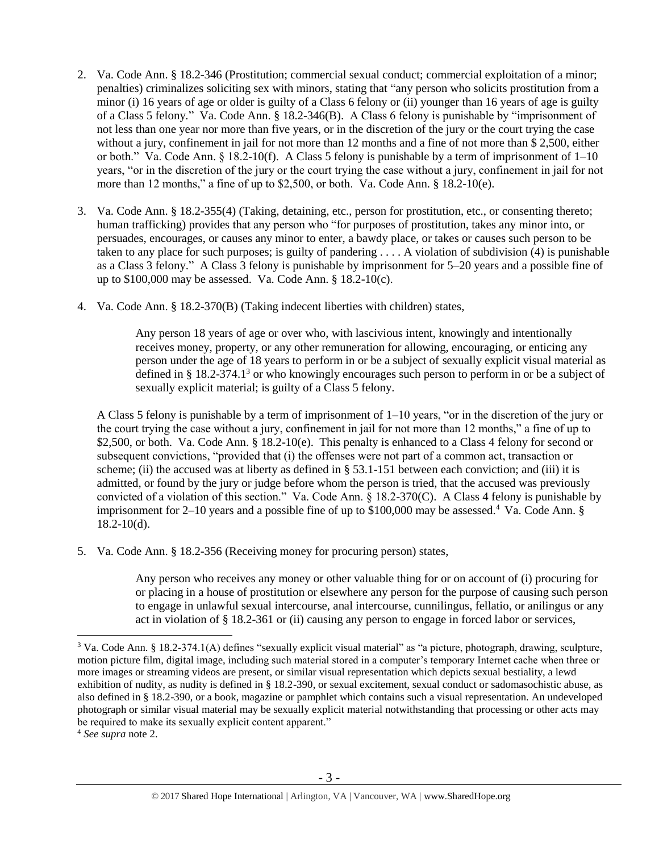- 2. Va. Code Ann. § 18.2-346 (Prostitution; commercial sexual conduct; commercial exploitation of a minor; penalties) criminalizes soliciting sex with minors, stating that "any person who solicits prostitution from a minor (i) 16 years of age or older is guilty of a Class 6 felony or (ii) younger than 16 years of age is guilty of a Class 5 felony*.*" Va. Code Ann. § 18.2-346(B). A Class 6 felony is punishable by "imprisonment of not less than one year nor more than five years, or in the discretion of the jury or the court trying the case without a jury, confinement in jail for not more than 12 months and a fine of not more than \$ 2,500, either or both." Va. Code Ann.  $\S$  18.2-10(f). A Class 5 felony is punishable by a term of imprisonment of  $1-10$ years, "or in the discretion of the jury or the court trying the case without a jury, confinement in jail for not more than 12 months," a fine of up to \$2,500, or both. Va. Code Ann. § 18.2-10(e).
- 3. Va. Code Ann. § 18.2-355(4) (Taking, detaining, etc., person for prostitution, etc., or consenting thereto; human trafficking) provides that any person who "for purposes of prostitution, takes any minor into, or persuades, encourages, or causes any minor to enter, a bawdy place, or takes or causes such person to be taken to any place for such purposes; is guilty of pandering . . . . A violation of subdivision (4) is punishable as a Class 3 felony." A Class 3 felony is punishable by imprisonment for 5–20 years and a possible fine of up to \$100,000 may be assessed. Va. Code Ann. § 18.2-10(c).
- 4. Va. Code Ann. § 18.2-370(B) (Taking indecent liberties with children) states,

Any person 18 years of age or over who, with lascivious intent, knowingly and intentionally receives money, property, or any other remuneration for allowing, encouraging, or enticing any person under the age of 18 years to perform in or be a subject of sexually explicit visual material as defined in § 18.2-374.1<sup>3</sup> or who knowingly encourages such person to perform in or be a subject of sexually explicit material; is guilty of a Class 5 felony.

A Class 5 felony is punishable by a term of imprisonment of 1–10 years, "or in the discretion of the jury or the court trying the case without a jury, confinement in jail for not more than 12 months," a fine of up to \$2,500, or both. Va. Code Ann. § 18.2-10(e). This penalty is enhanced to a Class 4 felony for second or subsequent convictions, "provided that (i) the offenses were not part of a common act, transaction or scheme; (ii) the accused was at liberty as defined in  $\S$  53.1-151 between each conviction; and (iii) it is admitted, or found by the jury or judge before whom the person is tried, that the accused was previously convicted of a violation of this section." Va. Code Ann. § 18.2-370(C). A Class 4 felony is punishable by imprisonment for 2–10 years and a possible fine of up to  $$100,000$  may be assessed.<sup>4</sup> Va. Code Ann. §  $18.2 - 10(d)$ .

5. Va. Code Ann. § 18.2-356 (Receiving money for procuring person) states,

Any person who receives any money or other valuable thing for or on account of (i) procuring for or placing in a house of prostitution or elsewhere any person for the purpose of causing such person to engage in unlawful sexual intercourse, anal intercourse, cunnilingus, fellatio, or anilingus or any act in violation of § 18.2-361 or (ii) causing any person to engage in forced labor or services,

<sup>3</sup> Va. Code Ann. § 18.2-374.1(A) defines "sexually explicit visual material" as "a picture, photograph, drawing, sculpture, motion picture film, digital image, including such material stored in a computer's temporary Internet cache when three or more images or streaming videos are present, or similar visual representation which depicts sexual bestiality, a lewd exhibition of nudity, as nudity is defined in § 18.2-390, or sexual excitement, sexual conduct or sadomasochistic abuse, as also defined in § 18.2-390, or a book, magazine or pamphlet which contains such a visual representation. An undeveloped photograph or similar visual material may be sexually explicit material notwithstanding that processing or other acts may be required to make its sexually explicit content apparent."

<sup>4</sup> *See supra* note [2.](#page-1-0)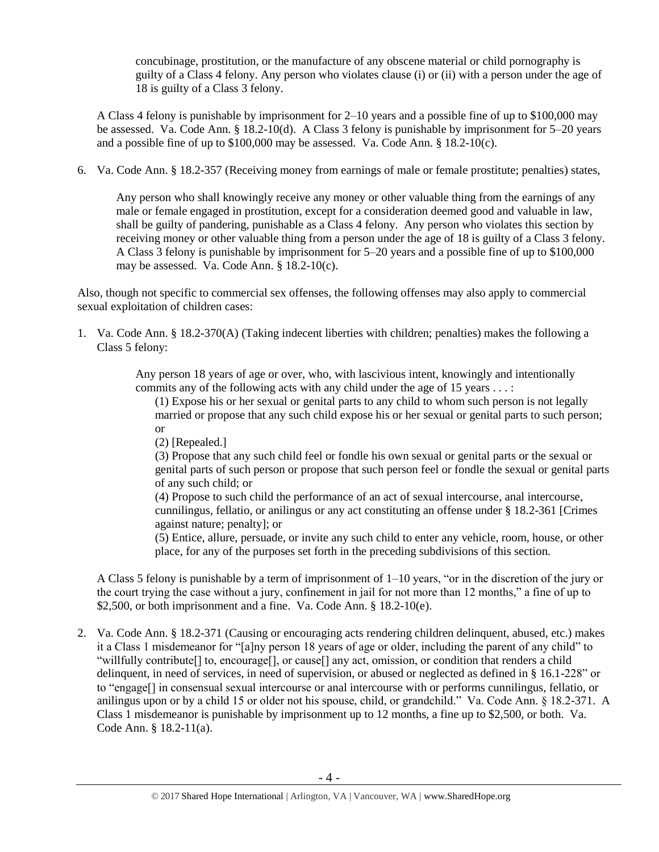concubinage, prostitution, or the manufacture of any obscene material or child pornography is guilty of a Class 4 felony. Any person who violates clause (i) or (ii) with a person under the age of 18 is guilty of a Class 3 felony.

A Class 4 felony is punishable by imprisonment for 2–10 years and a possible fine of up to \$100,000 may be assessed. Va. Code Ann. § 18.2-10(d). A Class 3 felony is punishable by imprisonment for 5–20 years and a possible fine of up to \$100,000 may be assessed. Va. Code Ann. § 18.2-10(c).

6. Va. Code Ann. § 18.2-357 (Receiving money from earnings of male or female prostitute; penalties) states,

Any person who shall knowingly receive any money or other valuable thing from the earnings of any male or female engaged in prostitution, except for a consideration deemed good and valuable in law, shall be guilty of pandering, punishable as a Class 4 felony. Any person who violates this section by receiving money or other valuable thing from a person under the age of 18 is guilty of a Class 3 felony. A Class 3 felony is punishable by imprisonment for 5–20 years and a possible fine of up to \$100,000 may be assessed. Va. Code Ann. § 18.2-10(c).

Also, though not specific to commercial sex offenses, the following offenses may also apply to commercial sexual exploitation of children cases:

1. Va. Code Ann. § 18.2-370(A) (Taking indecent liberties with children; penalties) makes the following a Class 5 felony:

> Any person 18 years of age or over, who, with lascivious intent, knowingly and intentionally commits any of the following acts with any child under the age of 15 years . . . :

(1) Expose his or her sexual or genital parts to any child to whom such person is not legally married or propose that any such child expose his or her sexual or genital parts to such person; or

(2) [Repealed.]

(3) Propose that any such child feel or fondle his own sexual or genital parts or the sexual or genital parts of such person or propose that such person feel or fondle the sexual or genital parts of any such child; or

(4) Propose to such child the performance of an act of sexual intercourse, anal intercourse, cunnilingus, fellatio, or anilingus or any act constituting an offense under § 18.2-361 [Crimes against nature; penalty]; or

(5) Entice, allure, persuade, or invite any such child to enter any vehicle, room, house, or other place, for any of the purposes set forth in the preceding subdivisions of this section.

A Class 5 felony is punishable by a term of imprisonment of 1–10 years, "or in the discretion of the jury or the court trying the case without a jury, confinement in jail for not more than 12 months," a fine of up to \$2,500, or both imprisonment and a fine. Va. Code Ann. § 18.2-10(e).

2. Va. Code Ann. § 18.2-371 (Causing or encouraging acts rendering children delinquent, abused, etc.) makes it a Class 1 misdemeanor for "[a]ny person 18 years of age or older, including the parent of any child" to "willfully contribute[] to, encourage[], or cause[] any act, omission, or condition that renders a child delinquent, in need of services, in need of supervision, or abused or neglected as defined in § 16.1-228" or to "engage[] in consensual sexual intercourse or anal intercourse with or performs cunnilingus, fellatio, or anilingus upon or by a child 15 or older not his spouse, child, or grandchild." Va. Code Ann. § 18.2-371. A Class 1 misdemeanor is punishable by imprisonment up to 12 months, a fine up to \$2,500, or both. Va. Code Ann. § 18.2-11(a).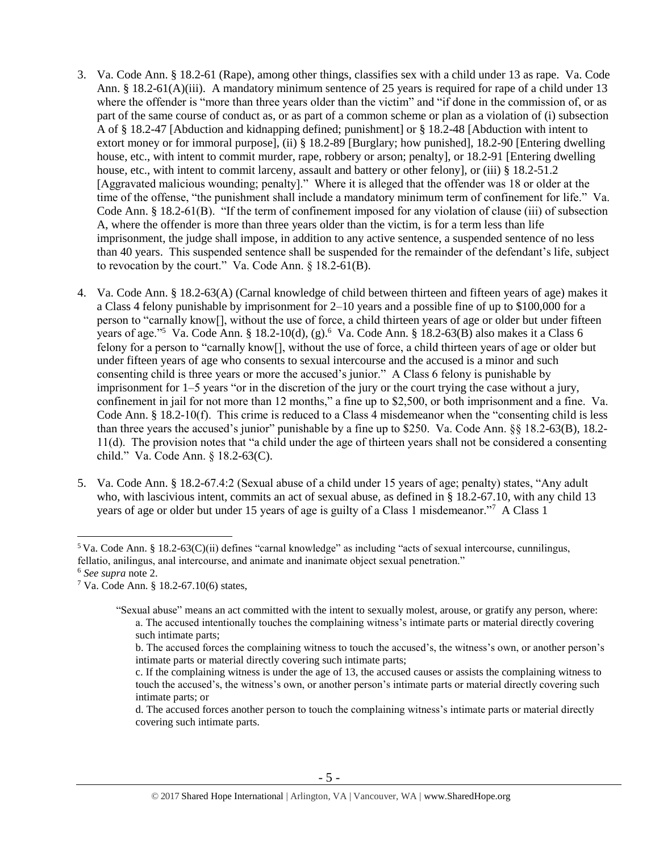- 3. Va. Code Ann. § 18.2-61 (Rape), among other things, classifies sex with a child under 13 as rape. Va. Code Ann. § 18.2-61(A)(iii). A mandatory minimum sentence of 25 years is required for rape of a child under 13 where the offender is "more than three years older than the victim" and "if done in the commission of, or as part of the same course of conduct as, or as part of a common scheme or plan as a violation of (i) subsection A of § 18.2-47 [Abduction and kidnapping defined; punishment] or § 18.2-48 [Abduction with intent to extort money or for immoral purpose], (ii) § 18.2-89 [Burglary; how punished], 18.2-90 [Entering dwelling house, etc., with intent to commit murder, rape, robbery or arson; penalty], or 18.2-91 [Entering dwelling house, etc., with intent to commit larceny, assault and battery or other felony], or (iii) § 18.2-51.2 [Aggravated malicious wounding; penalty]." Where it is alleged that the offender was 18 or older at the time of the offense, "the punishment shall include a mandatory minimum term of confinement for life." Va. Code Ann. § 18.2-61(B). "If the term of confinement imposed for any violation of clause (iii) of subsection A, where the offender is more than three years older than the victim, is for a term less than life imprisonment, the judge shall impose, in addition to any active sentence, a suspended sentence of no less than 40 years. This suspended sentence shall be suspended for the remainder of the defendant's life, subject to revocation by the court." Va. Code Ann. § 18.2-61(B).
- 4. Va. Code Ann. § 18.2-63(A) (Carnal knowledge of child between thirteen and fifteen years of age) makes it a Class 4 felony punishable by imprisonment for 2–10 years and a possible fine of up to \$100,000 for a person to "carnally know[], without the use of force, a child thirteen years of age or older but under fifteen years of age."<sup>5</sup> Va. Code Ann. § 18.2-10(d), (g).<sup>6</sup> Va. Code Ann. § 18.2-63(B) also makes it a Class 6 felony for a person to "carnally know[], without the use of force, a child thirteen years of age or older but under fifteen years of age who consents to sexual intercourse and the accused is a minor and such consenting child is three years or more the accused's junior." A Class 6 felony is punishable by imprisonment for 1–5 years "or in the discretion of the jury or the court trying the case without a jury, confinement in jail for not more than 12 months," a fine up to \$2,500, or both imprisonment and a fine. Va. Code Ann. § 18.2-10(f). This crime is reduced to a Class 4 misdemeanor when the "consenting child is less than three years the accused's junior" punishable by a fine up to \$250. Va. Code Ann. §§ 18.2-63(B), 18.2- 11(d). The provision notes that "a child under the age of thirteen years shall not be considered a consenting child." Va. Code Ann. § 18.2-63(C).
- 5. Va. Code Ann. § 18.2-67.4:2 (Sexual abuse of a child under 15 years of age; penalty) states, "Any adult who, with lascivious intent, commits an act of sexual abuse, as defined in § 18.2-67.10, with any child 13 years of age or older but under 15 years of age is guilty of a Class 1 misdemeanor."<sup>7</sup> A Class 1

 $5$  Va. Code Ann. § 18.2-63(C)(ii) defines "carnal knowledge" as including "acts of sexual intercourse, cunnilingus, fellatio, anilingus, anal intercourse, and animate and inanimate object sexual penetration."

<sup>6</sup> *See supra* note [2.](#page-1-0)

<sup>7</sup> Va. Code Ann. § 18.2-67.10(6) states,

<sup>&</sup>quot;Sexual abuse" means an act committed with the intent to sexually molest, arouse, or gratify any person, where: a. The accused intentionally touches the complaining witness's intimate parts or material directly covering such intimate parts;

<span id="page-4-0"></span>b. The accused forces the complaining witness to touch the accused's, the witness's own, or another person's intimate parts or material directly covering such intimate parts;

c. If the complaining witness is under the age of 13, the accused causes or assists the complaining witness to touch the accused's, the witness's own, or another person's intimate parts or material directly covering such intimate parts; or

d. The accused forces another person to touch the complaining witness's intimate parts or material directly covering such intimate parts.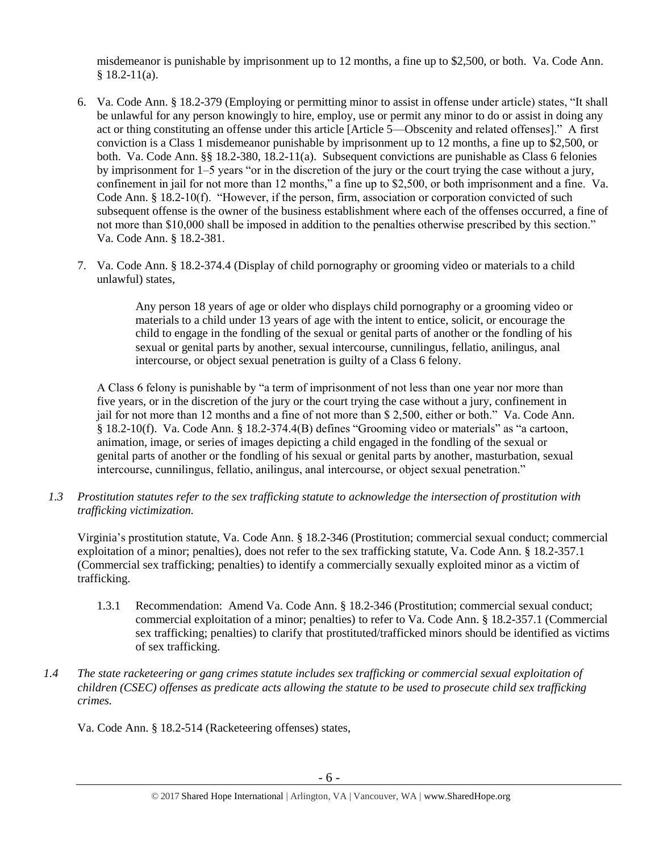misdemeanor is punishable by imprisonment up to 12 months, a fine up to \$2,500, or both. Va. Code Ann.  $§$  18.2-11(a).

- 6. Va. Code Ann. § 18.2-379 (Employing or permitting minor to assist in offense under article) states, "It shall be unlawful for any person knowingly to hire, employ, use or permit any minor to do or assist in doing any act or thing constituting an offense under this article [Article 5—Obscenity and related offenses]." A first conviction is a Class 1 misdemeanor punishable by imprisonment up to 12 months, a fine up to \$2,500, or both. Va. Code Ann. §§ 18.2-380, 18.2-11(a). Subsequent convictions are punishable as Class 6 felonies by imprisonment for 1–5 years "or in the discretion of the jury or the court trying the case without a jury, confinement in jail for not more than 12 months," a fine up to \$2,500, or both imprisonment and a fine. Va. Code Ann. § 18.2-10(f). "However, if the person, firm, association or corporation convicted of such subsequent offense is the owner of the business establishment where each of the offenses occurred, a fine of not more than \$10,000 shall be imposed in addition to the penalties otherwise prescribed by this section." Va. Code Ann. § 18.2-381.
- 7. Va. Code Ann. § 18.2-374.4 (Display of child pornography or grooming video or materials to a child unlawful) states,

Any person 18 years of age or older who displays child pornography or a grooming video or materials to a child under 13 years of age with the intent to entice, solicit, or encourage the child to engage in the fondling of the sexual or genital parts of another or the fondling of his sexual or genital parts by another, sexual intercourse, cunnilingus, fellatio, anilingus, anal intercourse, or object sexual penetration is guilty of a Class 6 felony.

A Class 6 felony is punishable by "a term of imprisonment of not less than one year nor more than five years, or in the discretion of the jury or the court trying the case without a jury, confinement in jail for not more than 12 months and a fine of not more than \$ 2,500, either or both." Va. Code Ann. § 18.2-10(f). Va. Code Ann. § 18.2-374.4(B) defines "Grooming video or materials" as "a cartoon, animation, image, or series of images depicting a child engaged in the fondling of the sexual or genital parts of another or the fondling of his sexual or genital parts by another, masturbation, sexual intercourse, cunnilingus, fellatio, anilingus, anal intercourse, or object sexual penetration."

*1.3 Prostitution statutes refer to the sex trafficking statute to acknowledge the intersection of prostitution with trafficking victimization.* 

Virginia's prostitution statute, Va. Code Ann. § 18.2-346 (Prostitution; commercial sexual conduct; commercial exploitation of a minor; penalties), does not refer to the sex trafficking statute, Va. Code Ann. § 18.2-357.1 (Commercial sex trafficking; penalties) to identify a commercially sexually exploited minor as a victim of trafficking.

- 1.3.1 Recommendation: Amend Va. Code Ann. § 18.2-346 (Prostitution; commercial sexual conduct; commercial exploitation of a minor; penalties) to refer to Va. Code Ann. § 18.2-357.1 (Commercial sex trafficking; penalties) to clarify that prostituted/trafficked minors should be identified as victims of sex trafficking.
- *1.4 The state racketeering or gang crimes statute includes sex trafficking or commercial sexual exploitation of children (CSEC) offenses as predicate acts allowing the statute to be used to prosecute child sex trafficking crimes.*

Va. Code Ann. § 18.2-514 (Racketeering offenses) states,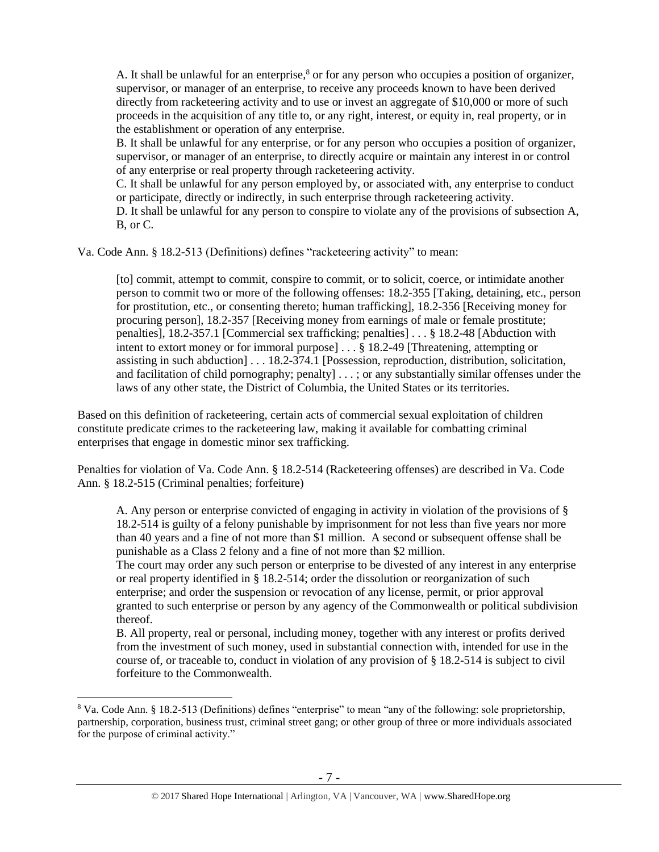A. It shall be unlawful for an enterprise, $8$  or for any person who occupies a position of organizer, supervisor, or manager of an enterprise, to receive any proceeds known to have been derived directly from racketeering activity and to use or invest an aggregate of \$10,000 or more of such proceeds in the acquisition of any title to, or any right, interest, or equity in, real property, or in the establishment or operation of any enterprise.

B. It shall be unlawful for any enterprise, or for any person who occupies a position of organizer, supervisor, or manager of an enterprise, to directly acquire or maintain any interest in or control of any enterprise or real property through racketeering activity.

C. It shall be unlawful for any person employed by, or associated with, any enterprise to conduct or participate, directly or indirectly, in such enterprise through racketeering activity.

D. It shall be unlawful for any person to conspire to violate any of the provisions of subsection A, B, or C.

Va. Code Ann. § 18.2-513 (Definitions) defines "racketeering activity" to mean:

[to] commit, attempt to commit, conspire to commit, or to solicit, coerce, or intimidate another person to commit two or more of the following offenses: 18.2-355 [Taking, detaining, etc., person for prostitution, etc., or consenting thereto; human trafficking], [18.2-356](https://a.next.westlaw.com/Link/Document/FullText?findType=L&pubNum=1000040&cite=VASTS18.2-356&originatingDoc=NE39F68D0341B11DEA7CD81F2617D4421&refType=LQ&originationContext=document&transitionType=DocumentItem&contextData=(sc.Document)) [Receiving money for procuring person], 18.2-357 [Receiving money from earnings of male or female prostitute; penalties], 18.2-357.1 [Commercial sex trafficking; penalties] . . . § 18.2-48 [Abduction with intent to extort money or for immoral purpose] . . . § 18.2-49 [Threatening, attempting or assisting in such abduction] . . . 18.2-374.1 [Possession, reproduction, distribution, solicitation, and facilitation of child pornography; penalty] . . . ; or any substantially similar offenses under the laws of any other state, the District of Columbia, the United States or its territories.

Based on this definition of racketeering, certain acts of commercial sexual exploitation of children constitute predicate crimes to the racketeering law, making it available for combatting criminal enterprises that engage in domestic minor sex trafficking.

Penalties for violation of Va. Code Ann. § 18.2-514 (Racketeering offenses) are described in Va. Code Ann. § 18.2-515 (Criminal penalties; forfeiture)

A. Any person or enterprise convicted of engaging in activity in violation of the provisions of § 18.2-514 is guilty of a felony punishable by imprisonment for not less than five years nor more than 40 years and a fine of not more than \$1 million. A second or subsequent offense shall be punishable as a Class 2 felony and a fine of not more than \$2 million.

The court may order any such person or enterprise to be divested of any interest in any enterprise or real property identified in § 18.2-514; order the dissolution or reorganization of such enterprise; and order the suspension or revocation of any license, permit, or prior approval granted to such enterprise or person by any agency of the Commonwealth or political subdivision thereof.

B. All property, real or personal, including money, together with any interest or profits derived from the investment of such money, used in substantial connection with, intended for use in the course of, or traceable to, conduct in violation of any provision of § 18.2-514 is subject to civil forfeiture to the Commonwealth.

<sup>8</sup> Va. Code Ann. § 18.2-513 (Definitions) defines "enterprise" to mean "any of the following: sole proprietorship, partnership, corporation, business trust, criminal street gang; or other group of three or more individuals associated for the purpose of criminal activity."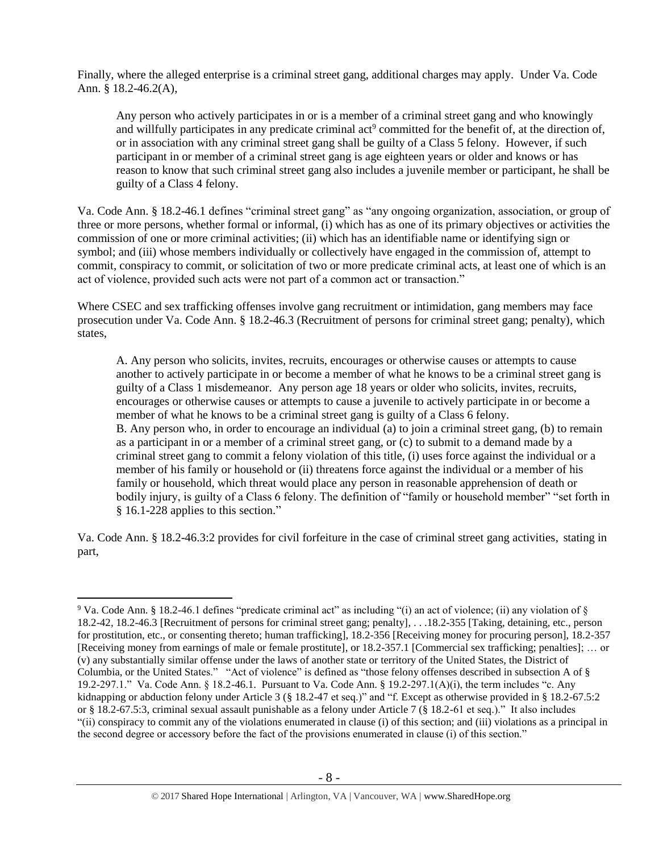Finally, where the alleged enterprise is a criminal street gang, additional charges may apply. Under Va. Code Ann. § 18.2-46.2(A),

Any person who actively participates in or is a member of a criminal street gang and who knowingly and willfully participates in any predicate criminal act<sup>9</sup> committed for the benefit of, at the direction of, or in association with any criminal street gang shall be guilty of a Class 5 felony. However, if such participant in or member of a criminal street gang is age eighteen years or older and knows or has reason to know that such criminal street gang also includes a juvenile member or participant, he shall be guilty of a Class 4 felony.

Va. Code Ann. § 18.2-46.1 defines "criminal street gang" as "any ongoing organization, association, or group of three or more persons, whether formal or informal, (i) which has as one of its primary objectives or activities the commission of one or more criminal activities; (ii) which has an identifiable name or identifying sign or symbol; and (iii) whose members individually or collectively have engaged in the commission of, attempt to commit, conspiracy to commit, or solicitation of two or more predicate criminal acts, at least one of which is an act of violence, provided such acts were not part of a common act or transaction."

Where CSEC and sex trafficking offenses involve gang recruitment or intimidation, gang members may face prosecution under Va. Code Ann. § 18.2-46.3 (Recruitment of persons for criminal street gang; penalty), which states,

A. Any person who solicits, invites, recruits, encourages or otherwise causes or attempts to cause another to actively participate in or become a member of what he knows to be a criminal street gang is guilty of a Class 1 misdemeanor. Any person age 18 years or older who solicits, invites, recruits, encourages or otherwise causes or attempts to cause a juvenile to actively participate in or become a member of what he knows to be a criminal street gang is guilty of a Class 6 felony. B. Any person who, in order to encourage an individual (a) to join a criminal street gang, (b) to remain as a participant in or a member of a criminal street gang, or (c) to submit to a demand made by a criminal street gang to commit a felony violation of this title, (i) uses force against the individual or a member of his family or household or (ii) threatens force against the individual or a member of his family or household, which threat would place any person in reasonable apprehension of death or bodily injury, is guilty of a Class 6 felony. The definition of "family or household member" "set forth in § 16.1-228 applies to this section."

Va. Code Ann. § 18.2-46.3:2 provides for civil forfeiture in the case of criminal street gang activities, stating in part,

<sup>9</sup> Va. Code Ann. § 18.2-46.1 defines "predicate criminal act" as including "(i) an act of violence; (ii) any violation of § 18.2-42, 18.2-46.3 [Recruitment of persons for criminal street gang; penalty], . . .18.2-355 [Taking, detaining, etc., person for prostitution, etc., or consenting thereto; human trafficking], 18.2-356 [Receiving money for procuring person], 18.2-357 [Receiving money from earnings of male or female prostitute], or 18.2-357.1 [Commercial sex trafficking; penalties]; … or (v) any substantially similar offense under the laws of another state or territory of the United States, the District of Columbia, or the United States." "Act of violence" is defined as "those felony offenses described in subsection A of § 19.2-297.1." Va. Code Ann. § 18.2-46.1. Pursuant to Va. Code Ann. § 19.2-297.1(A)(i), the term includes "c. Any kidnapping or abduction felony under Article 3 (§ 18.2-47 et seq.)" and "f. Except as otherwise provided in § 18.2-67.5:2 or § 18.2-67.5:3, criminal sexual assault punishable as a felony under Article 7 (§ 18.2-61 et seq.)." It also includes "(ii) conspiracy to commit any of the violations enumerated in clause (i) of this section; and (iii) violations as a principal in the second degree or accessory before the fact of the provisions enumerated in clause (i) of this section."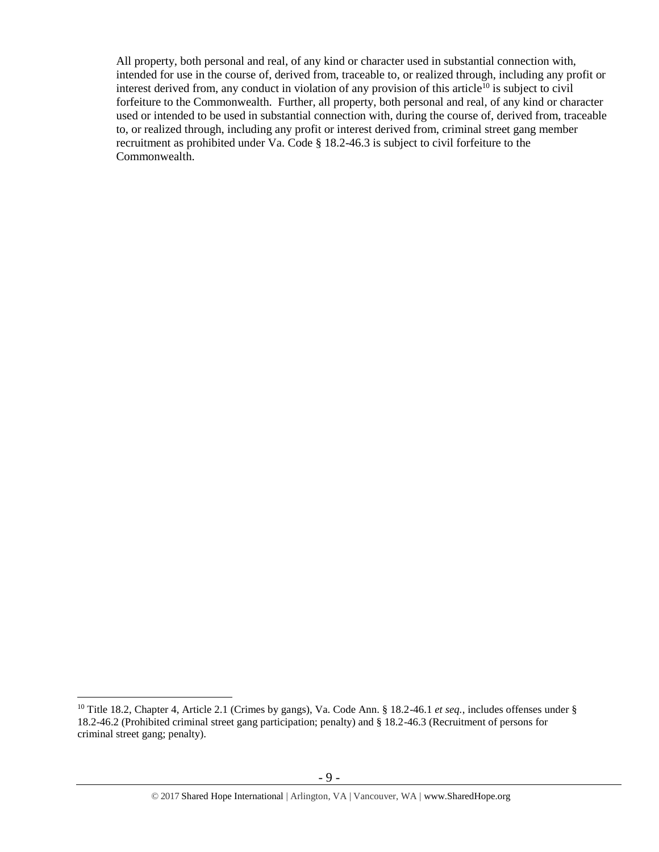All property, both personal and real, of any kind or character used in substantial connection with, intended for use in the course of, derived from, traceable to, or realized through, including any profit or interest derived from, any conduct in violation of any provision of this article<sup>10</sup> is subject to civil forfeiture to the Commonwealth. Further, all property, both personal and real, of any kind or character used or intended to be used in substantial connection with, during the course of, derived from, traceable to, or realized through, including any profit or interest derived from, criminal street gang member recruitment as prohibited under Va. Code § 18.2-46.3 is subject to civil forfeiture to the Commonwealth.

<sup>10</sup> Title 18.2, Chapter 4, Article 2.1 (Crimes by gangs), Va. Code Ann. § 18.2-46.1 *et seq.*, includes offenses under § 18.2-46.2 (Prohibited criminal street gang participation; penalty) and § 18.2-46.3 (Recruitment of persons for criminal street gang; penalty).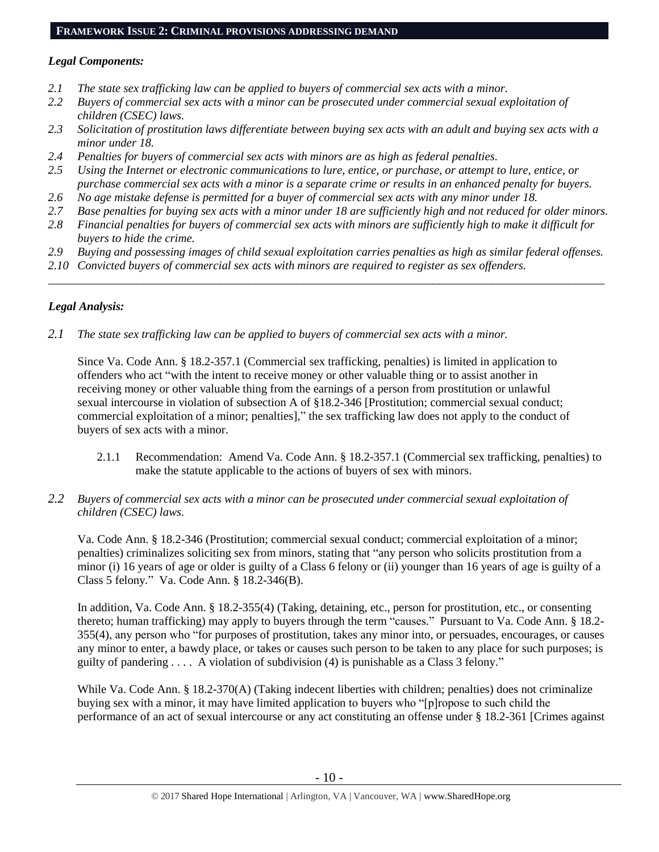#### **FRAMEWORK ISSUE 2: CRIMINAL PROVISIONS ADDRESSING DEMAND**

# *Legal Components:*

- *2.1 The state sex trafficking law can be applied to buyers of commercial sex acts with a minor.*
- *2.2 Buyers of commercial sex acts with a minor can be prosecuted under commercial sexual exploitation of children (CSEC) laws.*
- *2.3 Solicitation of prostitution laws differentiate between buying sex acts with an adult and buying sex acts with a minor under 18.*
- *2.4 Penalties for buyers of commercial sex acts with minors are as high as federal penalties.*
- *2.5 Using the Internet or electronic communications to lure, entice, or purchase, or attempt to lure, entice, or purchase commercial sex acts with a minor is a separate crime or results in an enhanced penalty for buyers.*
- *2.6 No age mistake defense is permitted for a buyer of commercial sex acts with any minor under 18.*
- *2.7 Base penalties for buying sex acts with a minor under 18 are sufficiently high and not reduced for older minors.*
- *2.8 Financial penalties for buyers of commercial sex acts with minors are sufficiently high to make it difficult for buyers to hide the crime.*
- *2.9 Buying and possessing images of child sexual exploitation carries penalties as high as similar federal offenses.*

\_\_\_\_\_\_\_\_\_\_\_\_\_\_\_\_\_\_\_\_\_\_\_\_\_\_\_\_\_\_\_\_\_\_\_\_\_\_\_\_\_\_\_\_\_\_\_\_\_\_\_\_\_\_\_\_\_\_\_\_\_\_\_\_\_\_\_\_\_\_\_\_\_\_\_\_\_\_\_\_\_\_\_\_\_\_\_\_\_\_\_\_\_\_

*2.10 Convicted buyers of commercial sex acts with minors are required to register as sex offenders.*

# *Legal Analysis:*

*2.1 The state sex trafficking law can be applied to buyers of commercial sex acts with a minor.*

Since Va. Code Ann. § 18.2-357.1 (Commercial sex trafficking, penalties) is limited in application to offenders who act "with the intent to receive money or other valuable thing or to assist another in receiving money or other valuable thing from the earnings of a person from prostitution or unlawful sexual intercourse in violation of subsection A of §18.2-346 [Prostitution; commercial sexual conduct; commercial exploitation of a minor; penalties]," the sex trafficking law does not apply to the conduct of buyers of sex acts with a minor.

- 2.1.1 Recommendation: Amend Va. Code Ann. § 18.2-357.1 (Commercial sex trafficking, penalties) to make the statute applicable to the actions of buyers of sex with minors.
- *2.2 Buyers of commercial sex acts with a minor can be prosecuted under commercial sexual exploitation of children (CSEC) laws.*

Va. Code Ann. § 18.2-346 (Prostitution; commercial sexual conduct; commercial exploitation of a minor; penalties) criminalizes soliciting sex from minors, stating that "any person who solicits prostitution from a minor (i) 16 years of age or older is guilty of a Class 6 felony or (ii) younger than 16 years of age is guilty of a Class 5 felony*.*" Va. Code Ann. § 18.2-346(B).

In addition, Va. Code Ann. § 18.2-355(4) (Taking, detaining, etc., person for prostitution, etc., or consenting thereto; human trafficking) may apply to buyers through the term "causes." Pursuant to Va. Code Ann. § 18.2- 355(4), any person who "for purposes of prostitution, takes any minor into, or persuades, encourages, or causes any minor to enter, a bawdy place, or takes or causes such person to be taken to any place for such purposes; is guilty of pandering  $\dots$ . A violation of subdivision (4) is punishable as a Class 3 felony."

While Va. Code Ann. § 18.2-370(A) (Taking indecent liberties with children; penalties) does not criminalize buying sex with a minor, it may have limited application to buyers who "[p]ropose to such child the performance of an act of sexual intercourse or any act constituting an offense under § 18.2-361 [Crimes against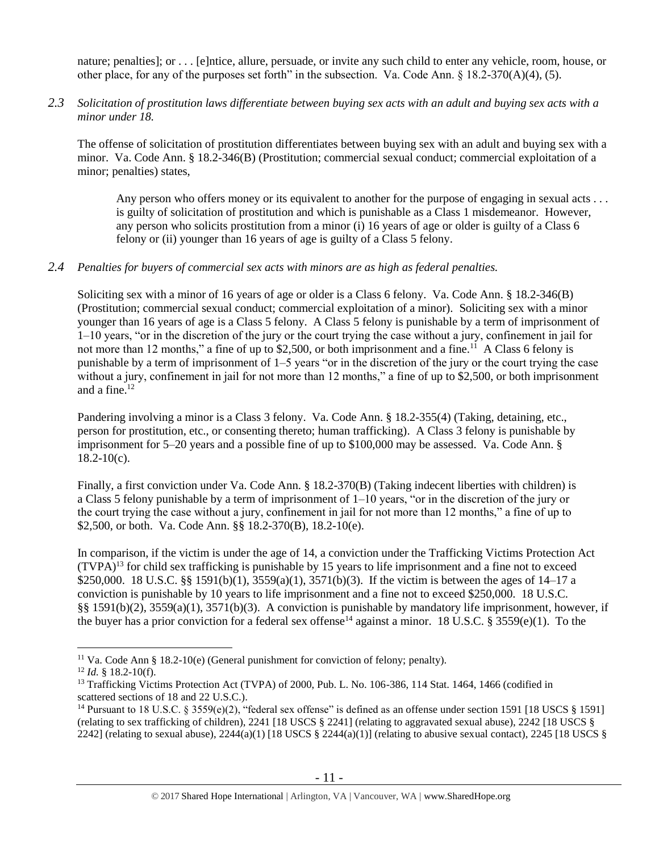nature; penalties]; or . . . [e]ntice, allure, persuade, or invite any such child to enter any vehicle, room, house, or other place, for any of the purposes set forth" in the subsection. Va. Code Ann.  $\S$  18.2-370(A)(4), (5).

*2.3 Solicitation of prostitution laws differentiate between buying sex acts with an adult and buying sex acts with a minor under 18.*

The offense of solicitation of prostitution differentiates between buying sex with an adult and buying sex with a minor. Va. Code Ann. § 18.2-346(B) (Prostitution; commercial sexual conduct; commercial exploitation of a minor; penalties) states,

Any person who offers money or its equivalent to another for the purpose of engaging in sexual acts . . . is guilty of solicitation of prostitution and which is punishable as a Class 1 misdemeanor. However, any person who solicits prostitution from a minor (i) 16 years of age or older is guilty of a Class 6 felony or (ii) younger than 16 years of age is guilty of a Class 5 felony.

# *2.4 Penalties for buyers of commercial sex acts with minors are as high as federal penalties.*

Soliciting sex with a minor of 16 years of age or older is a Class 6 felony. Va. Code Ann. § 18.2-346(B) (Prostitution; commercial sexual conduct; commercial exploitation of a minor). Soliciting sex with a minor younger than 16 years of age is a Class 5 felony. A Class 5 felony is punishable by a term of imprisonment of 1–10 years, "or in the discretion of the jury or the court trying the case without a jury, confinement in jail for not more than 12 months," a fine of up to \$2,500, or both imprisonment and a fine.<sup>11</sup> A Class 6 felony is punishable by a term of imprisonment of 1–5 years "or in the discretion of the jury or the court trying the case without a jury, confinement in jail for not more than 12 months," a fine of up to \$2,500, or both imprisonment and a fine.<sup>12</sup>

Pandering involving a minor is a Class 3 felony. Va. Code Ann. § 18.2-355(4) (Taking, detaining, etc., person for prostitution, etc., or consenting thereto; human trafficking). A Class 3 felony is punishable by imprisonment for 5–20 years and a possible fine of up to \$100,000 may be assessed. Va. Code Ann. §  $18.2 - 10(c)$ .

Finally, a first conviction under Va. Code Ann. § 18.2-370(B) (Taking indecent liberties with children) is a Class 5 felony punishable by a term of imprisonment of 1–10 years, "or in the discretion of the jury or the court trying the case without a jury, confinement in jail for not more than 12 months," a fine of up to \$2,500, or both. Va. Code Ann. §§ 18.2-370(B), 18.2-10(e).

<span id="page-10-0"></span>In comparison, if the victim is under the age of 14, a conviction under the Trafficking Victims Protection Act  $(TVPA)^{13}$  for child sex trafficking is punishable by 15 years to life imprisonment and a fine not to exceed \$250,000. 18 U.S.C. §§ 1591(b)(1), 3559(a)(1), 3571(b)(3). If the victim is between the ages of 14–17 a conviction is punishable by 10 years to life imprisonment and a fine not to exceed \$250,000. 18 U.S.C. §§ 1591(b)(2), 3559(a)(1), 3571(b)(3). A conviction is punishable by mandatory life imprisonment, however, if the buyer has a prior conviction for a federal sex offense<sup>14</sup> against a minor. 18 U.S.C. § 3559(e)(1). To the

<span id="page-10-1"></span><sup>&</sup>lt;sup>11</sup> Va. Code Ann § 18.2-10(e) (General punishment for conviction of felony; penalty).

 $12$  *Id.* § 18.2-10(f).

<sup>&</sup>lt;sup>13</sup> Trafficking Victims Protection Act (TVPA) of 2000, Pub. L. No. 106-386, 114 Stat. 1464, 1466 (codified in scattered sections of 18 and 22 U.S.C.).

<sup>&</sup>lt;sup>14</sup> Pursuant to 18 U.S.C. § 3559(e)(2), "federal sex offense" is defined as an offense under section 1591 [18 USCS § 1591] (relating to sex trafficking of children), 2241 [18 USCS § 2241] (relating to aggravated sexual abuse), 2242 [18 USCS § 2242] (relating to sexual abuse),  $2244(a)(1)$  [18 USCS § 2244(a)(1)] (relating to abusive sexual contact), 2245 [18 USCS §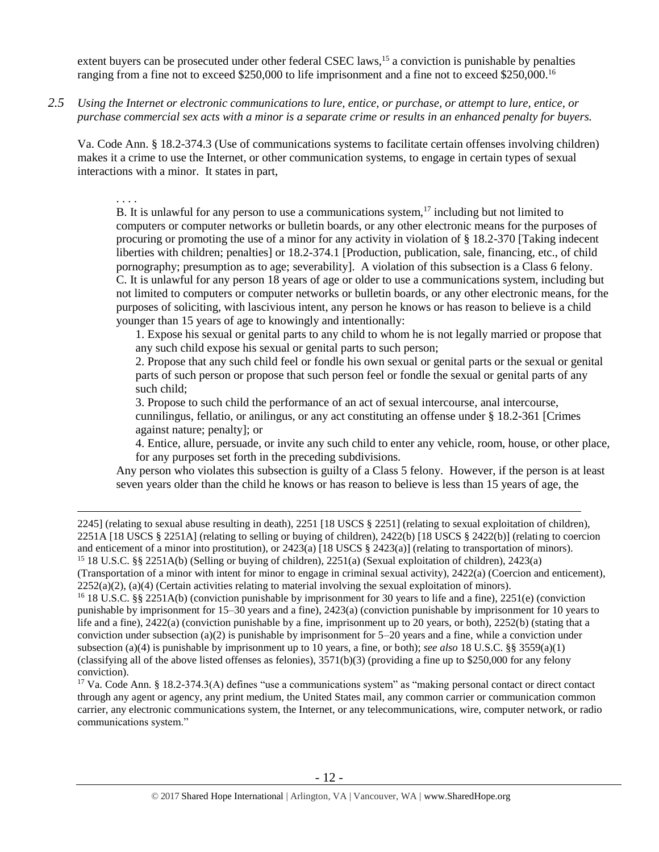extent buyers can be prosecuted under other federal CSEC laws,<sup>15</sup> a conviction is punishable by penalties ranging from a fine not to exceed \$250,000 to life imprisonment and a fine not to exceed \$250,000.<sup>16</sup>

*2.5 Using the Internet or electronic communications to lure, entice, or purchase, or attempt to lure, entice, or purchase commercial sex acts with a minor is a separate crime or results in an enhanced penalty for buyers.*

Va. Code Ann. § 18.2-374.3 (Use of communications systems to facilitate certain offenses involving children) makes it a crime to use the Internet, or other communication systems, to engage in certain types of sexual interactions with a minor. It states in part,

. . . .

 $\overline{a}$ 

<span id="page-11-0"></span>B. It is unlawful for any person to use a communications system,  $17$  including but not limited to computers or computer networks or bulletin boards, or any other electronic means for the purposes of procuring or promoting the use of a minor for any activity in violation of § 18.2-370 [Taking indecent liberties with children; penalties] or 18.2-374.1 [Production, publication, sale, financing, etc., of child pornography; presumption as to age; severability]. A violation of this subsection is a Class 6 felony. C. It is unlawful for any person 18 years of age or older to use a communications system, including but not limited to computers or computer networks or bulletin boards, or any other electronic means, for the purposes of soliciting, with lascivious intent, any person he knows or has reason to believe is a child younger than 15 years of age to knowingly and intentionally:

1. Expose his sexual or genital parts to any child to whom he is not legally married or propose that any such child expose his sexual or genital parts to such person;

2. Propose that any such child feel or fondle his own sexual or genital parts or the sexual or genital parts of such person or propose that such person feel or fondle the sexual or genital parts of any such child;

3. Propose to such child the performance of an act of sexual intercourse, anal intercourse, cunnilingus, fellatio, or anilingus, or any act constituting an offense under § 18.2-361 [Crimes against nature; penalty]; or

4. Entice, allure, persuade, or invite any such child to enter any vehicle, room, house, or other place, for any purposes set forth in the preceding subdivisions.

Any person who violates this subsection is guilty of a Class 5 felony. However, if the person is at least seven years older than the child he knows or has reason to believe is less than 15 years of age, the

<sup>16</sup> 18 U.S.C. §§ 2251A(b) (conviction punishable by imprisonment for 30 years to life and a fine), 2251(e) (conviction punishable by imprisonment for 15–30 years and a fine), 2423(a) (conviction punishable by imprisonment for 10 years to life and a fine),  $2422(a)$  (conviction punishable by a fine, imprisonment up to 20 years, or both),  $2252(b)$  (stating that a conviction under subsection (a)(2) is punishable by imprisonment for 5–20 years and a fine, while a conviction under subsection (a)(4) is punishable by imprisonment up to 10 years, a fine, or both); *see also* 18 U.S.C. §§ 3559(a)(1) (classifying all of the above listed offenses as felonies),  $3571(b)(3)$  (providing a fine up to \$250,000 for any felony conviction).

<sup>17</sup> Va. Code Ann. § 18.2-374.3(A) defines "use a communications system" as "making personal contact or direct contact through any agent or agency, any print medium, the United States mail, any common carrier or communication common carrier, any electronic communications system, the Internet, or any telecommunications, wire, computer network, or radio communications system."

<sup>2245] (</sup>relating to sexual abuse resulting in death), 2251 [18 USCS § 2251] (relating to sexual exploitation of children), 2251A [18 USCS § 2251A] (relating to selling or buying of children), 2422(b) [18 USCS § 2422(b)] (relating to coercion and enticement of a minor into prostitution), or 2423(a) [18 USCS § 2423(a)] (relating to transportation of minors). <sup>15</sup> 18 U.S.C. §§ 2251A(b) (Selling or buying of children), 2251(a) (Sexual exploitation of children), 2423(a)

<sup>(</sup>Transportation of a minor with intent for minor to engage in criminal sexual activity), 2422(a) (Coercion and enticement),  $2252(a)(2)$ , (a)(4) (Certain activities relating to material involving the sexual exploitation of minors).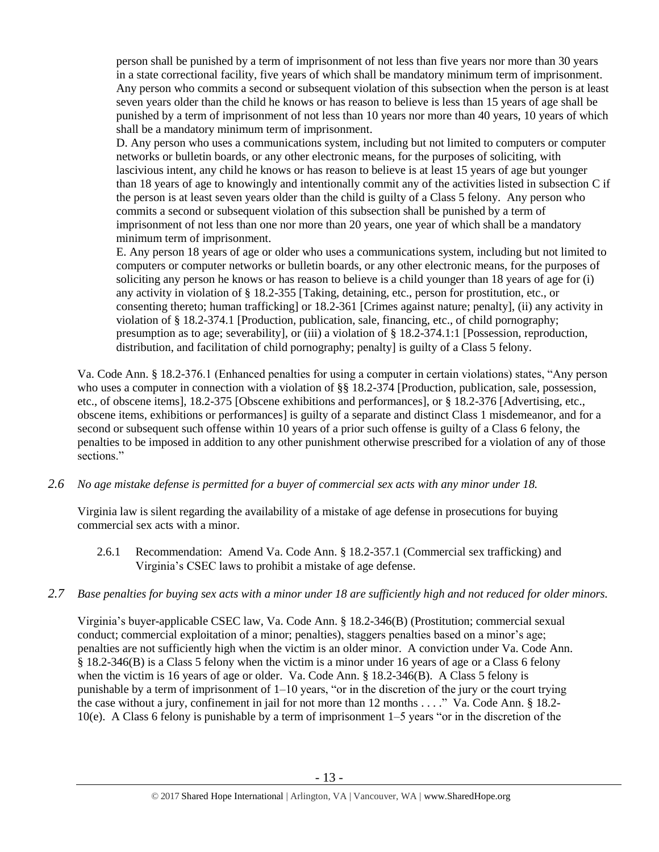person shall be punished by a term of imprisonment of not less than five years nor more than 30 years in a state correctional facility, five years of which shall be mandatory minimum term of imprisonment. Any person who commits a second or subsequent violation of this subsection when the person is at least seven years older than the child he knows or has reason to believe is less than 15 years of age shall be punished by a term of imprisonment of not less than 10 years nor more than 40 years, 10 years of which shall be a mandatory minimum term of imprisonment.

D. Any person who uses a communications system, including but not limited to computers or computer networks or bulletin boards, or any other electronic means, for the purposes of soliciting, with lascivious intent, any child he knows or has reason to believe is at least 15 years of age but younger than 18 years of age to knowingly and intentionally commit any of the activities listed in subsection C if the person is at least seven years older than the child is guilty of a Class 5 felony. Any person who commits a second or subsequent violation of this subsection shall be punished by a term of imprisonment of not less than one nor more than 20 years, one year of which shall be a mandatory minimum term of imprisonment.

E. Any person 18 years of age or older who uses a communications system, including but not limited to computers or computer networks or bulletin boards, or any other electronic means, for the purposes of soliciting any person he knows or has reason to believe is a child younger than 18 years of age for (i) any activity in violation of § 18.2-355 [Taking, detaining, etc., person for prostitution, etc., or consenting thereto; human trafficking] or 18.2-361 [Crimes against nature; penalty], (ii) any activity in violation of § 18.2-374.1 [Production, publication, sale, financing, etc., of child pornography; presumption as to age; severability], or (iii) a violation of § 18.2-374.1:1 [Possession, reproduction, distribution, and facilitation of child pornography; penalty] is guilty of a Class 5 felony.

Va. Code Ann. § 18.2-376.1 (Enhanced penalties for using a computer in certain violations) states, "Any person who uses a computer in connection with a violation of §§ 18.2-374 [Production, publication, sale, possession, etc., of obscene items], 18.2-375 [Obscene exhibitions and performances], or § 18.2-376 [Advertising, etc., obscene items, exhibitions or performances] is guilty of a separate and distinct Class 1 misdemeanor, and for a second or subsequent such offense within 10 years of a prior such offense is guilty of a Class 6 felony, the penalties to be imposed in addition to any other punishment otherwise prescribed for a violation of any of those sections."

*2.6 No age mistake defense is permitted for a buyer of commercial sex acts with any minor under 18.*

Virginia law is silent regarding the availability of a mistake of age defense in prosecutions for buying commercial sex acts with a minor.

- 2.6.1 Recommendation: Amend Va. Code Ann. § 18.2-357.1 (Commercial sex trafficking) and Virginia's CSEC laws to prohibit a mistake of age defense.
- *2.7 Base penalties for buying sex acts with a minor under 18 are sufficiently high and not reduced for older minors.*

Virginia's buyer-applicable CSEC law, Va. Code Ann. § 18.2-346(B) (Prostitution; commercial sexual conduct; commercial exploitation of a minor; penalties), staggers penalties based on a minor's age; penalties are not sufficiently high when the victim is an older minor. A conviction under Va. Code Ann. § 18.2-346(B) is a Class 5 felony when the victim is a minor under 16 years of age or a Class 6 felony when the victim is 16 years of age or older. Va. Code Ann. § 18.2-346(B). A Class 5 felony is punishable by a term of imprisonment of  $1-10$  years, "or in the discretion of the jury or the court trying the case without a jury, confinement in jail for not more than 12 months . . . ." Va. Code Ann. § 18.2- 10(e). A Class 6 felony is punishable by a term of imprisonment 1–5 years "or in the discretion of the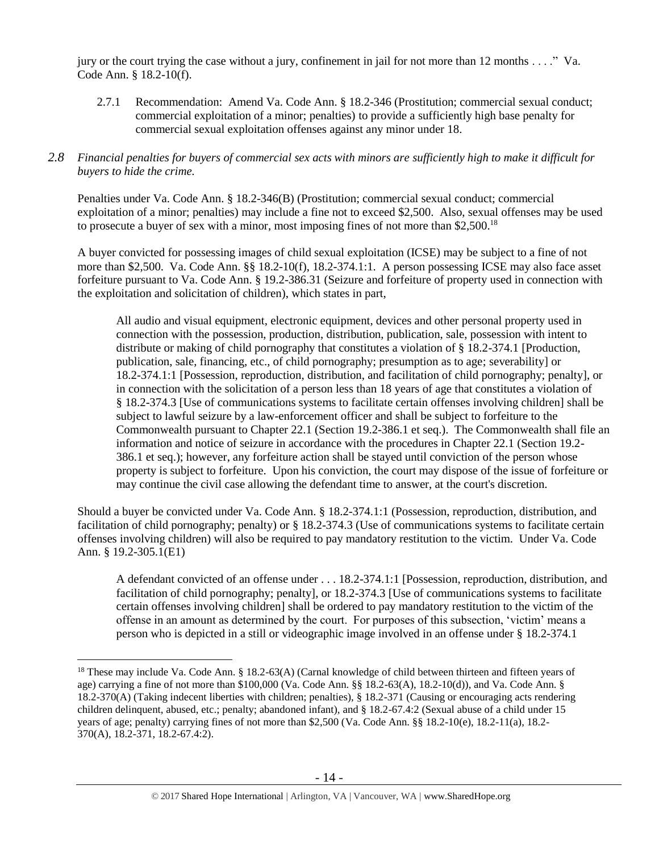jury or the court trying the case without a jury, confinement in jail for not more than 12 months . . . ." Va. Code Ann. § 18.2-10(f).

2.7.1 Recommendation: Amend Va. Code Ann. § 18.2-346 (Prostitution; commercial sexual conduct; commercial exploitation of a minor; penalties) to provide a sufficiently high base penalty for commercial sexual exploitation offenses against any minor under 18.

# *2.8 Financial penalties for buyers of commercial sex acts with minors are sufficiently high to make it difficult for buyers to hide the crime.*

Penalties under Va. Code Ann. § 18.2-346(B) (Prostitution; commercial sexual conduct; commercial exploitation of a minor; penalties) may include a fine not to exceed \$2,500. Also, sexual offenses may be used to prosecute a buyer of sex with a minor, most imposing fines of not more than \$2,500.<sup>18</sup>

A buyer convicted for possessing images of child sexual exploitation (ICSE) may be subject to a fine of not more than \$2,500. Va. Code Ann. §§ 18.2-10(f), 18.2-374.1:1. A person possessing ICSE may also face asset forfeiture pursuant to Va. Code Ann. § 19.2-386.31 (Seizure and forfeiture of property used in connection with the exploitation and solicitation of children), which states in part,

All audio and visual equipment, electronic equipment, devices and other personal property used in connection with the possession, production, distribution, publication, sale, possession with intent to distribute or making of child pornography that constitutes a violation of § 18.2-374.1 [Production, publication, sale, financing, etc., of child pornography; presumption as to age; severability] or 18.2-374.1:1 [Possession, reproduction, distribution, and facilitation of child pornography; penalty], or in connection with the solicitation of a person less than 18 years of age that constitutes a violation of § 18.2-374.3 [Use of communications systems to facilitate certain offenses involving children] shall be subject to lawful seizure by a law-enforcement officer and shall be subject to forfeiture to the Commonwealth pursuant to Chapter 22.1 (Section 19.2-386.1 et seq.). The Commonwealth shall file an information and notice of seizure in accordance with the procedures in Chapter 22.1 (Section 19.2- 386.1 et seq.); however, any forfeiture action shall be stayed until conviction of the person whose property is subject to forfeiture. Upon his conviction, the court may dispose of the issue of forfeiture or may continue the civil case allowing the defendant time to answer, at the court's discretion.

Should a buyer be convicted under Va. Code Ann. § 18.2-374.1:1 (Possession, reproduction, distribution, and facilitation of child pornography; penalty) or § 18.2-374.3 (Use of communications systems to facilitate certain offenses involving children) will also be required to pay mandatory restitution to the victim. Under Va. Code Ann. § 19.2-305.1(E1)

A defendant convicted of an offense under . . . 18.2-374.1:1 [Possession, reproduction, distribution, and facilitation of child pornography; penalty], or 18.2-374.3 [Use of communications systems to facilitate certain offenses involving children] shall be ordered to pay mandatory restitution to the victim of the offense in an amount as determined by the court. For purposes of this subsection, 'victim' means a person who is depicted in a still or videographic image involved in an offense under § 18.2-374.1

<sup>&</sup>lt;sup>18</sup> These may include Va. Code Ann. § 18.2-63(A) (Carnal knowledge of child between thirteen and fifteen years of age) carrying a fine of not more than \$100,000 (Va. Code Ann. §§ 18.2-63(A), 18.2-10(d)), and Va. Code Ann. § 18.2-370(A) (Taking indecent liberties with children; penalties), § 18.2-371 (Causing or encouraging acts rendering children delinquent, abused, etc.; penalty; abandoned infant), and § 18.2-67.4:2 (Sexual abuse of a child under 15 years of age; penalty) carrying fines of not more than \$2,500 (Va. Code Ann. §§ 18.2-10(e), 18.2-11(a), 18.2- 370(A), 18.2-371, 18.2-67.4:2).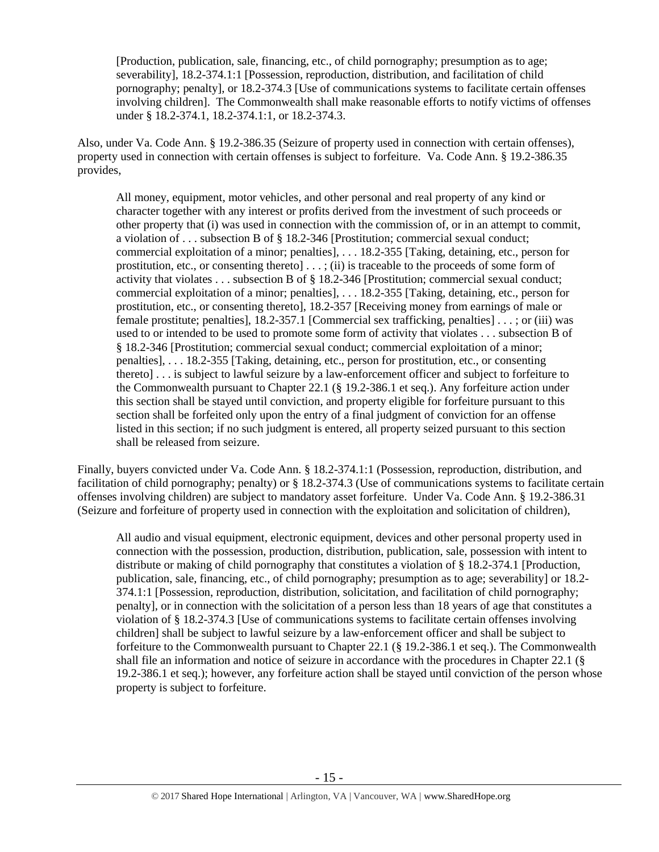[Production, publication, sale, financing, etc., of child pornography; presumption as to age; severability], 18.2-374.1:1 [Possession, reproduction, distribution, and facilitation of child pornography; penalty], or 18.2-374.3 [Use of communications systems to facilitate certain offenses involving children]. The Commonwealth shall make reasonable efforts to notify victims of offenses under § 18.2-374.1, 18.2-374.1:1, or 18.2-374.3.

Also, under Va. Code Ann. § 19.2-386.35 (Seizure of property used in connection with certain offenses), property used in connection with certain offenses is subject to forfeiture. Va. Code Ann. § 19.2-386.35 provides,

All money, equipment, motor vehicles, and other personal and real property of any kind or character together with any interest or profits derived from the investment of such proceeds or other property that (i) was used in connection with the commission of, or in an attempt to commit, a violation of . . . subsection B of § 18.2-346 [Prostitution; commercial sexual conduct; commercial exploitation of a minor; penalties], . . . 18.2-355 [Taking, detaining, etc., person for prostitution, etc., or consenting thereto] . . . ; (ii) is traceable to the proceeds of some form of activity that violates . . . subsection B of § 18.2-346 [Prostitution; commercial sexual conduct; commercial exploitation of a minor; penalties], . . . 18.2-355 [Taking, detaining, etc., person for prostitution, etc., or consenting thereto], 18.2-357 [Receiving money from earnings of male or female prostitute; penalties], 18.2-357.1 [Commercial sex trafficking, penalties] [. . . ;](http://lis.virginia.gov/cgi-bin/legp604.exe?000+cod+40.1-29) or (iii) was used to or intended to be used to promote some form of activity that violates . . . subsection B of § 18.2-346 [Prostitution; commercial sexual conduct; commercial exploitation of a minor; penalties], . . . 18.2-355 [Taking, detaining, etc., person for prostitution, etc., or consenting thereto] . . . is subject to lawful seizure by a law-enforcement officer and subject to forfeiture to the Commonwealth pursuant to Chapter 22.1 (§ 19.2-386.1 et seq.). Any forfeiture action under this section shall be stayed until conviction, and property eligible for forfeiture pursuant to this section shall be forfeited only upon the entry of a final judgment of conviction for an offense listed in this section; if no such judgment is entered, all property seized pursuant to this section shall be released from seizure.

Finally, buyers convicted under Va. Code Ann. § 18.2-374.1:1 (Possession, reproduction, distribution, and facilitation of child pornography; penalty) or § 18.2-374.3 (Use of communications systems to facilitate certain offenses involving children) are subject to mandatory asset forfeiture. Under Va. Code Ann. § 19.2-386.31 (Seizure and forfeiture of property used in connection with the exploitation and solicitation of children),

All audio and visual equipment, electronic equipment, devices and other personal property used in connection with the possession, production, distribution, publication, sale, possession with intent to distribute or making of child pornography that constitutes a violation of § 18.2-374.1 [Production, publication, sale, financing, etc., of child pornography; presumption as to age; severability] or 18.2- 374.1:1 [Possession, reproduction, distribution, solicitation, and facilitation of child pornography; penalty], or in connection with the solicitation of a person less than 18 years of age that constitutes a violation of § 18.2-374.3 [Use of communications systems to facilitate certain offenses involving children] shall be subject to lawful seizure by a law-enforcement officer and shall be subject to forfeiture to the Commonwealth pursuant to Chapter 22.1 (§ 19.2-386.1 et seq.). The Commonwealth shall file an information and notice of seizure in accordance with the procedures in Chapter 22.1 (§ 19.2-386.1 et seq.); however, any forfeiture action shall be stayed until conviction of the person whose property is subject to forfeiture.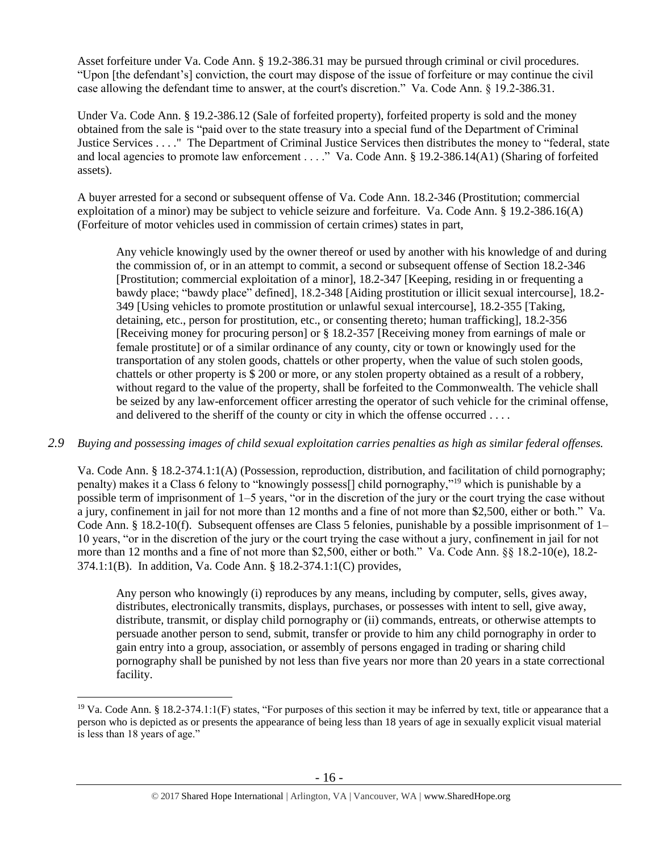Asset forfeiture under Va. Code Ann. § 19.2-386.31 may be pursued through criminal or civil procedures. "Upon [the defendant's] conviction, the court may dispose of the issue of forfeiture or may continue the civil case allowing the defendant time to answer, at the court's discretion." Va. Code Ann. § 19.2-386.31.

Under Va. Code Ann. § 19.2-386.12 (Sale of forfeited property), forfeited property is sold and the money obtained from the sale is "paid over to the state treasury into a special fund of the Department of Criminal Justice Services . . . ." The Department of Criminal Justice Services then distributes the money to "federal, state and local agencies to promote law enforcement . . . ." Va. Code Ann. § 19.2-386.14(A1) (Sharing of forfeited assets).

A buyer arrested for a second or subsequent offense of Va. Code Ann. 18.2-346 (Prostitution; commercial exploitation of a minor) may be subject to vehicle seizure and forfeiture. Va. Code Ann. § 19.2-386.16(A) (Forfeiture of motor vehicles used in commission of certain crimes) states in part,

Any vehicle knowingly used by the owner thereof or used by another with his knowledge of and during the commission of, or in an attempt to commit, a second or subsequent offense of Section 18.2-346 [Prostitution; commercial exploitation of a minor], 18.2-347 [Keeping, residing in or frequenting a bawdy place; "bawdy place" defined], 18.2-348 [Aiding prostitution or illicit sexual intercourse], 18.2- 349 [Using vehicles to promote prostitution or unlawful sexual intercourse], 18.2-355 [Taking, detaining, etc., person for prostitution, etc., or consenting thereto; human trafficking], 18.2-356 [Receiving money for procuring person] or § 18.2-357 [Receiving money from earnings of male or female prostitute] or of a similar ordinance of any county, city or town or knowingly used for the transportation of any stolen goods, chattels or other property, when the value of such stolen goods, chattels or other property is \$ 200 or more, or any stolen property obtained as a result of a robbery, without regard to the value of the property, shall be forfeited to the Commonwealth. The vehicle shall be seized by any law-enforcement officer arresting the operator of such vehicle for the criminal offense, and delivered to the sheriff of the county or city in which the offense occurred . . . .

# *2.9 Buying and possessing images of child sexual exploitation carries penalties as high as similar federal offenses.*

Va. Code Ann. § 18.2-374.1:1(A) (Possession, reproduction, distribution, and facilitation of child pornography; penalty) makes it a Class 6 felony to "knowingly possess[] child pornography,"<sup>19</sup> which is punishable by a possible term of imprisonment of 1–5 years, "or in the discretion of the jury or the court trying the case without a jury, confinement in jail for not more than 12 months and a fine of not more than \$2,500, either or both." Va. Code Ann. § 18.2-10(f). Subsequent offenses are Class 5 felonies, punishable by a possible imprisonment of 1– 10 years, "or in the discretion of the jury or the court trying the case without a jury, confinement in jail for not more than 12 months and a fine of not more than \$2,500, either or both." Va. Code Ann. §§ 18.2-10(e), 18.2- 374.1:1(B). In addition, Va. Code Ann. § 18.2-374.1:1(C) provides,

Any person who knowingly (i) reproduces by any means, including by computer, sells, gives away, distributes, electronically transmits, displays, purchases, or possesses with intent to sell, give away, distribute, transmit, or display child pornography or (ii) commands, entreats, or otherwise attempts to persuade another person to send, submit, transfer or provide to him any child pornography in order to gain entry into a group, association, or assembly of persons engaged in trading or sharing child pornography shall be punished by not less than five years nor more than 20 years in a state correctional facility.

<sup>19</sup> Va. Code Ann. § 18.2-374.1:1(F) states, "For purposes of this section it may be inferred by text, title or appearance that a person who is depicted as or presents the appearance of being less than 18 years of age in sexually explicit visual material is less than 18 years of age."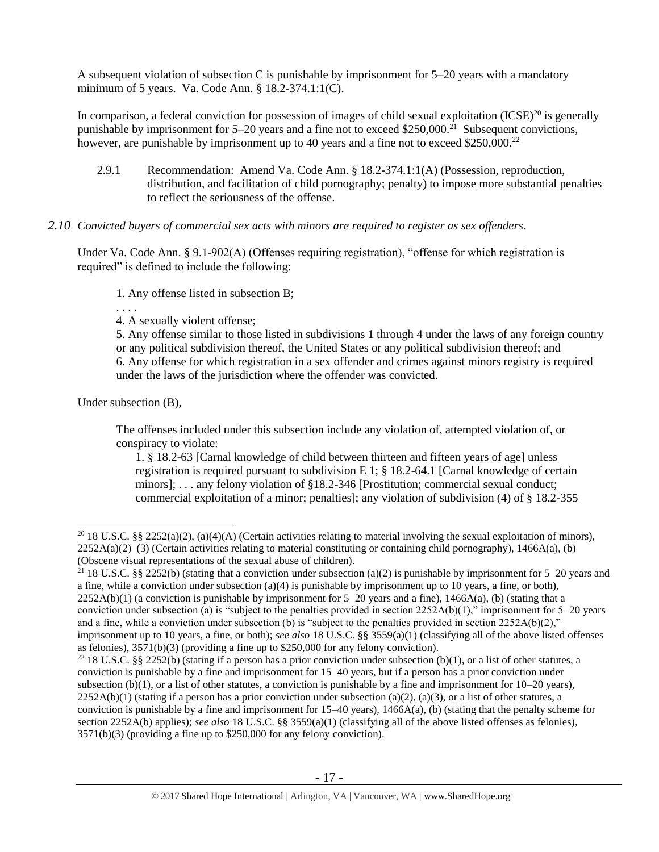A subsequent violation of subsection C is punishable by imprisonment for 5–20 years with a mandatory minimum of 5 years. Va. Code Ann. § 18.2-374.1:1(C).

In comparison, a federal conviction for possession of images of child sexual exploitation  $(ICSE)^{20}$  is generally punishable by imprisonment for 5–20 years and a fine not to exceed \$250,000.<sup>21</sup> Subsequent convictions, however, are punishable by imprisonment up to 40 years and a fine not to exceed  $$250,000.<sup>22</sup>$ 

2.9.1 Recommendation: Amend Va. Code Ann. § 18.2-374.1:1(A) (Possession, reproduction, distribution, and facilitation of child pornography; penalty) to impose more substantial penalties to reflect the seriousness of the offense.

# *2.10 Convicted buyers of commercial sex acts with minors are required to register as sex offenders*.

Under Va. Code Ann. § 9.1-902(A) (Offenses requiring registration), "offense for which registration is required" is defined to include the following:

1. Any offense listed in subsection B;

- . . . .
- 4. A sexually violent offense;

5. Any offense similar to those listed in subdivisions 1 through 4 under the laws of any foreign country or any political subdivision thereof, the United States or any political subdivision thereof; and 6. Any offense for which registration in a sex offender and crimes against minors registry is required under the laws of the jurisdiction where the offender was convicted.

Under subsection (B),

 $\overline{a}$ 

The offenses included under this subsection include any violation of, attempted violation of, or conspiracy to violate:

1. § 18.2-63 [Carnal knowledge of child between thirteen and fifteen vears of agel unless registration is required pursuant to subdivision E 1;  $\S$  18.2-64.1 [Carnal knowledge of certain minors]; . . . any felony violation of §18.2-346 [Prostitution; commercial sexual conduct; commercial exploitation of a minor; penalties]; any violation of subdivision (4) of § 18.2-355

<sup>21</sup> 18 U.S.C. §§ 2252(b) (stating that a conviction under subsection (a)(2) is punishable by imprisonment for 5–20 years and a fine, while a conviction under subsection  $(a)(4)$  is punishable by imprisonment up to 10 years, a fine, or both),  $2252A(b)(1)$  (a conviction is punishable by imprisonment for  $5-20$  years and a fine),  $1466A(a)$ , (b) (stating that a conviction under subsection (a) is "subject to the penalties provided in section  $2252A(b)(1)$ ," imprisonment for 5–20 years and a fine, while a conviction under subsection (b) is "subject to the penalties provided in section  $2252A(b)(2)$ ," imprisonment up to 10 years, a fine, or both); *see also* 18 U.S.C. §§ 3559(a)(1) (classifying all of the above listed offenses as felonies), 3571(b)(3) (providing a fine up to \$250,000 for any felony conviction).

<sup>&</sup>lt;sup>20</sup> 18 U.S.C. §§ 2252(a)(2), (a)(4)(A) (Certain activities relating to material involving the sexual exploitation of minors),  $2252A(a)(2)$ –(3) (Certain activities relating to material constituting or containing child pornography), 1466A(a), (b) (Obscene visual representations of the sexual abuse of children).

<sup>&</sup>lt;sup>22</sup> 18 U.S.C. §§ 2252(b) (stating if a person has a prior conviction under subsection (b)(1), or a list of other statutes, a conviction is punishable by a fine and imprisonment for 15–40 years, but if a person has a prior conviction under subsection (b)(1), or a list of other statutes, a conviction is punishable by a fine and imprisonment for  $10-20$  years),  $2252A(b)(1)$  (stating if a person has a prior conviction under subsection (a)(2), (a)(3), or a list of other statutes, a conviction is punishable by a fine and imprisonment for  $15-40$  years),  $1466A(a)$ , (b) (stating that the penalty scheme for section 2252A(b) applies); *see also* 18 U.S.C. §§ 3559(a)(1) (classifying all of the above listed offenses as felonies), 3571(b)(3) (providing a fine up to \$250,000 for any felony conviction).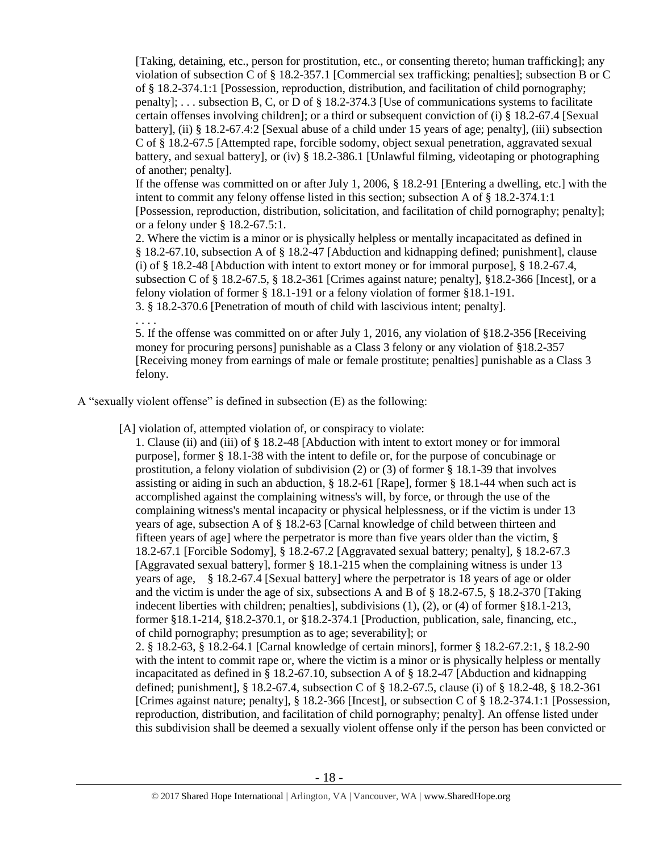[Taking, detaining, etc., person for prostitution, etc., or consenting thereto; human trafficking]; any violation of subsection C of § 18.2-357.1 [Commercial sex trafficking; penalties]; subsection B or C of § 18.2-374.1:1 [Possession, reproduction, distribution, and facilitation of child pornography; penalty]; . . . subsection B, C, or D of § 18.2-374.3 [Use of communications systems to facilitate certain offenses involving children]; or a third or subsequent conviction of (i) § 18.2-67.4 [Sexual battery], (ii) § 18.2-67.4:2 [Sexual abuse of a child under 15 years of age; penalty], (iii) subsection C of § 18.2-67.5 [Attempted rape, forcible sodomy, object sexual penetration, aggravated sexual battery, and sexual battery], or (iv) § 18.2-386.1 [Unlawful filming, videotaping or photographing of another; penalty].

If the offense was committed on or after July 1, 2006, § 18.2-91 [Entering a dwelling, etc.] with the intent to commit any felony offense listed in this section; subsection A of § 18.2-374.1:1 [Possession, reproduction, distribution, solicitation, and facilitation of child pornography; penalty]; or a felony under § 18.2-67.5:1.

2. Where the victim is a minor or is physically helpless or mentally incapacitated as defined in § 18.2-67.10, subsection A of § 18.2-47 [Abduction and kidnapping defined; punishment], clause (i) of § 18.2-48 [Abduction with intent to extort money or for immoral purpose], § 18.2-67.4, subsection C of § 18.2-67.5, § 18.2-361 [Crimes against nature; penalty], §18.2-366 [Incest], or a felony violation of former § 18.1-191 or a felony violation of former §18.1-191. 3. § 18.2-370.6 [Penetration of mouth of child with lascivious intent; penalty].

. . . .

5. If the offense was committed on or after July 1, 2016, any violation of §18.2-356 [Receiving money for procuring persons] punishable as a Class 3 felony or any violation of §18.2-357 [Receiving money from earnings of male or female prostitute; penalties] punishable as a Class 3 felony.

A "sexually violent offense" is defined in subsection (E) as the following:

[A] violation of, attempted violation of, or conspiracy to violate:

1. Clause (ii) and (iii) of § 18.2-48 [Abduction with intent to extort money or for immoral purpose], former § 18.1-38 with the intent to defile or, for the purpose of concubinage or prostitution, a felony violation of subdivision (2) or (3) of former § 18.1-39 that involves assisting or aiding in such an abduction,  $\S$  18.2-61 [Rape], former  $\S$  18.1-44 when such act is accomplished against the complaining witness's will, by force, or through the use of the complaining witness's mental incapacity or physical helplessness, or if the victim is under 13 years of age, subsection A of § 18.2-63 [Carnal knowledge of child between thirteen and fifteen years of age] where the perpetrator is more than five years older than the victim, § 18.2-67.1 [Forcible Sodomy], § 18.2-67.2 [Aggravated sexual battery; penalty], § 18.2-67.3 [Aggravated sexual battery], former § 18.1-215 when the complaining witness is under 13 years of age, § 18.2-67.4 [Sexual battery] where the perpetrator is 18 years of age or older and the victim is under the age of six, subsections A and B of § 18.2-67.5, § 18.2-370 [Taking indecent liberties with children; penalties], subdivisions (1), (2), or (4) of former §18.1-213, former §18.1-214, §18.2-370.1, or §18.2-374.1 [Production, publication, sale, financing, etc., of child pornography; presumption as to age; severability]; or 2. § 18.2-63, § 18.2-64.1 [Carnal knowledge of certain minors], former § 18.2-67.2:1, § 18.2-90 with the intent to commit rape or, where the victim is a minor or is physically helpless or mentally incapacitated as defined in § 18.2-67.10, subsection A of § 18.2-47 [Abduction and kidnapping defined; punishment], § 18.2-67.4, subsection C of § 18.2-67.5, clause (i) of § 18.2-48, § 18.2-361 [Crimes against nature; penalty], § 18.2-366 [Incest], or subsection C of § 18.2-374.1:1 [Possession,

reproduction, distribution, and facilitation of child pornography; penalty]. An offense listed under this subdivision shall be deemed a sexually violent offense only if the person has been convicted or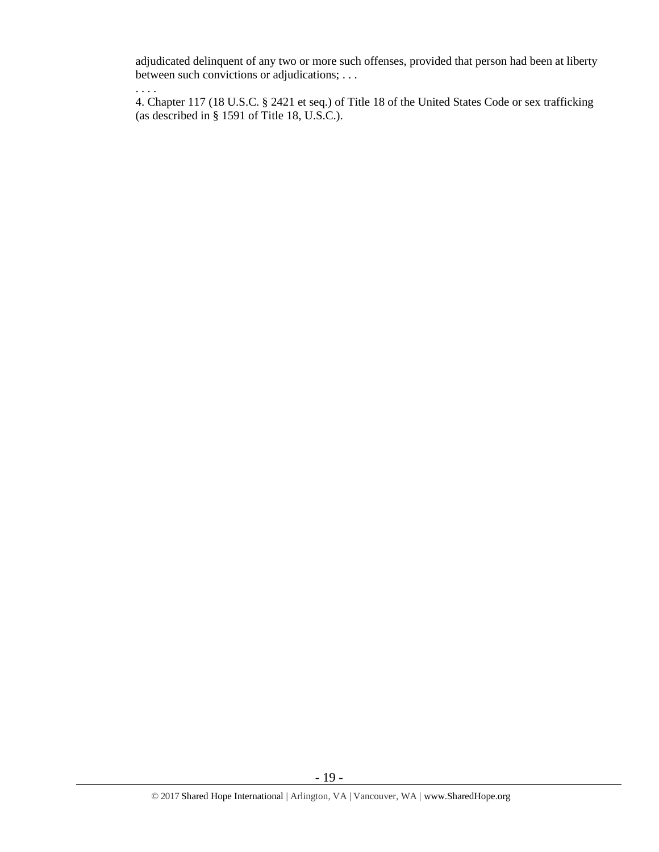adjudicated delinquent of any two or more such offenses, provided that person had been at liberty between such convictions or adjudications; . . .

. . . . 4. Chapter 117 (18 U.S.C. § 2421 et seq.) of Title 18 of the United States Code or sex trafficking (as described in § 1591 of Title 18, U.S.C.).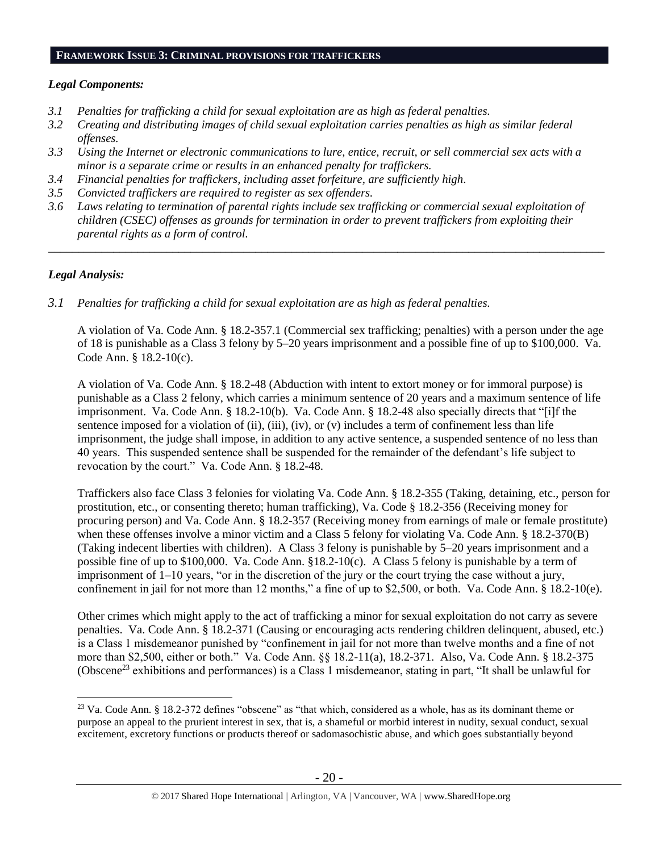#### **FRAMEWORK ISSUE 3: CRIMINAL PROVISIONS FOR TRAFFICKERS**

#### *Legal Components:*

- *3.1 Penalties for trafficking a child for sexual exploitation are as high as federal penalties.*
- *3.2 Creating and distributing images of child sexual exploitation carries penalties as high as similar federal offenses.*
- *3.3 Using the Internet or electronic communications to lure, entice, recruit, or sell commercial sex acts with a minor is a separate crime or results in an enhanced penalty for traffickers.*
- *3.4 Financial penalties for traffickers, including asset forfeiture, are sufficiently high*.
- *3.5 Convicted traffickers are required to register as sex offenders.*
- *3.6 Laws relating to termination of parental rights include sex trafficking or commercial sexual exploitation of children (CSEC) offenses as grounds for termination in order to prevent traffickers from exploiting their parental rights as a form of control.*

*\_\_\_\_\_\_\_\_\_\_\_\_\_\_\_\_\_\_\_\_\_\_\_\_\_\_\_\_\_\_\_\_\_\_\_\_\_\_\_\_\_\_\_\_\_\_\_\_\_\_\_\_\_\_\_\_\_\_\_\_\_\_\_\_\_\_\_\_\_\_\_\_\_\_\_\_\_\_\_\_\_\_\_\_\_\_\_\_\_\_\_\_\_\_*

## *Legal Analysis:*

 $\overline{a}$ 

*3.1 Penalties for trafficking a child for sexual exploitation are as high as federal penalties.* 

A violation of Va. Code Ann. § 18.2-357.1 (Commercial sex trafficking; penalties) with a person under the age of 18 is punishable as a Class 3 felony by 5–20 years imprisonment and a possible fine of up to \$100,000. Va. Code Ann. § 18.2-10(c).

A violation of Va. Code Ann. § 18.2-48 (Abduction with intent to extort money or for immoral purpose) is punishable as a Class 2 felony, which carries a minimum sentence of 20 years and a maximum sentence of life imprisonment. Va. Code Ann. § 18.2-10(b). Va. Code Ann. § 18.2-48 also specially directs that "[i]f the sentence imposed for a violation of (ii), (iii), (iv), or  $(v)$  includes a term of confinement less than life imprisonment, the judge shall impose, in addition to any active sentence, a suspended sentence of no less than 40 years. This suspended sentence shall be suspended for the remainder of the defendant's life subject to revocation by the court." Va. Code Ann. § 18.2-48.

Traffickers also face Class 3 felonies for violating Va. Code Ann. § 18.2-355 (Taking, detaining, etc., person for prostitution, etc., or consenting thereto; human trafficking), Va. Code § 18.2-356 (Receiving money for procuring person) and Va. Code Ann. § 18.2-357 (Receiving money from earnings of male or female prostitute) when these offenses involve a minor victim and a Class 5 felony for violating Va. Code Ann. § 18.2-370(B) (Taking indecent liberties with children). A Class 3 felony is punishable by 5–20 years imprisonment and a possible fine of up to \$100,000. Va. Code Ann. §18.2-10(c). A Class 5 felony is punishable by a term of imprisonment of 1–10 years, "or in the discretion of the jury or the court trying the case without a jury, confinement in jail for not more than 12 months," a fine of up to \$2,500, or both. Va. Code Ann. § 18.2-10(e).

Other crimes which might apply to the act of trafficking a minor for sexual exploitation do not carry as severe penalties. Va. Code Ann. § 18.2-371 (Causing or encouraging acts rendering children delinquent, abused, etc.) is a Class 1 misdemeanor punished by "confinement in jail for not more than twelve months and a fine of not more than \$2,500, either or both." Va. Code Ann. §§ 18.2-11(a), 18.2-371. Also, Va. Code Ann. § 18.2-375 (Obscene<sup>23</sup> exhibitions and performances) is a Class 1 misdemeanor, stating in part, "It shall be unlawful for

<sup>&</sup>lt;sup>23</sup> Va. Code Ann. § 18.2-372 defines "obscene" as "that which, considered as a whole, has as its dominant theme or purpose an appeal to the prurient interest in sex, that is, a shameful or morbid interest in nudity, sexual conduct, sexual excitement, excretory functions or products thereof or sadomasochistic abuse, and which goes substantially beyond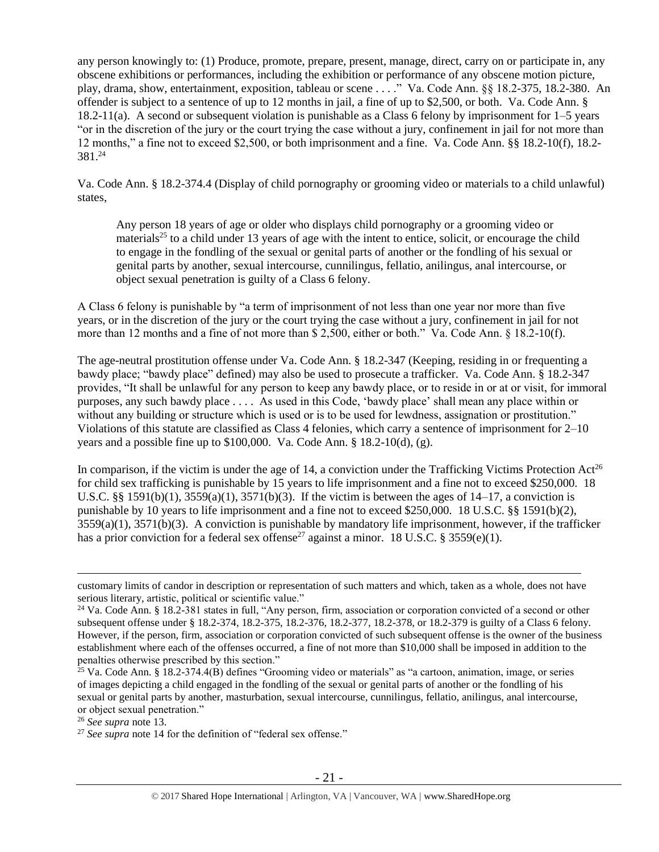any person knowingly to: (1) Produce, promote, prepare, present, manage, direct, carry on or participate in, any obscene exhibitions or performances, including the exhibition or performance of any obscene motion picture, play, drama, show, entertainment, exposition, tableau or scene . . . ." Va. Code Ann. §§ 18.2-375, 18.2-380. An offender is subject to a sentence of up to 12 months in jail, a fine of up to \$2,500, or both. Va. Code Ann. § 18.2-11(a). A second or subsequent violation is punishable as a Class 6 felony by imprisonment for 1–5 years "or in the discretion of the jury or the court trying the case without a jury, confinement in jail for not more than 12 months," a fine not to exceed \$2,500, or both imprisonment and a fine. Va. Code Ann. §§ 18.2-10(f), 18.2-  $381.<sup>24</sup>$ 

Va. Code Ann. § 18.2-374.4 (Display of child pornography or grooming video or materials to a child unlawful) states,

Any person 18 years of age or older who displays child pornography or a grooming video or materials<sup>25</sup> to a child under 13 years of age with the intent to entice, solicit, or encourage the child to engage in the fondling of the sexual or genital parts of another or the fondling of his sexual or genital parts by another, sexual intercourse, cunnilingus, fellatio, anilingus, anal intercourse, or object sexual penetration is guilty of a Class 6 felony.

A Class 6 felony is punishable by "a term of imprisonment of not less than one year nor more than five years, or in the discretion of the jury or the court trying the case without a jury, confinement in jail for not more than 12 months and a fine of not more than \$ 2,500, either or both." Va. Code Ann. § 18.2-10(f).

The age-neutral prostitution offense under Va. Code Ann. § 18.2-347 (Keeping, residing in or frequenting a bawdy place; "bawdy place" defined) may also be used to prosecute a trafficker. Va. Code Ann. § 18.2-347 provides, "It shall be unlawful for any person to keep any bawdy place, or to reside in or at or visit, for immoral purposes, any such bawdy place . . . . As used in this Code, 'bawdy place' shall mean any place within or without any building or structure which is used or is to be used for lewdness, assignation or prostitution." Violations of this statute are classified as Class 4 felonies, which carry a sentence of imprisonment for 2–10 years and a possible fine up to \$100,000. Va. Code Ann. § 18.2-10(d), (g).

In comparison, if the victim is under the age of 14, a conviction under the Trafficking Victims Protection  $Act^{26}$ for child sex trafficking is punishable by 15 years to life imprisonment and a fine not to exceed \$250,000. 18 U.S.C. §§ 1591(b)(1),  $3559(a)(1)$ ,  $3571(b)(3)$ . If the victim is between the ages of 14–17, a conviction is punishable by 10 years to life imprisonment and a fine not to exceed \$250,000. 18 U.S.C. §§ 1591(b)(2), 3559(a)(1), 3571(b)(3). A conviction is punishable by mandatory life imprisonment, however, if the trafficker has a prior conviction for a federal sex offense<sup>27</sup> against a minor. 18 U.S.C. § 3559(e)(1).

customary limits of candor in description or representation of such matters and which, taken as a whole, does not have serious literary, artistic, political or scientific value."

<sup>&</sup>lt;sup>24</sup> Va. Code Ann. § 18.2-381 states in full, "Any person, firm, association or corporation convicted of a second or other subsequent offense under § 18.2-374, 18.2-375, 18.2-376, 18.2-377, 18.2-378, or 18.2-379 is guilty of a Class 6 felony. However, if the person, firm, association or corporation convicted of such subsequent offense is the owner of the business establishment where each of the offenses occurred, a fine of not more than \$10,000 shall be imposed in addition to the penalties otherwise prescribed by this section."

 $25$  Va. Code Ann. § 18.2-374.4(B) defines "Grooming video or materials" as "a cartoon, animation, image, or series of images depicting a child engaged in the fondling of the sexual or genital parts of another or the fondling of his sexual or genital parts by another, masturbation, sexual intercourse, cunnilingus, fellatio, anilingus, anal intercourse, or object sexual penetration."

<sup>26</sup> *See supra* note [13.](#page-10-0)

<sup>&</sup>lt;sup>27</sup> See supra note [14](#page-10-1) for the definition of "federal sex offense."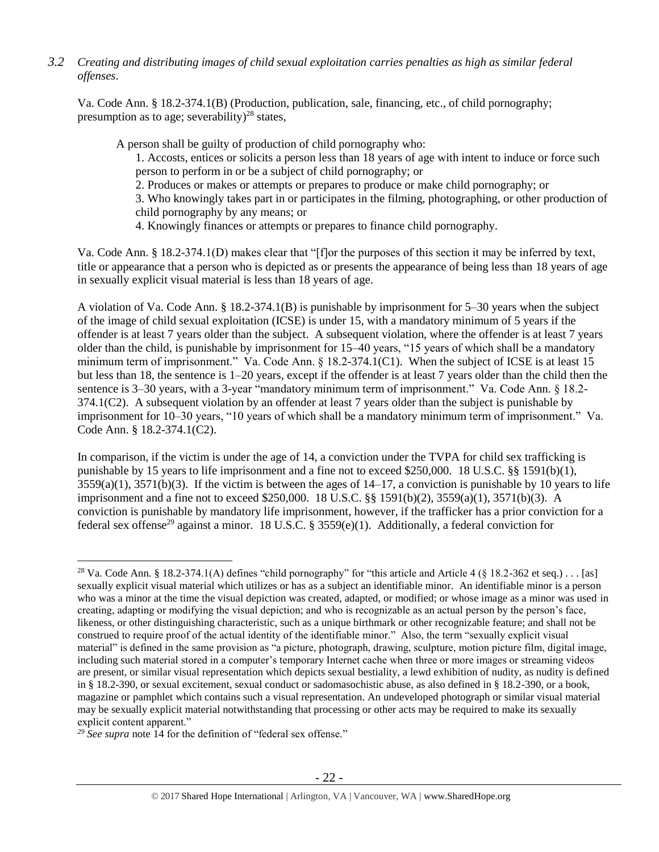*3.2 Creating and distributing images of child sexual exploitation carries penalties as high as similar federal offenses*.

Va. Code Ann. § 18.2-374.1(B) (Production, publication, sale, financing, etc., of child pornography; presumption as to age; severability)<sup>28</sup> states,

A person shall be guilty of production of child pornography who:

<span id="page-21-0"></span>1. Accosts, entices or solicits a person less than 18 years of age with intent to induce or force such person to perform in or be a subject of child pornography; or

2. Produces or makes or attempts or prepares to produce or make child pornography; or

3. Who knowingly takes part in or participates in the filming, photographing, or other production of child pornography by any means; or

4. Knowingly finances or attempts or prepares to finance child pornography.

Va. Code Ann. § 18.2-374.1(D) makes clear that "[f]or the purposes of this section it may be inferred by text, title or appearance that a person who is depicted as or presents the appearance of being less than 18 years of age in sexually explicit visual material is less than 18 years of age.

A violation of Va. Code Ann. § 18.2-374.1(B) is punishable by imprisonment for 5–30 years when the subject of the image of child sexual exploitation (ICSE) is under 15, with a mandatory minimum of 5 years if the offender is at least 7 years older than the subject. A subsequent violation, where the offender is at least 7 years older than the child, is punishable by imprisonment for 15–40 years, "15 years of which shall be a mandatory minimum term of imprisonment." Va. Code Ann. § 18.2-374.1(C1). When the subject of ICSE is at least 15 but less than 18, the sentence is 1–20 years, except if the offender is at least 7 years older than the child then the sentence is 3–30 years, with a 3-year "mandatory minimum term of imprisonment." Va. Code Ann. § 18.2-374.1(C2). A subsequent violation by an offender at least 7 years older than the subject is punishable by imprisonment for 10–30 years, "10 years of which shall be a mandatory minimum term of imprisonment." Va. Code Ann. § 18.2-374.1(C2).

In comparison, if the victim is under the age of 14, a conviction under the TVPA for child sex trafficking is punishable by 15 years to life imprisonment and a fine not to exceed \$250,000. 18 U.S.C. §§ 1591(b)(1),  $3559(a)(1)$ ,  $3571(b)(3)$ . If the victim is between the ages of  $14-17$ , a conviction is punishable by 10 years to life imprisonment and a fine not to exceed \$250,000. 18 U.S.C. §§ 1591(b)(2), 3559(a)(1), 3571(b)(3). A conviction is punishable by mandatory life imprisonment, however, if the trafficker has a prior conviction for a federal sex offense<sup>29</sup> against a minor. 18 U.S.C. § 3559(e)(1). Additionally, a federal conviction for

*<sup>29</sup> See supra* note [14](#page-10-1) for the definition of "federal sex offense."

<sup>&</sup>lt;sup>28</sup> Va. Code Ann. § 18.2-374.1(A) defines "child pornography" for "this article and Article 4 (§ 18.2-362 et seq.) . . . [as] sexually explicit visual material which utilizes or has as a subject an identifiable minor. An identifiable minor is a person who was a minor at the time the visual depiction was created, adapted, or modified; or whose image as a minor was used in creating, adapting or modifying the visual depiction; and who is recognizable as an actual person by the person's face, likeness, or other distinguishing characteristic, such as a unique birthmark or other recognizable feature; and shall not be construed to require proof of the actual identity of the identifiable minor." Also, the term "sexually explicit visual material" is defined in the same provision as "a picture, photograph, drawing, sculpture, motion picture film, digital image, including such material stored in a computer's temporary Internet cache when three or more images or streaming videos are present, or similar visual representation which depicts sexual bestiality, a lewd exhibition of nudity, as nudity is defined in § 18.2-390, or sexual excitement, sexual conduct or sadomasochistic abuse, as also defined in § 18.2-390, or a book, magazine or pamphlet which contains such a visual representation. An undeveloped photograph or similar visual material may be sexually explicit material notwithstanding that processing or other acts may be required to make its sexually explicit content apparent."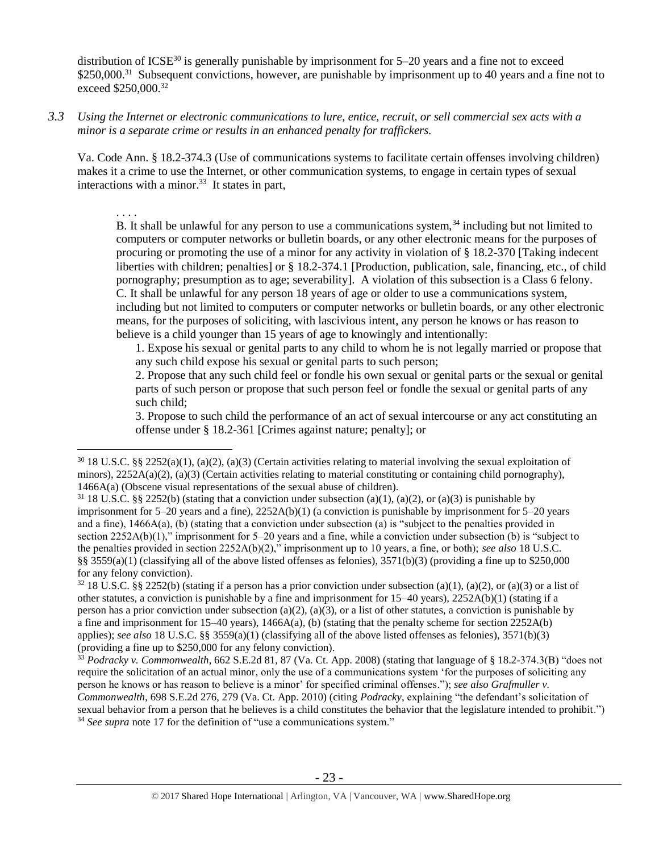distribution of ICSE<sup>30</sup> is generally punishable by imprisonment for  $5-20$  years and a fine not to exceed \$250,000.<sup>31</sup> Subsequent convictions, however, are punishable by imprisonment up to 40 years and a fine not to exceed \$250,000.<sup>32</sup>

*3.3 Using the Internet or electronic communications to lure, entice, recruit, or sell commercial sex acts with a minor is a separate crime or results in an enhanced penalty for traffickers.*

Va. Code Ann. § 18.2-374.3 (Use of communications systems to facilitate certain offenses involving children) makes it a crime to use the Internet, or other communication systems, to engage in certain types of sexual interactions with a minor.<sup>33</sup> It states in part,

. . . .

 $\overline{a}$ 

B. It shall be unlawful for any person to use a communications system,  $34$  including but not limited to computers or computer networks or bulletin boards, or any other electronic means for the purposes of procuring or promoting the use of a minor for any activity in violation of § 18.2-370 [Taking indecent liberties with children; penalties] or § 18.2-374.1 [Production, publication, sale, financing, etc., of child pornography; presumption as to age; severability]. A violation of this subsection is a Class 6 felony. C. It shall be unlawful for any person 18 years of age or older to use a communications system, including but not limited to computers or computer networks or bulletin boards, or any other electronic means, for the purposes of soliciting, with lascivious intent, any person he knows or has reason to believe is a child younger than 15 years of age to knowingly and intentionally:

1. Expose his sexual or genital parts to any child to whom he is not legally married or propose that any such child expose his sexual or genital parts to such person;

2. Propose that any such child feel or fondle his own sexual or genital parts or the sexual or genital parts of such person or propose that such person feel or fondle the sexual or genital parts of any such child;

3. Propose to such child the performance of an act of sexual intercourse or any act constituting an offense under § 18.2-361 [Crimes against nature; penalty]; or

 $32\,18$  U.S.C. §§ 2252(b) (stating if a person has a prior conviction under subsection (a)(1), (a)(2), or (a)(3) or a list of other statutes, a conviction is punishable by a fine and imprisonment for 15–40 years), 2252A(b)(1) (stating if a person has a prior conviction under subsection (a)(2), (a)(3), or a list of other statutes, a conviction is punishable by a fine and imprisonment for  $15-40$  years),  $1466A(a)$ , (b) (stating that the penalty scheme for section 2252A(b) applies); *see also* 18 U.S.C. §§ 3559(a)(1) (classifying all of the above listed offenses as felonies), 3571(b)(3) (providing a fine up to \$250,000 for any felony conviction).

<sup>33</sup> *Podracky v. Commonwealth*, 662 S.E.2d 81, 87 (Va. Ct. App. 2008) (stating that language of § 18.2-374.3(B) "does not require the solicitation of an actual minor, only the use of a communications system 'for the purposes of soliciting any person he knows or has reason to believe is a minor' for specified criminal offenses."); *see also Grafmuller v. Commonwealth*, 698 S.E.2d 276, 279 (Va. Ct. App. 2010) (citing *Podracky*, explaining "the defendant's solicitation of sexual behavior from a person that he believes is a child constitutes the behavior that the legislature intended to prohibit.") <sup>34</sup> See supra note [17](#page-11-0) for the definition of "use a communications system."

 $30\,18$  U.S.C. §§ 2252(a)(1), (a)(2), (a)(3) (Certain activities relating to material involving the sexual exploitation of minors),  $2252A(a)(2)$ ,  $(a)(3)$  (Certain activities relating to material constituting or containing child pornography), 1466A(a) (Obscene visual representations of the sexual abuse of children).

<sup>&</sup>lt;sup>31</sup> 18 U.S.C. §§ 2252(b) (stating that a conviction under subsection (a)(1), (a)(2), or (a)(3) is punishable by imprisonment for  $5-20$  years and a fine),  $2252A(b)(1)$  (a conviction is punishable by imprisonment for  $5-20$  years and a fine), 1466A(a), (b) (stating that a conviction under subsection (a) is "subject to the penalties provided in section 2252A(b)(1)," imprisonment for 5–20 years and a fine, while a conviction under subsection (b) is "subject to the penalties provided in section 2252A(b)(2)," imprisonment up to 10 years, a fine, or both); *see also* 18 U.S.C. §§ 3559(a)(1) (classifying all of the above listed offenses as felonies),  $3571(b)(3)$  (providing a fine up to \$250,000 for any felony conviction).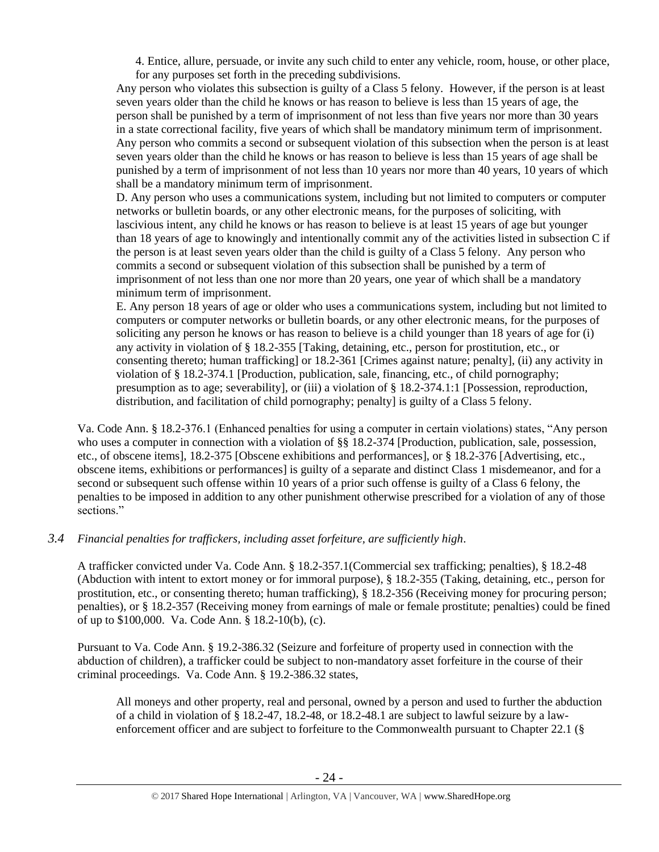4. Entice, allure, persuade, or invite any such child to enter any vehicle, room, house, or other place, for any purposes set forth in the preceding subdivisions.

Any person who violates this subsection is guilty of a Class 5 felony. However, if the person is at least seven years older than the child he knows or has reason to believe is less than 15 years of age, the person shall be punished by a term of imprisonment of not less than five years nor more than 30 years in a state correctional facility, five years of which shall be mandatory minimum term of imprisonment. Any person who commits a second or subsequent violation of this subsection when the person is at least seven years older than the child he knows or has reason to believe is less than 15 years of age shall be punished by a term of imprisonment of not less than 10 years nor more than 40 years, 10 years of which shall be a mandatory minimum term of imprisonment.

D. Any person who uses a communications system, including but not limited to computers or computer networks or bulletin boards, or any other electronic means, for the purposes of soliciting, with lascivious intent, any child he knows or has reason to believe is at least 15 years of age but younger than 18 years of age to knowingly and intentionally commit any of the activities listed in subsection C if the person is at least seven years older than the child is guilty of a Class 5 felony. Any person who commits a second or subsequent violation of this subsection shall be punished by a term of imprisonment of not less than one nor more than 20 years, one year of which shall be a mandatory minimum term of imprisonment.

E. Any person 18 years of age or older who uses a communications system, including but not limited to computers or computer networks or bulletin boards, or any other electronic means, for the purposes of soliciting any person he knows or has reason to believe is a child younger than 18 years of age for (i) any activity in violation of § 18.2-355 [Taking, detaining, etc., person for prostitution, etc., or consenting thereto; human trafficking] or 18.2-361 [Crimes against nature; penalty], (ii) any activity in violation of § 18.2-374.1 [Production, publication, sale, financing, etc., of child pornography; presumption as to age; severability], or (iii) a violation of § 18.2-374.1:1 [Possession, reproduction, distribution, and facilitation of child pornography; penalty] is guilty of a Class 5 felony.

Va. Code Ann. § 18.2-376.1 (Enhanced penalties for using a computer in certain violations) states, "Any person who uses a computer in connection with a violation of §§ 18.2-374 [Production, publication, sale, possession, etc., of obscene items], 18.2-375 [Obscene exhibitions and performances], or § 18.2-376 [Advertising, etc., obscene items, exhibitions or performances] is guilty of a separate and distinct Class 1 misdemeanor, and for a second or subsequent such offense within 10 years of a prior such offense is guilty of a Class 6 felony, the penalties to be imposed in addition to any other punishment otherwise prescribed for a violation of any of those sections."

# *3.4 Financial penalties for traffickers, including asset forfeiture, are sufficiently high*.

A trafficker convicted under Va. Code Ann. § 18.2-357.1(Commercial sex trafficking; penalties), § 18.2-48 (Abduction with intent to extort money or for immoral purpose), § 18.2-355 (Taking, detaining, etc., person for prostitution, etc., or consenting thereto; human trafficking), § 18.2-356 (Receiving money for procuring person; penalties), or § 18.2-357 (Receiving money from earnings of male or female prostitute; penalties) could be fined of up to \$100,000. Va. Code Ann. § 18.2-10(b), (c).

Pursuant to Va. Code Ann. § 19.2-386.32 (Seizure and forfeiture of property used in connection with the abduction of children), a trafficker could be subject to non-mandatory asset forfeiture in the course of their criminal proceedings. Va. Code Ann. § 19.2-386.32 states,

All moneys and other property, real and personal, owned by a person and used to further the abduction of a child in violation of § 18.2-47, 18.2-48, or 18.2-48.1 are subject to lawful seizure by a lawenforcement officer and are subject to forfeiture to the Commonwealth pursuant to Chapter 22.1 (§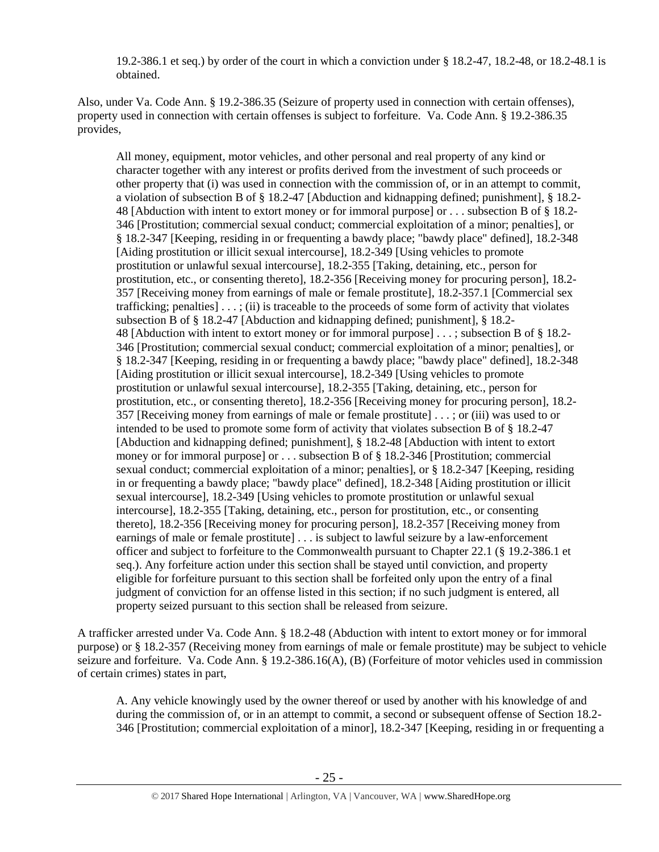19.2-386.1 et seq.) by order of the court in which a conviction under § 18.2-47, 18.2-48, or 18.2-48.1 is obtained.

Also, under Va. Code Ann. § 19.2-386.35 (Seizure of property used in connection with certain offenses), property used in connection with certain offenses is subject to forfeiture. Va. Code Ann. § 19.2-386.35 provides,

All money, equipment, motor vehicles, and other personal and real property of any kind or character together with any interest or profits derived from the investment of such proceeds or other property that (i) was used in connection with the commission of, or in an attempt to commit, a violation of subsection B of § 18.2-47 [Abduction and kidnapping defined; punishment], § 18.2- 48 [Abduction with intent to extort money or for immoral purpose] or . . . subsection B of § 18.2- 346 [Prostitution; commercial sexual conduct; commercial exploitation of a minor; penalties], or § 18.2-347 [Keeping, residing in or frequenting a bawdy place; "bawdy place" defined], [18.2-348](http://lis.virginia.gov/cgi-bin/legp604.exe?000+cod+18.2-348) [Aiding prostitution or illicit sexual intercourse], 18.2-349 [Using vehicles to promote prostitution or unlawful sexual intercourse], 18.2-355 [Taking, detaining, etc., person for prostitution, etc., or consenting thereto], 18.2-356 [Receiving money for procuring person], 18.2- 357 [Receiving money from earnings of male or female prostitute], 18.2-357.1 [Commercial sex trafficking; penalties  $\cdots$ ; (ii) is traceable to the proceeds of some form of activity that violates subsection B of § 18.2-47 [Abduction and kidnapping defined; punishment], § 18.2- 48 [Abduction with intent to extort money or for immoral purpose] . . . ; subsection B of § 18.2- 346 [Prostitution; commercial sexual conduct; commercial exploitation of a minor; penalties], or § 18.2-347 [Keeping, residing in or frequenting a bawdy place; "bawdy place" defined], 18.2-348 [Aiding prostitution or illicit sexual intercourse], 18.2-349 [Using vehicles to promote prostitution or unlawful sexual intercourse], 18.2-355 [Taking, detaining, etc., person for prostitution, etc., or consenting thereto], 18.2-356 [Receiving money for procuring person], [18.2-](http://lis.virginia.gov/cgi-bin/legp604.exe?000+cod+18.2-357) [357](http://lis.virginia.gov/cgi-bin/legp604.exe?000+cod+18.2-357) [Receiving money from earnings of male or female prostitute] [. . . ;](http://lis.virginia.gov/cgi-bin/legp604.exe?000+cod+40.1-29) or (iii) was used to or intended to be used to promote some form of activity that violates subsection B of § 18.2-47 [Abduction and kidnapping defined; punishment], § 18.2-48 [Abduction with intent to extort money or for immoral purpose] or . . . subsection B of § 18.2-346 [Prostitution; commercial sexual conduct; commercial exploitation of a minor; penalties], or § 18.2-347 [Keeping, residing in or frequenting a bawdy place; "bawdy place" defined], 18.2-348 [Aiding prostitution or illicit sexual intercourse], 18.2-349 [Using vehicles to promote prostitution or unlawful sexual intercourse], 18.2-355 [Taking, detaining, etc., person for prostitution, etc., or consenting thereto], 18.2-356 [Receiving money for procuring person], 18.2-357 [Receiving money from earnings of male or female prostitute] . . . is subject to lawful seizure by a law-enforcement officer and subject to forfeiture to the Commonwealth pursuant to Chapter 22.1 (§ 19.2-386.1 et seq.). Any forfeiture action under this section shall be stayed until conviction, and property eligible for forfeiture pursuant to this section shall be forfeited only upon the entry of a final judgment of conviction for an offense listed in this section; if no such judgment is entered, all property seized pursuant to this section shall be released from seizure.

A trafficker arrested under Va. Code Ann. § 18.2-48 (Abduction with intent to extort money or for immoral purpose) or § 18.2-357 (Receiving money from earnings of male or female prostitute) may be subject to vehicle seizure and forfeiture. Va. Code Ann. § 19.2-386.16(A), (B) (Forfeiture of motor vehicles used in commission of certain crimes) states in part,

A. Any vehicle knowingly used by the owner thereof or used by another with his knowledge of and during the commission of, or in an attempt to commit, a second or subsequent offense of Section 18.2- 346 [Prostitution; commercial exploitation of a minor], 18.2-347 [Keeping, residing in or frequenting a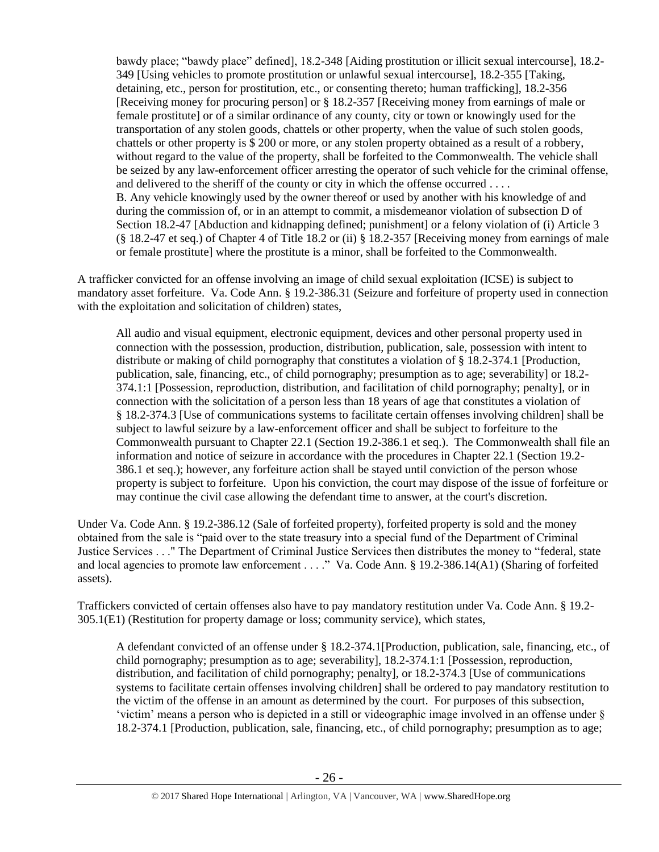bawdy place; "bawdy place" defined], 18.2-348 [Aiding prostitution or illicit sexual intercourse], 18.2- 349 [Using vehicles to promote prostitution or unlawful sexual intercourse], 18.2-355 [Taking, detaining, etc., person for prostitution, etc., or consenting thereto; human trafficking], 18.2-356 [Receiving money for procuring person] or § 18.2-357 [Receiving money from earnings of male or female prostitute] or of a similar ordinance of any county, city or town or knowingly used for the transportation of any stolen goods, chattels or other property, when the value of such stolen goods, chattels or other property is \$ 200 or more, or any stolen property obtained as a result of a robbery, without regard to the value of the property, shall be forfeited to the Commonwealth. The vehicle shall be seized by any law-enforcement officer arresting the operator of such vehicle for the criminal offense, and delivered to the sheriff of the county or city in which the offense occurred . . . . B. Any vehicle knowingly used by the owner thereof or used by another with his knowledge of and during the commission of, or in an attempt to commit, a misdemeanor violation of subsection D of Section 18.2-47 [Abduction and kidnapping defined; punishment] or a felony violation of (i) Article 3 (§ 18.2-47 et seq.) of Chapter 4 of Title 18.2 or (ii) § 18.2-357 [Receiving money from earnings of male or female prostitute] where the prostitute is a minor, shall be forfeited to the Commonwealth.

A trafficker convicted for an offense involving an image of child sexual exploitation (ICSE) is subject to mandatory asset forfeiture. Va. Code Ann. § 19.2-386.31 (Seizure and forfeiture of property used in connection with the exploitation and solicitation of children) states,

All audio and visual equipment, electronic equipment, devices and other personal property used in connection with the possession, production, distribution, publication, sale, possession with intent to distribute or making of child pornography that constitutes a violation of § 18.2-374.1 [Production, publication, sale, financing, etc., of child pornography; presumption as to age; severability] or 18.2- 374.1:1 [Possession, reproduction, distribution, and facilitation of child pornography; penalty], or in connection with the solicitation of a person less than 18 years of age that constitutes a violation of § 18.2-374.3 [Use of communications systems to facilitate certain offenses involving children] shall be subject to lawful seizure by a law-enforcement officer and shall be subject to forfeiture to the Commonwealth pursuant to Chapter 22.1 (Section 19.2-386.1 et seq.). The Commonwealth shall file an information and notice of seizure in accordance with the procedures in Chapter 22.1 (Section 19.2- 386.1 et seq.); however, any forfeiture action shall be stayed until conviction of the person whose property is subject to forfeiture. Upon his conviction, the court may dispose of the issue of forfeiture or may continue the civil case allowing the defendant time to answer, at the court's discretion.

Under Va. Code Ann. § 19.2-386.12 (Sale of forfeited property), forfeited property is sold and the money obtained from the sale is "paid over to the state treasury into a special fund of the Department of Criminal Justice Services . . ." The Department of Criminal Justice Services then distributes the money to "federal, state and local agencies to promote law enforcement . . . ." Va. Code Ann. § 19.2-386.14(A1) (Sharing of forfeited assets).

Traffickers convicted of certain offenses also have to pay mandatory restitution under Va. Code Ann. § 19.2- 305.1(E1) (Restitution for property damage or loss; community service), which states,

A defendant convicted of an offense under § 18.2-374.1[Production, publication, sale, financing, etc., of child pornography; presumption as to age; severability], 18.2-374.1:1 [Possession, reproduction, distribution, and facilitation of child pornography; penalty], or 18.2-374.3 [Use of communications systems to facilitate certain offenses involving children] shall be ordered to pay mandatory restitution to the victim of the offense in an amount as determined by the court. For purposes of this subsection, 'victim' means a person who is depicted in a still or videographic image involved in an offense under § 18.2-374.1 [Production, publication, sale, financing, etc., of child pornography; presumption as to age;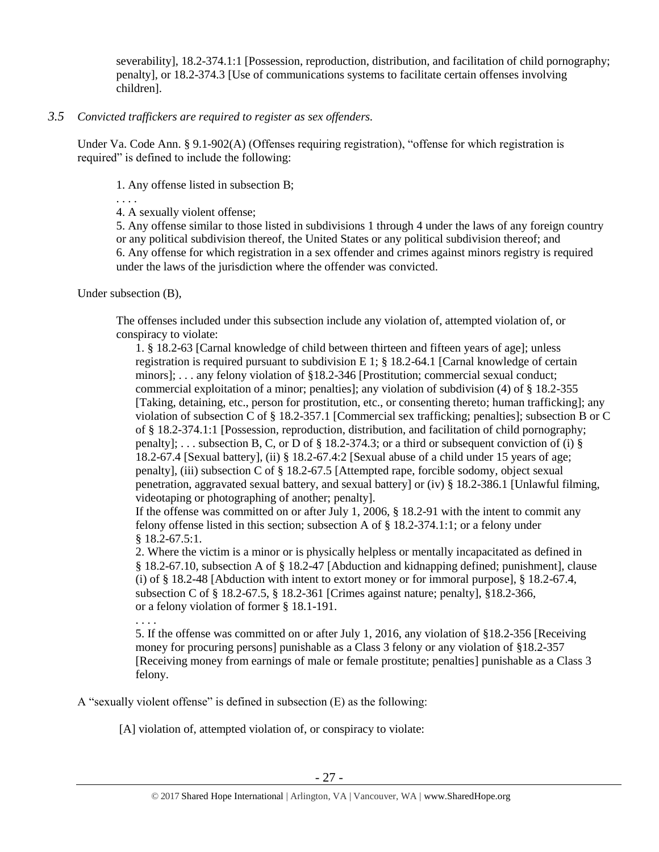severability], 18.2-374.1:1 [Possession, reproduction, distribution, and facilitation of child pornography; penalty], or 18.2-374.3 [Use of communications systems to facilitate certain offenses involving children].

# *3.5 Convicted traffickers are required to register as sex offenders.*

Under Va. Code Ann. § 9.1-902(A) (Offenses requiring registration), "offense for which registration is required" is defined to include the following:

1. Any offense listed in subsection B;

. . . .

4. A sexually violent offense;

5. Any offense similar to those listed in subdivisions 1 through 4 under the laws of any foreign country or any political subdivision thereof, the United States or any political subdivision thereof; and 6. Any offense for which registration in a sex offender and crimes against minors registry is required under the laws of the jurisdiction where the offender was convicted.

Under subsection (B),

The offenses included under this subsection include any violation of, attempted violation of, or conspiracy to violate:

1. § 18.2-63 [Carnal knowledge of child between thirteen and fifteen years of age]; unless registration is required pursuant to subdivision E 1;  $\S$  18.2-64.1 [Carnal knowledge of certain minors]; . . . any felony violation of §18.2-346 [Prostitution; commercial sexual conduct; commercial exploitation of a minor; penalties]; any violation of subdivision (4) of § 18.2-355 [Taking, detaining, etc., person for prostitution, etc., or consenting thereto; human trafficking]; any violation of subsection C of § 18.2-357.1 [Commercial sex trafficking; penalties]; subsection B or C of § 18.2-374.1:1 [Possession, reproduction, distribution, and facilitation of child pornography; penalty]; ... subsection B, C, or D of § 18.2-374.3; or a third or subsequent conviction of (i) § 18.2-67.4 [Sexual battery], (ii) § 18.2-67.4:2 [Sexual abuse of a child under 15 years of age; penalty], (iii) subsection C of § 18.2-67.5 [Attempted rape, forcible sodomy, object sexual penetration, aggravated sexual battery, and sexual battery] or (iv) § 18.2-386.1 [Unlawful filming, videotaping or photographing of another; penalty].

If the offense was committed on or after July 1, 2006, § 18.2-91 with the intent to commit any felony offense listed in this section; subsection A of § 18.2-374.1:1; or a felony under § 18.2-67.5:1.

2. Where the victim is a minor or is physically helpless or mentally incapacitated as defined in § 18.2-67.10, subsection A of § 18.2-47 [Abduction and kidnapping defined; punishment], clause (i) of § 18.2-48 [Abduction with intent to extort money or for immoral purpose], § 18.2-67.4, subsection C of § 18.2-67.5, § 18.2-361 [Crimes against nature; penalty], §18.2-366, or a felony violation of former § 18.1-191.

. . . .

5. If the offense was committed on or after July 1, 2016, any violation of §18.2-356 [Receiving money for procuring persons] punishable as a Class 3 felony or any violation of §18.2-357 [Receiving money from earnings of male or female prostitute; penalties] punishable as a Class 3 felony.

A "sexually violent offense" is defined in subsection (E) as the following:

[A] violation of, attempted violation of, or conspiracy to violate: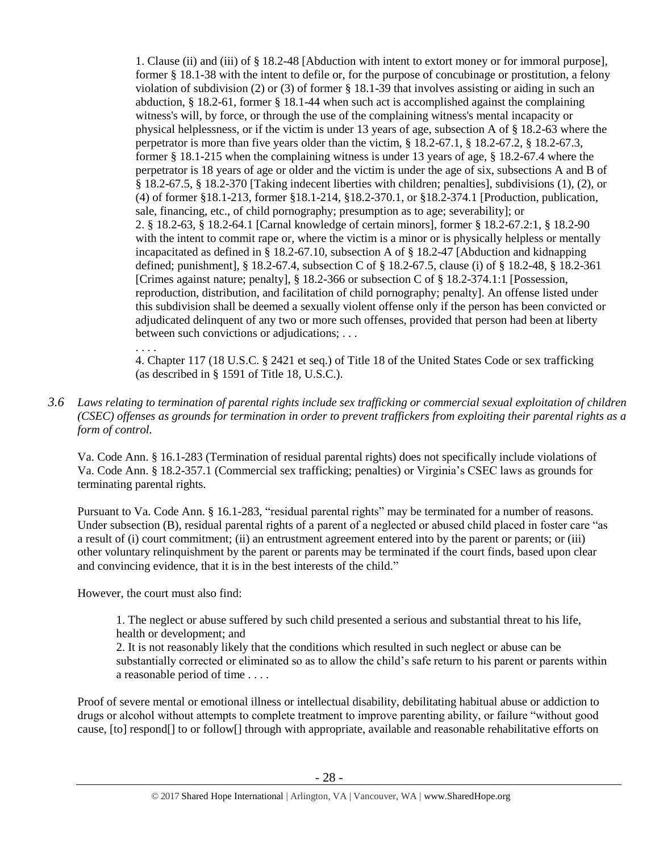1. Clause (ii) and (iii) of § 18.2-48 [Abduction with intent to extort money or for immoral purpose], former § 18.1-38 with the intent to defile or, for the purpose of concubinage or prostitution, a felony violation of subdivision (2) or (3) of former § 18.1-39 that involves assisting or aiding in such an abduction, § 18.2-61, former § 18.1-44 when such act is accomplished against the complaining witness's will, by force, or through the use of the complaining witness's mental incapacity or physical helplessness, or if the victim is under 13 years of age, subsection A of § 18.2-63 where the perpetrator is more than five years older than the victim, § 18.2-67.1, § 18.2-67.2, § 18.2-67.3, former § 18.1-215 when the complaining witness is under 13 years of age, § 18.2-67.4 where the perpetrator is 18 years of age or older and the victim is under the age of six, subsections A and B of § 18.2-67.5, § 18.2-370 [Taking indecent liberties with children; penalties], subdivisions (1), (2), or (4) of former §18.1-213, former §18.1-214, §18.2-370.1, or §18.2-374.1 [Production, publication, sale, financing, etc., of child pornography; presumption as to age; severability]; or 2. § 18.2-63, § 18.2-64.1 [Carnal knowledge of certain minors], former § 18.2-67.2:1, § 18.2-90 with the intent to commit rape or, where the victim is a minor or is physically helpless or mentally incapacitated as defined in § 18.2-67.10, subsection A of § 18.2-47 [Abduction and kidnapping defined; punishment], § 18.2-67.4, subsection C of § 18.2-67.5, clause (i) of § 18.2-48, § 18.2-361 [Crimes against nature; penalty], § 18.2-366 or subsection C of § 18.2-374.1:1 [Possession, reproduction, distribution, and facilitation of child pornography; penalty]. An offense listed under this subdivision shall be deemed a sexually violent offense only if the person has been convicted or adjudicated delinquent of any two or more such offenses, provided that person had been at liberty between such convictions or adjudications; . . .

4. Chapter 117 (18 U.S.C. § 2421 et seq.) of Title 18 of the United States Code or sex trafficking (as described in § 1591 of Title 18, U.S.C.).

# *3.6 Laws relating to termination of parental rights include sex trafficking or commercial sexual exploitation of children (CSEC) offenses as grounds for termination in order to prevent traffickers from exploiting their parental rights as a form of control.*

Va. Code Ann. § 16.1-283 (Termination of residual parental rights) does not specifically include violations of Va. Code Ann. § 18.2-357.1 (Commercial sex trafficking; penalties) or Virginia's CSEC laws as grounds for terminating parental rights.

Pursuant to Va. Code Ann. § 16.1-283, "residual parental rights" may be terminated for a number of reasons. Under subsection (B), residual parental rights of a parent of a neglected or abused child placed in foster care "as a result of (i) court commitment; (ii) an entrustment agreement entered into by the parent or parents; or (iii) other voluntary relinquishment by the parent or parents may be terminated if the court finds, based upon clear and convincing evidence, that it is in the best interests of the child."

However, the court must also find:

. . . .

1. The neglect or abuse suffered by such child presented a serious and substantial threat to his life, health or development; and

2. It is not reasonably likely that the conditions which resulted in such neglect or abuse can be substantially corrected or eliminated so as to allow the child's safe return to his parent or parents within a reasonable period of time . . . .

Proof of severe mental or emotional illness or intellectual disability, debilitating habitual abuse or addiction to drugs or alcohol without attempts to complete treatment to improve parenting ability, or failure "without good cause, [to] respond[] to or follow[] through with appropriate, available and reasonable rehabilitative efforts on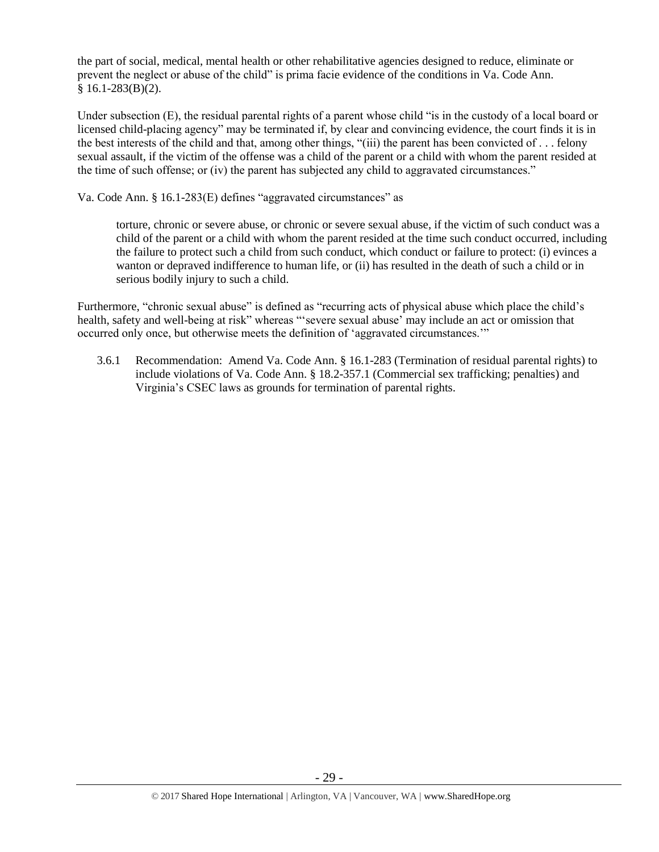the part of social, medical, mental health or other rehabilitative agencies designed to reduce, eliminate or prevent the neglect or abuse of the child" is prima facie evidence of the conditions in Va. Code Ann. § 16.1-283(B)(2).

Under subsection (E), the residual parental rights of a parent whose child "is in the custody of a local board or licensed child-placing agency" may be terminated if, by clear and convincing evidence, the court finds it is in the best interests of the child and that, among other things, "(iii) the parent has been convicted of . . . felony sexual assault, if the victim of the offense was a child of the parent or a child with whom the parent resided at the time of such offense; or (iv) the parent has subjected any child to aggravated circumstances."

Va. Code Ann. § 16.1-283(E) defines "aggravated circumstances" as

torture, chronic or severe abuse, or chronic or severe sexual abuse, if the victim of such conduct was a child of the parent or a child with whom the parent resided at the time such conduct occurred, including the failure to protect such a child from such conduct, which conduct or failure to protect: (i) evinces a wanton or depraved indifference to human life, or (ii) has resulted in the death of such a child or in serious bodily injury to such a child.

Furthermore, "chronic sexual abuse" is defined as "recurring acts of physical abuse which place the child's health, safety and well-being at risk" whereas "severe sexual abuse' may include an act or omission that occurred only once, but otherwise meets the definition of 'aggravated circumstances.'"

3.6.1 Recommendation: Amend Va. Code Ann. § 16.1-283 (Termination of residual parental rights) to include violations of Va. Code Ann. § 18.2-357.1 (Commercial sex trafficking; penalties) and Virginia's CSEC laws as grounds for termination of parental rights.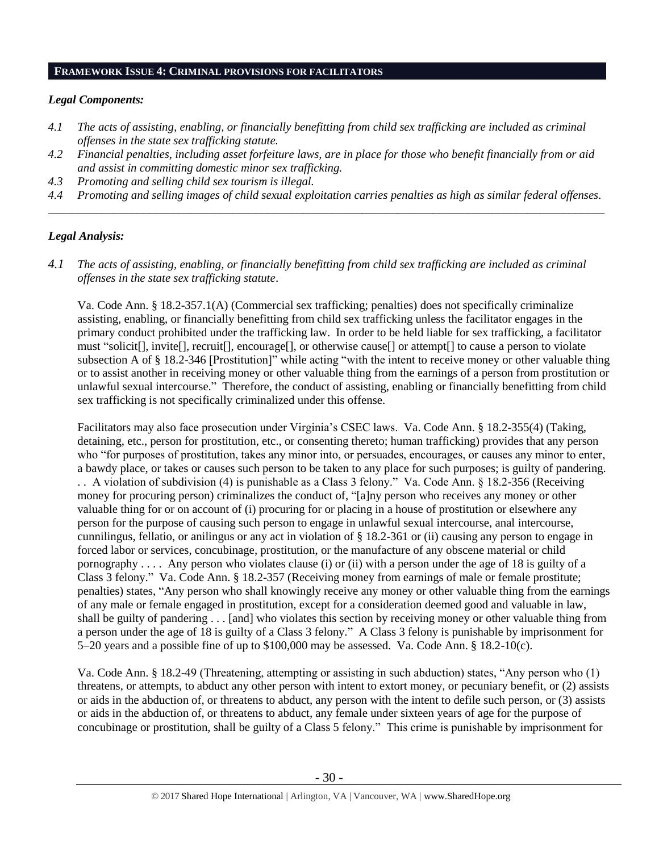#### **FRAMEWORK ISSUE 4: CRIMINAL PROVISIONS FOR FACILITATORS**

### *Legal Components:*

- *4.1 The acts of assisting, enabling, or financially benefitting from child sex trafficking are included as criminal offenses in the state sex trafficking statute.*
- *4.2 Financial penalties, including asset forfeiture laws, are in place for those who benefit financially from or aid and assist in committing domestic minor sex trafficking.*
- *4.3 Promoting and selling child sex tourism is illegal.*
- *4.4 Promoting and selling images of child sexual exploitation carries penalties as high as similar federal offenses. \_\_\_\_\_\_\_\_\_\_\_\_\_\_\_\_\_\_\_\_\_\_\_\_\_\_\_\_\_\_\_\_\_\_\_\_\_\_\_\_\_\_\_\_\_\_\_\_\_\_\_\_\_\_\_\_\_\_\_\_\_\_\_\_\_\_\_\_\_\_\_\_\_\_\_\_\_\_\_\_\_\_\_\_\_\_\_\_\_\_\_\_\_\_*

## *Legal Analysis:*

*4.1 The acts of assisting, enabling, or financially benefitting from child sex trafficking are included as criminal offenses in the state sex trafficking statute*.

Va. Code Ann. § 18.2-357.1(A) (Commercial sex trafficking; penalties) does not specifically criminalize assisting, enabling, or financially benefitting from child sex trafficking unless the facilitator engages in the primary conduct prohibited under the trafficking law. In order to be held liable for sex trafficking, a facilitator must "solicit[], invite[], recruit[], encourage[], or otherwise cause[] or attempt[] to cause a person to violate subsection A of § 18.2-346 [Prostitution]" while acting "with the intent to receive money or other valuable thing or to assist another in receiving money or other valuable thing from the earnings of a person from prostitution or unlawful sexual intercourse." Therefore, the conduct of assisting, enabling or financially benefitting from child sex trafficking is not specifically criminalized under this offense.

Facilitators may also face prosecution under Virginia's CSEC laws. Va. Code Ann. § 18.2-355(4) (Taking, detaining, etc., person for prostitution, etc., or consenting thereto; human trafficking) provides that any person who "for purposes of prostitution, takes any minor into, or persuades, encourages, or causes any minor to enter, a bawdy place, or takes or causes such person to be taken to any place for such purposes; is guilty of pandering. . . A violation of subdivision (4) is punishable as a Class 3 felony." Va. Code Ann. § 18.2-356 (Receiving money for procuring person) criminalizes the conduct of, "[a]ny person who receives any money or other valuable thing for or on account of (i) procuring for or placing in a house of prostitution or elsewhere any person for the purpose of causing such person to engage in unlawful sexual intercourse, anal intercourse, cunnilingus, fellatio, or anilingus or any act in violation of § 18.2-361 or (ii) causing any person to engage in forced labor or services, concubinage, prostitution, or the manufacture of any obscene material or child pornography . . . . Any person who violates clause (i) or (ii) with a person under the age of 18 is guilty of a Class 3 felony." Va. Code Ann. § 18.2-357 (Receiving money from earnings of male or female prostitute; penalties) states, "Any person who shall knowingly receive any money or other valuable thing from the earnings of any male or female engaged in prostitution, except for a consideration deemed good and valuable in law, shall be guilty of pandering . . . [and] who violates this section by receiving money or other valuable thing from a person under the age of 18 is guilty of a Class 3 felony." A Class 3 felony is punishable by imprisonment for 5–20 years and a possible fine of up to \$100,000 may be assessed. Va. Code Ann. § 18.2-10(c).

Va. Code Ann. § 18.2-49 (Threatening, attempting or assisting in such abduction) states, "Any person who (1) threatens, or attempts, to abduct any other person with intent to extort money, or pecuniary benefit, or (2) assists or aids in the abduction of, or threatens to abduct, any person with the intent to defile such person, or (3) assists or aids in the abduction of, or threatens to abduct, any female under sixteen years of age for the purpose of concubinage or prostitution, shall be guilty of a Class 5 felony." This crime is punishable by imprisonment for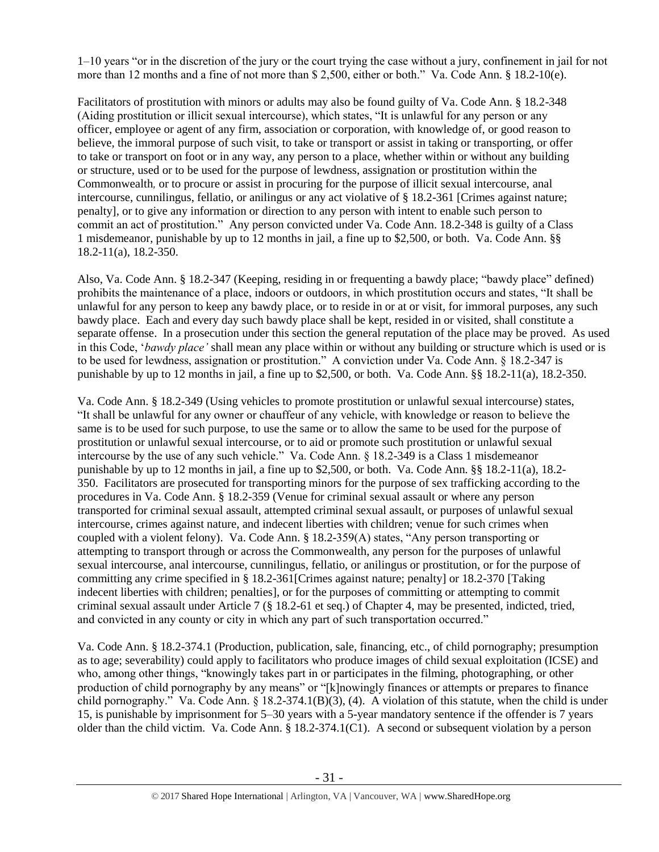1–10 years "or in the discretion of the jury or the court trying the case without a jury, confinement in jail for not more than 12 months and a fine of not more than \$ 2,500, either or both." Va. Code Ann. § 18.2-10(e).

Facilitators of prostitution with minors or adults may also be found guilty of Va. Code Ann. § 18.2-348 (Aiding prostitution or illicit sexual intercourse), which states, "It is unlawful for any person or any officer, employee or agent of any firm, association or corporation, with knowledge of, or good reason to believe, the immoral purpose of such visit, to take or transport or assist in taking or transporting, or offer to take or transport on foot or in any way, any person to a place, whether within or without any building or structure, used or to be used for the purpose of lewdness, assignation or prostitution within the Commonwealth*,* or to procure or assist in procuring for the purpose of illicit sexual intercourse, anal intercourse, cunnilingus, fellatio, or anilingus or any act violative of § 18.2-361 [Crimes against nature; penalty], or to give any information or direction to any person with intent to enable such person to commit an act of prostitution." Any person convicted under Va. Code Ann. 18.2-348 is guilty of a Class 1 misdemeanor, punishable by up to 12 months in jail, a fine up to \$2,500, or both. Va. Code Ann. §§ 18.2-11(a), 18.2-350.

Also, Va. Code Ann. § 18.2-347 (Keeping, residing in or frequenting a bawdy place; "bawdy place" defined) prohibits the maintenance of a place, indoors or outdoors, in which prostitution occurs and states, "It shall be unlawful for any person to keep any bawdy place, or to reside in or at or visit, for immoral purposes, any such bawdy place. Each and every day such bawdy place shall be kept, resided in or visited, shall constitute a separate offense. In a prosecution under this section the general reputation of the place may be proved. As used in this Code, '*bawdy place'* shall mean any place within or without any building or structure which is used or is to be used for lewdness, assignation or prostitution." A conviction under Va. Code Ann. § 18.2-347 is punishable by up to 12 months in jail, a fine up to \$2,500, or both. Va. Code Ann. §§ 18.2-11(a), 18.2-350.

Va. Code Ann. § 18.2-349 (Using vehicles to promote prostitution or unlawful sexual intercourse) states, "It shall be unlawful for any owner or chauffeur of any vehicle, with knowledge or reason to believe the same is to be used for such purpose, to use the same or to allow the same to be used for the purpose of prostitution or unlawful sexual intercourse, or to aid or promote such prostitution or unlawful sexual intercourse by the use of any such vehicle." Va. Code Ann. § 18.2-349 is a Class 1 misdemeanor punishable by up to 12 months in jail, a fine up to \$2,500, or both. Va. Code Ann. §§ 18.2-11(a), 18.2-350. Facilitators are prosecuted for transporting minors for the purpose of sex trafficking according to the procedures in Va. Code Ann. § 18.2-359 (Venue for criminal sexual assault or where any person transported for criminal sexual assault, attempted criminal sexual assault, or purposes of unlawful sexual intercourse, crimes against nature, and indecent liberties with children; venue for such crimes when coupled with a violent felony). Va. Code Ann. § 18.2-359(A) states, "Any person transporting or attempting to transport through or across the Commonwealth, any person for the purposes of unlawful sexual intercourse, anal intercourse, cunnilingus, fellatio, or anilingus or prostitution, or for the purpose of committing any crime specified in § 18.2-361[Crimes against nature; penalty] or 18.2-370 [Taking indecent liberties with children; penalties], or for the purposes of committing or attempting to commit criminal sexual assault under Article 7 (§ 18.2-61 et seq.) of Chapter 4, may be presented, indicted, tried, and convicted in any county or city in which any part of such transportation occurred."

Va. Code Ann. § 18.2-374.1 (Production, publication, sale, financing, etc., of child pornography; presumption as to age; severability) could apply to facilitators who produce images of child sexual exploitation (ICSE) and who, among other things, "knowingly takes part in or participates in the filming, photographing, or other production of child pornography by any means" or "[k]nowingly finances or attempts or prepares to finance child pornography." Va. Code Ann. § 18.2-374.1(B)(3), (4). A violation of this statute, when the child is under 15, is punishable by imprisonment for 5–30 years with a 5-year mandatory sentence if the offender is 7 years older than the child victim. Va. Code Ann. § 18.2-374.1(C1). A second or subsequent violation by a person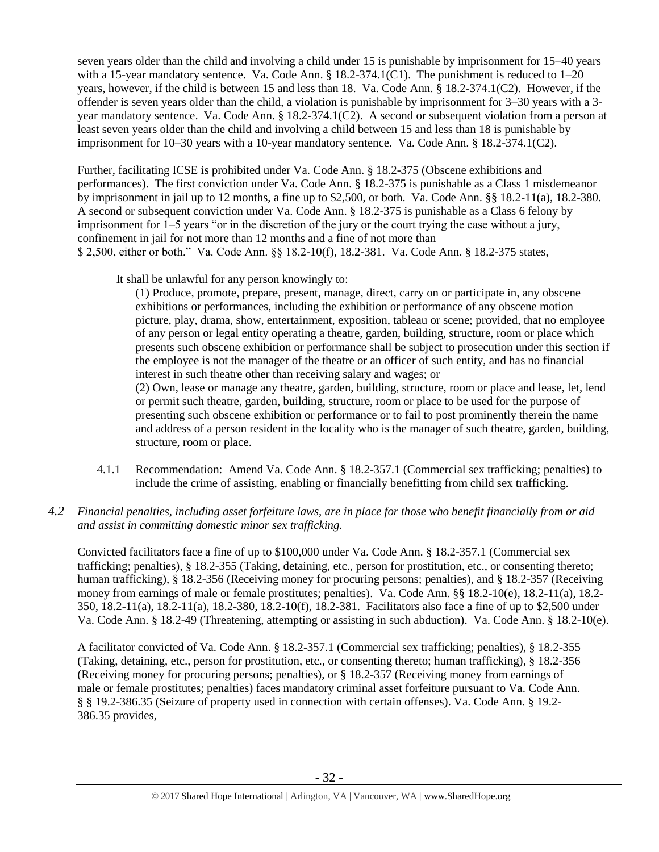seven years older than the child and involving a child under 15 is punishable by imprisonment for 15–40 years with a 15-year mandatory sentence. Va. Code Ann.  $\S$  18.2-374.1(C1). The punishment is reduced to 1–20 years, however, if the child is between 15 and less than 18. Va. Code Ann. § 18.2-374.1(C2). However, if the offender is seven years older than the child, a violation is punishable by imprisonment for 3–30 years with a 3 year mandatory sentence. Va. Code Ann. § 18.2-374.1(C2). A second or subsequent violation from a person at least seven years older than the child and involving a child between 15 and less than 18 is punishable by imprisonment for 10–30 years with a 10-year mandatory sentence. Va. Code Ann. § 18.2-374.1(C2).

Further, facilitating ICSE is prohibited under Va. Code Ann. § 18.2-375 (Obscene exhibitions and performances). The first conviction under Va. Code Ann. § 18.2-375 is punishable as a Class 1 misdemeanor by imprisonment in jail up to 12 months, a fine up to \$2,500, or both. Va. Code Ann. §§ 18.2-11(a), 18.2-380. A second or subsequent conviction under Va. Code Ann. § 18.2-375 is punishable as a Class 6 felony by imprisonment for 1–5 years "or in the discretion of the jury or the court trying the case without a jury, confinement in jail for not more than 12 months and a fine of not more than \$ 2,500, either or both." Va. Code Ann. §§ 18.2-10(f), 18.2-381. Va. Code Ann. § 18.2-375 states,

It shall be unlawful for any person knowingly to:

(1) Produce, promote, prepare, present, manage, direct, carry on or participate in, any obscene exhibitions or performances, including the exhibition or performance of any obscene motion picture, play, drama, show, entertainment, exposition, tableau or scene; provided, that no employee of any person or legal entity operating a theatre, garden, building, structure, room or place which presents such obscene exhibition or performance shall be subject to prosecution under this section if the employee is not the manager of the theatre or an officer of such entity, and has no financial interest in such theatre other than receiving salary and wages; or

(2) Own, lease or manage any theatre, garden, building, structure, room or place and lease, let, lend or permit such theatre, garden, building, structure, room or place to be used for the purpose of presenting such obscene exhibition or performance or to fail to post prominently therein the name and address of a person resident in the locality who is the manager of such theatre, garden, building, structure, room or place.

4.1.1 Recommendation: Amend Va. Code Ann. § 18.2-357.1 (Commercial sex trafficking; penalties) to include the crime of assisting, enabling or financially benefitting from child sex trafficking.

# *4.2 Financial penalties, including asset forfeiture laws, are in place for those who benefit financially from or aid and assist in committing domestic minor sex trafficking.*

Convicted facilitators face a fine of up to \$100,000 under Va. Code Ann. § 18.2-357.1 (Commercial sex trafficking; penalties), § 18.2-355 (Taking, detaining, etc., person for prostitution, etc., or consenting thereto; human trafficking), § 18.2-356 (Receiving money for procuring persons; penalties), and § 18.2-357 (Receiving money from earnings of male or female prostitutes; penalties). Va. Code Ann. §§ 18.2-10(e), 18.2-11(a), 18.2- 350, 18.2-11(a), 18.2-11(a), 18.2-380, 18.2-10(f), 18.2-381. Facilitators also face a fine of up to \$2,500 under Va. Code Ann. § 18.2-49 (Threatening, attempting or assisting in such abduction). Va. Code Ann. § 18.2-10(e).

A facilitator convicted of Va. Code Ann. § 18.2-357.1 (Commercial sex trafficking; penalties), § 18.2-355 (Taking, detaining, etc., person for prostitution, etc., or consenting thereto; human trafficking), § 18.2-356 (Receiving money for procuring persons; penalties), or § 18.2-357 (Receiving money from earnings of male or female prostitutes; penalties) faces mandatory criminal asset forfeiture pursuant to Va. Code Ann. § § 19.2-386.35 (Seizure of property used in connection with certain offenses). Va. Code Ann. § 19.2- 386.35 provides,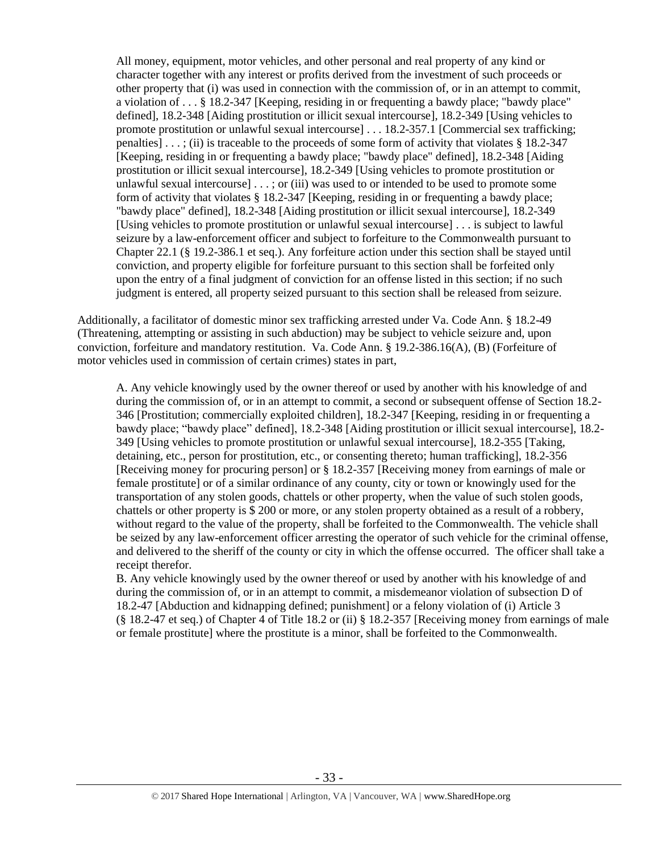All money, equipment, motor vehicles, and other personal and real property of any kind or character together with any interest or profits derived from the investment of such proceeds or other property that (i) was used in connection with the commission of, or in an attempt to commit, a violation of . . . § 18.2-347 [Keeping, residing in or frequenting a bawdy place; "bawdy place" defined], [18.2-348](http://lis.virginia.gov/cgi-bin/legp604.exe?000+cod+18.2-348) [Aiding prostitution or illicit sexual intercourse], 18.2-349 [Using vehicles to promote prostitution or unlawful sexual intercourse] . . . 18.2-357.1 [Commercial sex trafficking; penalties] . . . ; (ii) is traceable to the proceeds of some form of activity that violates § 18.2-347 [Keeping, residing in or frequenting a bawdy place; "bawdy place" defined], 18.2-348 [Aiding prostitution or illicit sexual intercourse], 18.2-349 [Using vehicles to promote prostitution or unlawful sexual intercourse] [. . . ;](http://lis.virginia.gov/cgi-bin/legp604.exe?000+cod+40.1-29) or (iii) was used to or intended to be used to promote some form of activity that violates § 18.2-347 [Keeping, residing in or frequenting a bawdy place; "bawdy place" defined], 18.2-348 [Aiding prostitution or illicit sexual intercourse], 18.2-349 [Using vehicles to promote prostitution or unlawful sexual intercourse] . . . is subject to lawful seizure by a law-enforcement officer and subject to forfeiture to the Commonwealth pursuant to Chapter 22.1 (§ 19.2-386.1 et seq.). Any forfeiture action under this section shall be stayed until conviction, and property eligible for forfeiture pursuant to this section shall be forfeited only upon the entry of a final judgment of conviction for an offense listed in this section; if no such judgment is entered, all property seized pursuant to this section shall be released from seizure.

Additionally, a facilitator of domestic minor sex trafficking arrested under Va. Code Ann. § 18.2-49 (Threatening, attempting or assisting in such abduction) may be subject to vehicle seizure and, upon conviction, forfeiture and mandatory restitution. Va. Code Ann. § 19.2-386.16(A), (B) (Forfeiture of motor vehicles used in commission of certain crimes) states in part,

A. Any vehicle knowingly used by the owner thereof or used by another with his knowledge of and during the commission of, or in an attempt to commit, a second or subsequent offense of Section 18.2- 346 [Prostitution; commercially exploited children], 18.2-347 [Keeping, residing in or frequenting a bawdy place; "bawdy place" defined], 18.2-348 [Aiding prostitution or illicit sexual intercourse], 18.2- 349 [Using vehicles to promote prostitution or unlawful sexual intercourse], 18.2-355 [Taking, detaining, etc., person for prostitution, etc., or consenting thereto; human trafficking], 18.2-356 [Receiving money for procuring person] or § 18.2-357 [Receiving money from earnings of male or female prostitute] or of a similar ordinance of any county, city or town or knowingly used for the transportation of any stolen goods, chattels or other property, when the value of such stolen goods, chattels or other property is \$ 200 or more, or any stolen property obtained as a result of a robbery, without regard to the value of the property, shall be forfeited to the Commonwealth. The vehicle shall be seized by any law-enforcement officer arresting the operator of such vehicle for the criminal offense, and delivered to the sheriff of the county or city in which the offense occurred. The officer shall take a receipt therefor.

B. Any vehicle knowingly used by the owner thereof or used by another with his knowledge of and during the commission of, or in an attempt to commit, a misdemeanor violation of subsection D of 18.2-47 [Abduction and kidnapping defined; punishment] or a felony violation of (i) Article 3 (§ 18.2-47 et seq.) of Chapter 4 of Title 18.2 or (ii) § 18.2-357 [Receiving money from earnings of male or female prostitute] where the prostitute is a minor, shall be forfeited to the Commonwealth.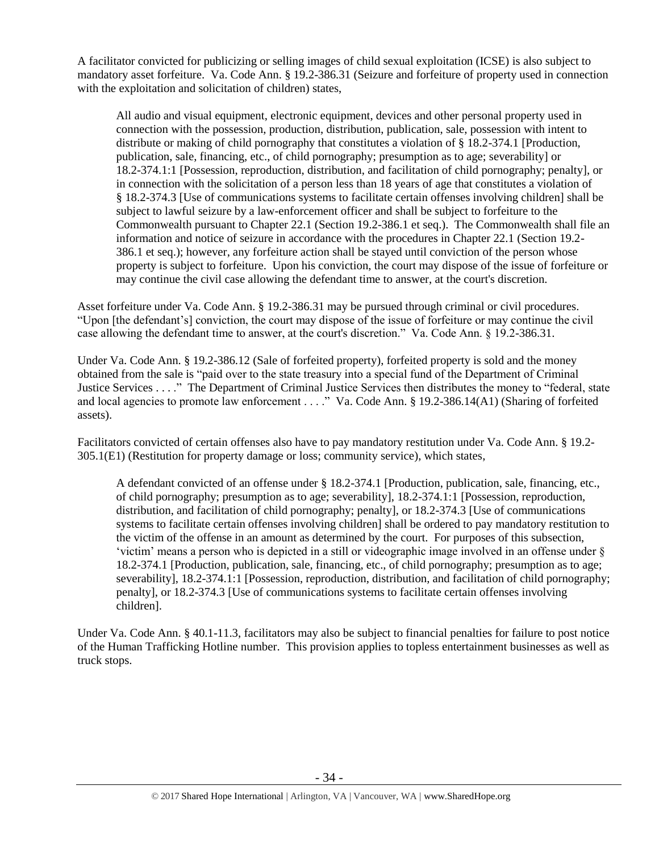A facilitator convicted for publicizing or selling images of child sexual exploitation (ICSE) is also subject to mandatory asset forfeiture. Va. Code Ann. § 19.2-386.31 (Seizure and forfeiture of property used in connection with the exploitation and solicitation of children) states,

All audio and visual equipment, electronic equipment, devices and other personal property used in connection with the possession, production, distribution, publication, sale, possession with intent to distribute or making of child pornography that constitutes a violation of § 18.2-374.1 [Production, publication, sale, financing, etc., of child pornography; presumption as to age; severability] or 18.2-374.1:1 [Possession, reproduction, distribution, and facilitation of child pornography; penalty], or in connection with the solicitation of a person less than 18 years of age that constitutes a violation of § 18.2-374.3 [Use of communications systems to facilitate certain offenses involving children] shall be subject to lawful seizure by a law-enforcement officer and shall be subject to forfeiture to the Commonwealth pursuant to Chapter 22.1 (Section 19.2-386.1 et seq.). The Commonwealth shall file an information and notice of seizure in accordance with the procedures in Chapter 22.1 (Section 19.2- 386.1 et seq.); however, any forfeiture action shall be stayed until conviction of the person whose property is subject to forfeiture. Upon his conviction, the court may dispose of the issue of forfeiture or may continue the civil case allowing the defendant time to answer, at the court's discretion.

Asset forfeiture under Va. Code Ann. § 19.2-386.31 may be pursued through criminal or civil procedures. "Upon [the defendant's] conviction, the court may dispose of the issue of forfeiture or may continue the civil case allowing the defendant time to answer, at the court's discretion." Va. Code Ann. § 19.2-386.31.

Under Va. Code Ann. § 19.2-386.12 (Sale of forfeited property), forfeited property is sold and the money obtained from the sale is "paid over to the state treasury into a special fund of the Department of Criminal Justice Services . . . ." The Department of Criminal Justice Services then distributes the money to "federal, state and local agencies to promote law enforcement . . . ." Va. Code Ann. § 19.2-386.14(A1) (Sharing of forfeited assets).

Facilitators convicted of certain offenses also have to pay mandatory restitution under Va. Code Ann. § 19.2- 305.1(E1) (Restitution for property damage or loss; community service), which states,

A defendant convicted of an offense under § 18.2-374.1 [Production, publication, sale, financing, etc., of child pornography; presumption as to age; severability], 18.2-374.1:1 [Possession, reproduction, distribution, and facilitation of child pornography; penalty], or 18.2-374.3 [Use of communications systems to facilitate certain offenses involving children] shall be ordered to pay mandatory restitution to the victim of the offense in an amount as determined by the court. For purposes of this subsection, 'victim' means a person who is depicted in a still or videographic image involved in an offense under § 18.2-374.1 [Production, publication, sale, financing, etc., of child pornography; presumption as to age; severability], 18.2-374.1:1 [Possession, reproduction, distribution, and facilitation of child pornography; penalty], or 18.2-374.3 [Use of communications systems to facilitate certain offenses involving children].

Under Va. Code Ann. § 40.1-11.3, facilitators may also be subject to financial penalties for failure to post notice of the Human Trafficking Hotline number. This provision applies to topless entertainment businesses as well as truck stops.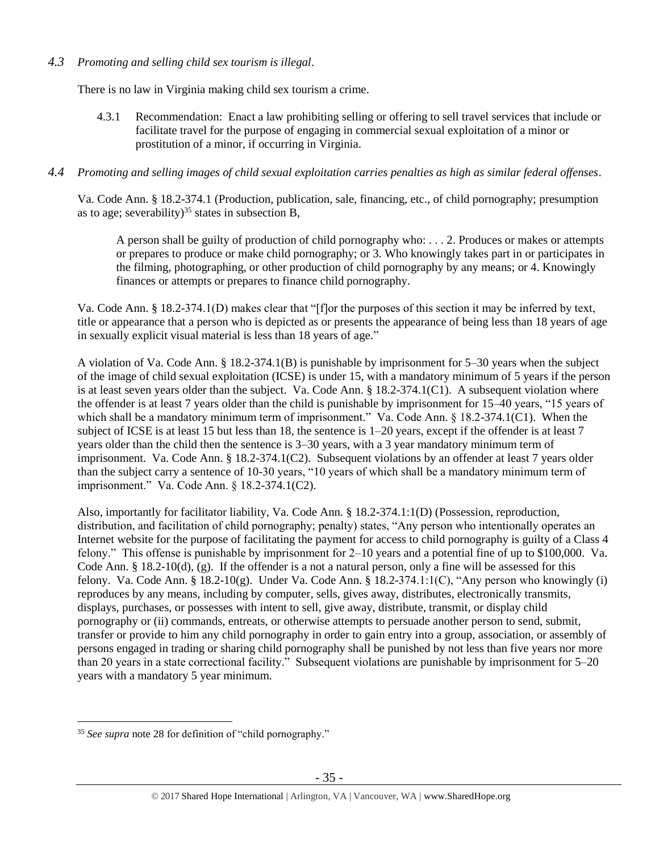# *4.3 Promoting and selling child sex tourism is illegal*.

There is no law in Virginia making child sex tourism a crime.

4.3.1 Recommendation: Enact a law prohibiting selling or offering to sell travel services that include or facilitate travel for the purpose of engaging in commercial sexual exploitation of a minor or prostitution of a minor, if occurring in Virginia.

## *4.4 Promoting and selling images of child sexual exploitation carries penalties as high as similar federal offenses*.

Va. Code Ann. § 18.2-374.1 (Production, publication, sale, financing, etc., of child pornography; presumption as to age; severability)<sup>35</sup> states in subsection B,

A person shall be guilty of production of child pornography who: . . . 2. Produces or makes or attempts or prepares to produce or make child pornography; or 3. Who knowingly takes part in or participates in the filming, photographing, or other production of child pornography by any means; or 4. Knowingly finances or attempts or prepares to finance child pornography.

Va. Code Ann. § 18.2-374.1(D) makes clear that "[f]or the purposes of this section it may be inferred by text, title or appearance that a person who is depicted as or presents the appearance of being less than 18 years of age in sexually explicit visual material is less than 18 years of age."

A violation of Va. Code Ann. § 18.2-374.1(B) is punishable by imprisonment for 5–30 years when the subject of the image of child sexual exploitation (ICSE) is under 15, with a mandatory minimum of 5 years if the person is at least seven years older than the subject. Va. Code Ann. § 18.2-374.1(C1). A subsequent violation where the offender is at least 7 years older than the child is punishable by imprisonment for 15–40 years, "15 years of which shall be a mandatory minimum term of imprisonment." Va. Code Ann. § 18.2-374.1(C1). When the subject of ICSE is at least 15 but less than 18, the sentence is 1–20 years, except if the offender is at least 7 years older than the child then the sentence is 3–30 years, with a 3 year mandatory minimum term of imprisonment. Va. Code Ann. § 18.2-374.1(C2). Subsequent violations by an offender at least 7 years older than the subject carry a sentence of 10-30 years, "10 years of which shall be a mandatory minimum term of imprisonment." Va. Code Ann. § 18.2-374.1(C2).

Also, importantly for facilitator liability, Va. Code Ann. § 18.2-374.1:1(D) (Possession, reproduction, distribution, and facilitation of child pornography; penalty) states, "Any person who intentionally operates an Internet website for the purpose of facilitating the payment for access to child pornography is guilty of a Class 4 felony." This offense is punishable by imprisonment for 2–10 years and a potential fine of up to \$100,000. Va. Code Ann.  $\S$  18.2-10(d), (g). If the offender is a not a natural person, only a fine will be assessed for this felony. Va. Code Ann. § 18.2-10(g). Under Va. Code Ann. § 18.2-374.1:1(C), "Any person who knowingly (i) reproduces by any means, including by computer, sells, gives away, distributes, electronically transmits, displays, purchases, or possesses with intent to sell, give away, distribute, transmit, or display child pornography or (ii) commands, entreats, or otherwise attempts to persuade another person to send, submit, transfer or provide to him any child pornography in order to gain entry into a group, association, or assembly of persons engaged in trading or sharing child pornography shall be punished by not less than five years nor more than 20 years in a state correctional facility." Subsequent violations are punishable by imprisonment for 5–20 years with a mandatory 5 year minimum.

 $\overline{a}$ <sup>35</sup> *See supra* note [28](#page-21-0) for definition of "child pornography."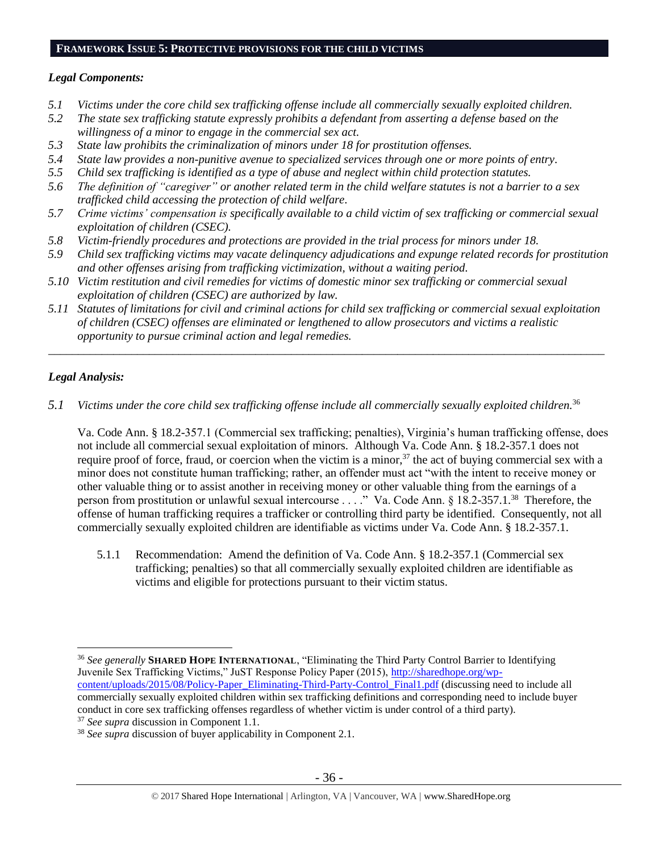# **FRAMEWORK ISSUE 5: PROTECTIVE PROVISIONS FOR THE CHILD VICTIMS**

#### *Legal Components:*

- *5.1 Victims under the core child sex trafficking offense include all commercially sexually exploited children.*
- *5.2 The state sex trafficking statute expressly prohibits a defendant from asserting a defense based on the willingness of a minor to engage in the commercial sex act.*
- *5.3 State law prohibits the criminalization of minors under 18 for prostitution offenses.*
- *5.4 State law provides a non-punitive avenue to specialized services through one or more points of entry.*
- *5.5 Child sex trafficking is identified as a type of abuse and neglect within child protection statutes.*
- *5.6 The definition of "caregiver" or another related term in the child welfare statutes is not a barrier to a sex trafficked child accessing the protection of child welfare.*
- *5.7 Crime victims' compensation is specifically available to a child victim of sex trafficking or commercial sexual exploitation of children (CSEC).*
- *5.8 Victim-friendly procedures and protections are provided in the trial process for minors under 18.*
- *5.9 Child sex trafficking victims may vacate delinquency adjudications and expunge related records for prostitution and other offenses arising from trafficking victimization, without a waiting period.*
- *5.10 Victim restitution and civil remedies for victims of domestic minor sex trafficking or commercial sexual exploitation of children (CSEC) are authorized by law.*
- *5.11 Statutes of limitations for civil and criminal actions for child sex trafficking or commercial sexual exploitation of children (CSEC) offenses are eliminated or lengthened to allow prosecutors and victims a realistic opportunity to pursue criminal action and legal remedies.*

*\_\_\_\_\_\_\_\_\_\_\_\_\_\_\_\_\_\_\_\_\_\_\_\_\_\_\_\_\_\_\_\_\_\_\_\_\_\_\_\_\_\_\_\_\_\_\_\_\_\_\_\_\_\_\_\_\_\_\_\_\_\_\_\_\_\_\_\_\_\_\_\_\_\_\_\_\_\_\_\_\_\_\_\_\_\_\_\_\_\_\_\_\_\_*

# *Legal Analysis:*

*5.1 Victims under the core child sex trafficking offense include all commercially sexually exploited children.*<sup>36</sup>

Va. Code Ann. § 18.2-357.1 (Commercial sex trafficking; penalties), Virginia's human trafficking offense, does not include all commercial sexual exploitation of minors. Although Va. Code Ann. § 18.2-357.1 does not require proof of force, fraud, or coercion when the victim is a minor,  $37$  the act of buying commercial sex with a minor does not constitute human trafficking; rather, an offender must act "with the intent to receive money or other valuable thing or to assist another in receiving money or other valuable thing from the earnings of a person from prostitution or unlawful sexual intercourse . . . ." Va. Code Ann. § 18.2-357.1.<sup>38</sup> Therefore, the offense of human trafficking requires a trafficker or controlling third party be identified. Consequently, not all commercially sexually exploited children are identifiable as victims under Va. Code Ann. § 18.2-357.1.

5.1.1 Recommendation: Amend the definition of Va. Code Ann. § 18.2-357.1 (Commercial sex trafficking; penalties) so that all commercially sexually exploited children are identifiable as victims and eligible for protections pursuant to their victim status.

 $\overline{a}$ <sup>36</sup> See generally **SHARED HOPE INTERNATIONAL**, "Eliminating the Third Party Control Barrier to Identifying Juvenile Sex Trafficking Victims," JuST Response Policy Paper (2015), [http://sharedhope.org/wp](http://sharedhope.org/wp-content/uploads/2015/08/Policy-Paper_Eliminating-Third-Party-Control_Final1.pdf)[content/uploads/2015/08/Policy-Paper\\_Eliminating-Third-Party-Control\\_Final1.pdf](http://sharedhope.org/wp-content/uploads/2015/08/Policy-Paper_Eliminating-Third-Party-Control_Final1.pdf) (discussing need to include all commercially sexually exploited children within sex trafficking definitions and corresponding need to include buyer conduct in core sex trafficking offenses regardless of whether victim is under control of a third party).

<sup>37</sup> *See supra* discussion in Component 1.1.

<sup>38</sup> *See supra* discussion of buyer applicability in Component 2.1.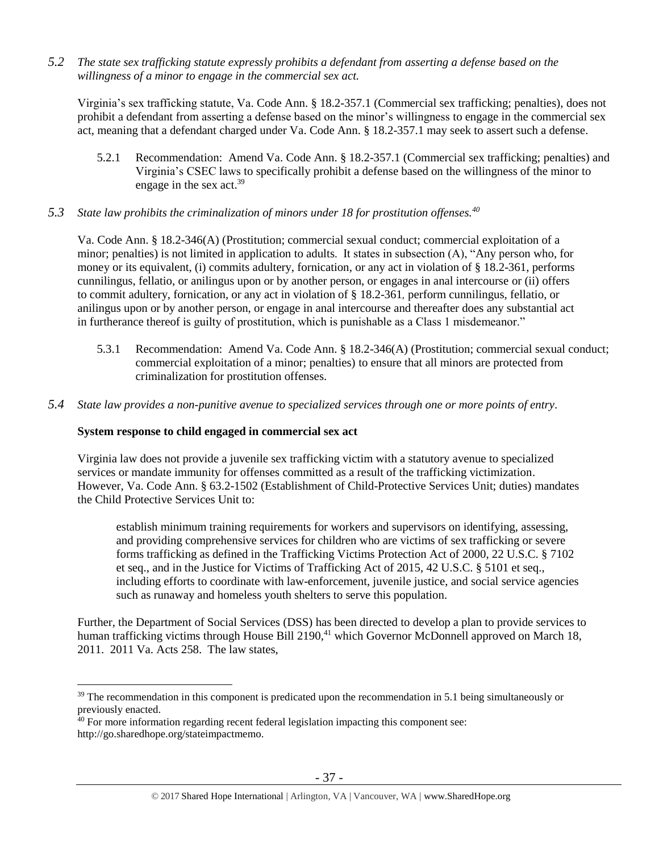*5.2 The state sex trafficking statute expressly prohibits a defendant from asserting a defense based on the willingness of a minor to engage in the commercial sex act.*

Virginia's sex trafficking statute, Va. Code Ann. § 18.2-357.1 (Commercial sex trafficking; penalties), does not prohibit a defendant from asserting a defense based on the minor's willingness to engage in the commercial sex act, meaning that a defendant charged under Va. Code Ann. § 18.2-357.1 may seek to assert such a defense.

- 5.2.1 Recommendation: Amend Va. Code Ann. § 18.2-357.1 (Commercial sex trafficking; penalties) and Virginia's CSEC laws to specifically prohibit a defense based on the willingness of the minor to engage in the sex act.<sup>39</sup>
- *5.3 State law prohibits the criminalization of minors under 18 for prostitution offenses.<sup>40</sup>*

Va. Code Ann. § 18.2-346(A) (Prostitution; commercial sexual conduct; commercial exploitation of a minor; penalties) is not limited in application to adults. It states in subsection (A), "Any person who, for money or its equivalent, (i) commits adultery, fornication, or any act in violation of § 18.2-361, performs cunnilingus, fellatio, or anilingus upon or by another person, or engages in anal intercourse or (ii) offers to commit adultery, fornication, or any act in violation of § 18.2-361*,* perform cunnilingus, fellatio, or anilingus upon or by another person, or engage in anal intercourse and thereafter does any substantial act in furtherance thereof is guilty of prostitution, which is punishable as a Class 1 misdemeanor."

- 5.3.1 Recommendation: Amend Va. Code Ann. § 18.2-346(A) (Prostitution; commercial sexual conduct; commercial exploitation of a minor; penalties) to ensure that all minors are protected from criminalization for prostitution offenses.
- *5.4 State law provides a non-punitive avenue to specialized services through one or more points of entry.*

# **System response to child engaged in commercial sex act**

 $\overline{a}$ 

Virginia law does not provide a juvenile sex trafficking victim with a statutory avenue to specialized services or mandate immunity for offenses committed as a result of the trafficking victimization. However, Va. Code Ann. § 63.2-1502 (Establishment of Child-Protective Services Unit; duties) mandates the Child Protective Services Unit to:

establish minimum training requirements for workers and supervisors on identifying, assessing, and providing comprehensive services for children who are victims of sex trafficking or severe forms trafficking as defined in the Trafficking Victims Protection Act of 2000, 22 U.S.C. § 7102 et seq., and in the Justice for Victims of Trafficking Act of 2015, 42 U.S.C. § 5101 et seq., including efforts to coordinate with law-enforcement, juvenile justice, and social service agencies such as runaway and homeless youth shelters to serve this population.

Further, the Department of Social Services (DSS) has been directed to develop a plan to provide services to human trafficking victims through House Bill 2190,<sup>41</sup> which Governor McDonnell approved on March 18, 2011. 2011 Va. Acts 258. The law states,

 $39$  The recommendation in this component is predicated upon the recommendation in 5.1 being simultaneously or previously enacted.

<sup>&</sup>lt;sup>40</sup> For more information regarding recent federal legislation impacting this component see: http://go.sharedhope.org/stateimpactmemo.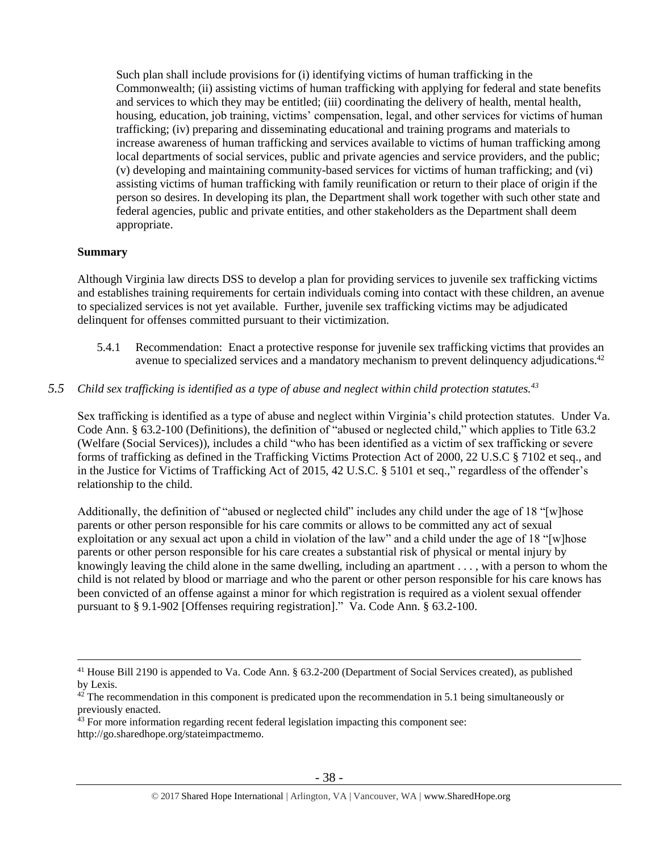Such plan shall include provisions for (i) identifying victims of human trafficking in the Commonwealth; (ii) assisting victims of human trafficking with applying for federal and state benefits and services to which they may be entitled; (iii) coordinating the delivery of health, mental health, housing, education, job training, victims' compensation, legal, and other services for victims of human trafficking; (iv) preparing and disseminating educational and training programs and materials to increase awareness of human trafficking and services available to victims of human trafficking among local departments of social services, public and private agencies and service providers, and the public; (v) developing and maintaining community-based services for victims of human trafficking; and (vi) assisting victims of human trafficking with family reunification or return to their place of origin if the person so desires. In developing its plan, the Department shall work together with such other state and federal agencies, public and private entities, and other stakeholders as the Department shall deem appropriate.

## **Summary**

 $\overline{a}$ 

Although Virginia law directs DSS to develop a plan for providing services to juvenile sex trafficking victims and establishes training requirements for certain individuals coming into contact with these children, an avenue to specialized services is not yet available. Further, juvenile sex trafficking victims may be adjudicated delinquent for offenses committed pursuant to their victimization.

- 5.4.1 Recommendation: Enact a protective response for juvenile sex trafficking victims that provides an avenue to specialized services and a mandatory mechanism to prevent delinquency adjudications.<sup>42</sup>
- *5.5 Child sex trafficking is identified as a type of abuse and neglect within child protection statutes.<sup>43</sup>*

Sex trafficking is identified as a type of abuse and neglect within Virginia's child protection statutes. Under Va. Code Ann. § 63.2-100 (Definitions), the definition of "abused or neglected child," which applies to Title 63.2 (Welfare (Social Services)), includes a child "who has been identified as a victim of sex trafficking or severe forms of trafficking as defined in the Trafficking Victims Protection Act of 2000, 22 U.S.C § 7102 et seq., and in the Justice for Victims of Trafficking Act of 2015, 42 U.S.C. § 5101 et seq.," regardless of the offender's relationship to the child.

Additionally, the definition of "abused or neglected child" includes any child under the age of 18 "[w]hose parents or other person responsible for his care commits or allows to be committed any act of sexual exploitation or any sexual act upon a child in violation of the law" and a child under the age of 18 "[w]hose parents or other person responsible for his care creates a substantial risk of physical or mental injury by knowingly leaving the child alone in the same dwelling, including an apartment . . . , with a person to whom the child is not related by blood or marriage and who the parent or other person responsible for his care knows has been convicted of an offense against a minor for which registration is required as a violent sexual offender pursuant to § 9.1-902 [Offenses requiring registration]." Va. Code Ann. § 63.2-100.

<sup>&</sup>lt;sup>41</sup> House Bill 2190 is appended to Va. Code Ann. § 63.2-200 (Department of Social Services created), as published by Lexis.

 $42$  The recommendation in this component is predicated upon the recommendation in 5.1 being simultaneously or previously enacted.

<sup>&</sup>lt;sup>43</sup> For more information regarding recent federal legislation impacting this component see: http://go.sharedhope.org/stateimpactmemo.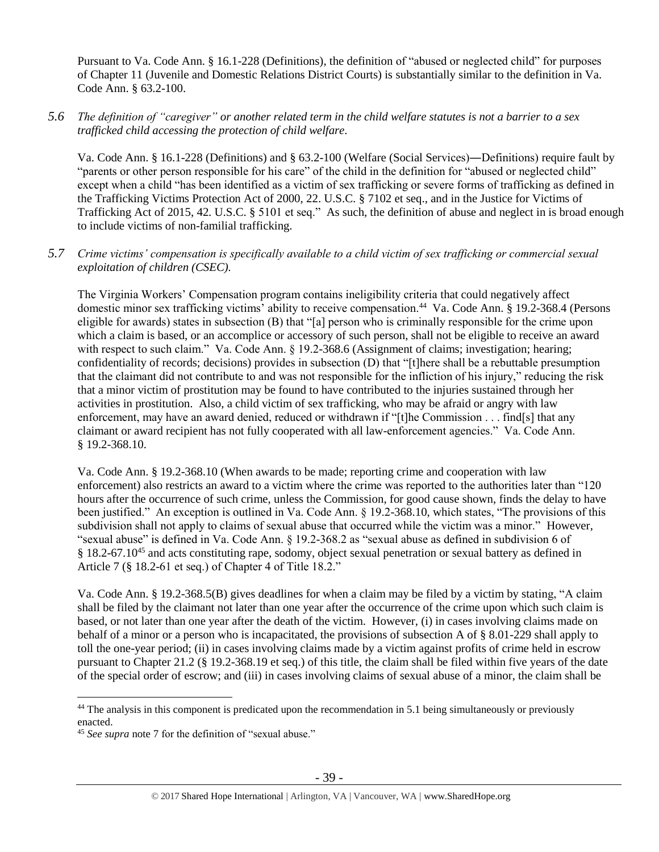Pursuant to Va. Code Ann. § 16.1-228 (Definitions), the definition of "abused or neglected child" for purposes of Chapter 11 (Juvenile and Domestic Relations District Courts) is substantially similar to the definition in Va. Code Ann. § 63.2-100.

*5.6 The definition of "caregiver" or another related term in the child welfare statutes is not a barrier to a sex trafficked child accessing the protection of child welfare.*

Va. Code Ann. § 16.1-228 (Definitions) and § 63.2-100 (Welfare (Social Services)―Definitions) require fault by "parents or other person responsible for his care" of the child in the definition for "abused or neglected child" except when a child "has been identified as a victim of sex trafficking or severe forms of trafficking as defined in the Trafficking Victims Protection Act of 2000, 22. U.S.C. § 7102 et seq., and in the Justice for Victims of Trafficking Act of 2015, 42. U.S.C. § 5101 et seq." As such, the definition of abuse and neglect in is broad enough to include victims of non-familial trafficking.

# *5.7 Crime victims' compensation is specifically available to a child victim of sex trafficking or commercial sexual exploitation of children (CSEC).*

The Virginia Workers' Compensation program contains ineligibility criteria that could negatively affect domestic minor sex trafficking victims' ability to receive compensation.<sup>44</sup> Va. Code Ann. § 19.2-368.4 (Persons eligible for awards) states in subsection (B) that "[a] person who is criminally responsible for the crime upon which a claim is based, or an accomplice or accessory of such person, shall not be eligible to receive an award with respect to such claim." Va. Code Ann. § 19.2-368.6 (Assignment of claims; investigation; hearing; confidentiality of records; decisions) provides in subsection (D) that "[t]here shall be a rebuttable presumption that the claimant did not contribute to and was not responsible for the infliction of his injury," reducing the risk that a minor victim of prostitution may be found to have contributed to the injuries sustained through her activities in prostitution. Also, a child victim of sex trafficking, who may be afraid or angry with law enforcement, may have an award denied, reduced or withdrawn if "[t]he Commission . . . find[s] that any claimant or award recipient has not fully cooperated with all law-enforcement agencies." Va. Code Ann. § 19.2-368.10.

Va. Code Ann. § 19.2-368.10 (When awards to be made; reporting crime and cooperation with law enforcement) also restricts an award to a victim where the crime was reported to the authorities later than "120 hours after the occurrence of such crime, unless the Commission, for good cause shown, finds the delay to have been justified." An exception is outlined in Va. Code Ann. § 19.2-368.10, which states, "The provisions of this subdivision shall not apply to claims of sexual abuse that occurred while the victim was a minor." However, "sexual abuse" is defined in Va. Code Ann. § 19.2-368.2 as "sexual abuse as defined in subdivision 6 of § 18.2-67.10<sup>45</sup> and acts constituting rape, sodomy, object sexual penetration or sexual battery as defined in Article 7 (§ 18.2-61 et seq.) of Chapter 4 of Title 18.2."

Va. Code Ann. § 19.2-368.5(B) gives deadlines for when a claim may be filed by a victim by stating, "A claim shall be filed by the claimant not later than one year after the occurrence of the crime upon which such claim is based, or not later than one year after the death of the victim. However, (i) in cases involving claims made on behalf of a minor or a person who is incapacitated, the provisions of subsection A of § 8.01-229 shall apply to toll the one-year period; (ii) in cases involving claims made by a victim against profits of crime held in escrow pursuant to Chapter 21.2 (§ 19.2-368.19 et seq.) of this title, the claim shall be filed within five years of the date of the special order of escrow; and (iii) in cases involving claims of sexual abuse of a minor, the claim shall be

<sup>&</sup>lt;sup>44</sup> The analysis in this component is predicated upon the recommendation in 5.1 being simultaneously or previously enacted.

<sup>45</sup> *See supra* note [7](#page-4-0) for the definition of "sexual abuse."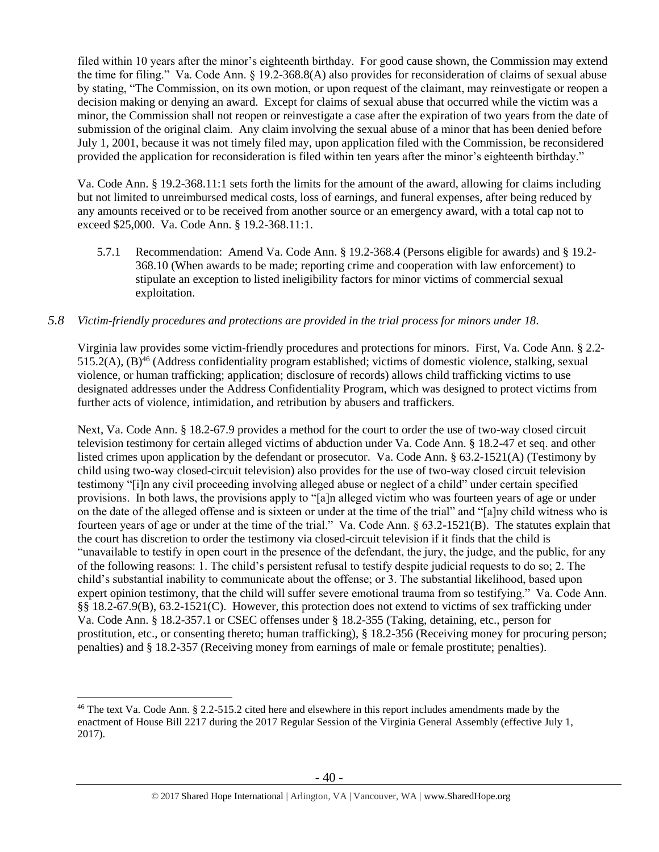filed within 10 years after the minor's eighteenth birthday. For good cause shown, the Commission may extend the time for filing." Va. Code Ann. § 19.2-368.8(A) also provides for reconsideration of claims of sexual abuse by stating, "The Commission, on its own motion, or upon request of the claimant, may reinvestigate or reopen a decision making or denying an award. Except for claims of sexual abuse that occurred while the victim was a minor, the Commission shall not reopen or reinvestigate a case after the expiration of two years from the date of submission of the original claim. Any claim involving the sexual abuse of a minor that has been denied before July 1, 2001, because it was not timely filed may, upon application filed with the Commission, be reconsidered provided the application for reconsideration is filed within ten years after the minor's eighteenth birthday."

Va. Code Ann. § 19.2-368.11:1 sets forth the limits for the amount of the award, allowing for claims including but not limited to unreimbursed medical costs, loss of earnings, and funeral expenses, after being reduced by any amounts received or to be received from another source or an emergency award, with a total cap not to exceed \$25,000. Va. Code Ann. § 19.2-368.11:1.

5.7.1 Recommendation: Amend Va. Code Ann. § 19.2-368.4 (Persons eligible for awards) and § 19.2- 368.10 (When awards to be made; reporting crime and cooperation with law enforcement) to stipulate an exception to listed ineligibility factors for minor victims of commercial sexual exploitation.

## *5.8 Victim-friendly procedures and protections are provided in the trial process for minors under 18.*

Virginia law provides some victim-friendly procedures and protections for minors. First, Va. Code Ann. § 2.2- 515.2(A), (B)<sup>46</sup> (Address confidentiality program established; victims of domestic violence, stalking, sexual violence, or human trafficking; application; disclosure of records) allows child trafficking victims to use designated addresses under the Address Confidentiality Program, which was designed to protect victims from further acts of violence, intimidation, and retribution by abusers and traffickers.

Next, Va. Code Ann. § 18.2-67.9 provides a method for the court to order the use of two-way closed circuit television testimony for certain alleged victims of abduction under Va. Code Ann. § 18.2-47 et seq. and other listed crimes upon application by the defendant or prosecutor. Va. Code Ann. § 63.2-1521(A) (Testimony by child using two-way closed-circuit television) also provides for the use of two-way closed circuit television testimony "[i]n any civil proceeding involving alleged abuse or neglect of a child" under certain specified provisions. In both laws, the provisions apply to "[a]n alleged victim who was fourteen years of age or under on the date of the alleged offense and is sixteen or under at the time of the trial" and "[a]ny child witness who is fourteen years of age or under at the time of the trial." Va. Code Ann. § 63.2-1521(B). The statutes explain that the court has discretion to order the testimony via closed-circuit television if it finds that the child is "unavailable to testify in open court in the presence of the defendant, the jury, the judge, and the public, for any of the following reasons: 1. The child's persistent refusal to testify despite judicial requests to do so; 2. The child's substantial inability to communicate about the offense; or 3. The substantial likelihood, based upon expert opinion testimony, that the child will suffer severe emotional trauma from so testifying." Va. Code Ann. §§ 18.2-67.9(B), 63.2-1521(C). However, this protection does not extend to victims of sex trafficking under Va. Code Ann. § 18.2-357.1 or CSEC offenses under § 18.2-355 (Taking, detaining, etc., person for prostitution, etc., or consenting thereto; human trafficking), § 18.2-356 (Receiving money for procuring person; penalties) and § 18.2-357 (Receiving money from earnings of male or female prostitute; penalties).

<sup>46</sup> The text Va. Code Ann. § 2.2-515.2 cited here and elsewhere in this report includes amendments made by the enactment of House Bill 2217 during the 2017 Regular Session of the Virginia General Assembly (effective July 1, 2017).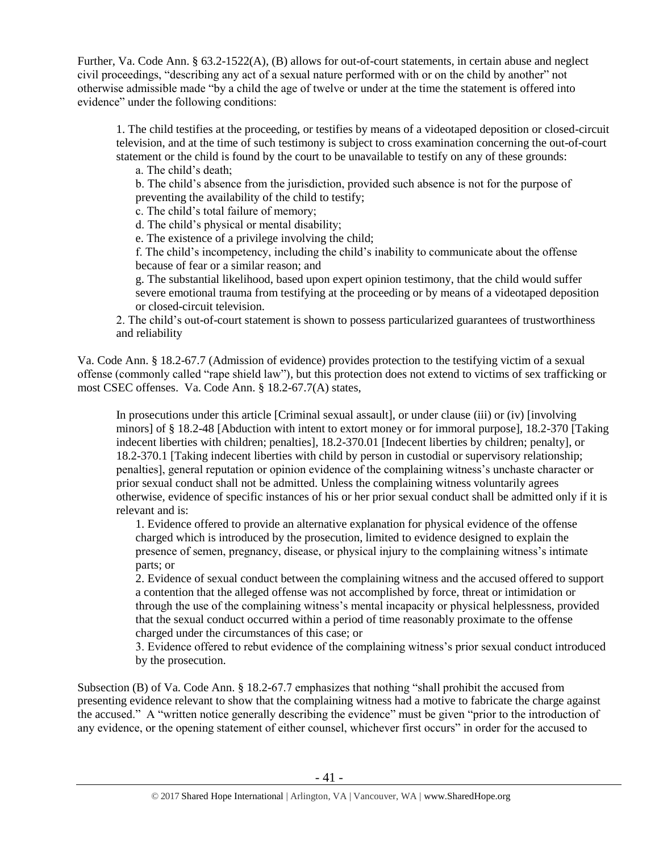Further, Va. Code Ann. § 63.2-1522(A), (B) allows for out-of-court statements, in certain abuse and neglect civil proceedings, "describing any act of a sexual nature performed with or on the child by another" not otherwise admissible made "by a child the age of twelve or under at the time the statement is offered into evidence" under the following conditions:

1. The child testifies at the proceeding, or testifies by means of a videotaped deposition or closed-circuit television, and at the time of such testimony is subject to cross examination concerning the out-of-court statement or the child is found by the court to be unavailable to testify on any of these grounds:

a. The child's death;

b. The child's absence from the jurisdiction, provided such absence is not for the purpose of preventing the availability of the child to testify;

c. The child's total failure of memory;

d. The child's physical or mental disability;

e. The existence of a privilege involving the child;

f. The child's incompetency, including the child's inability to communicate about the offense because of fear or a similar reason; and

g. The substantial likelihood, based upon expert opinion testimony, that the child would suffer severe emotional trauma from testifying at the proceeding or by means of a videotaped deposition or closed-circuit television.

2. The child's out-of-court statement is shown to possess particularized guarantees of trustworthiness and reliability

Va. Code Ann. § 18.2-67.7 (Admission of evidence) provides protection to the testifying victim of a sexual offense (commonly called "rape shield law"), but this protection does not extend to victims of sex trafficking or most CSEC offenses. Va. Code Ann. § 18.2-67.7(A) states,

In prosecutions under this article [Criminal sexual assault], or under clause (iii) or (iv) [involving minors] of § 18.2-48 [Abduction with intent to extort money or for immoral purpose], 18.2-370 [Taking indecent liberties with children; penalties], 18.2-370.01 [Indecent liberties by children; penalty], or 18.2-370.1 [Taking indecent liberties with child by person in custodial or supervisory relationship; penalties], general reputation or opinion evidence of the complaining witness's unchaste character or prior sexual conduct shall not be admitted. Unless the complaining witness voluntarily agrees otherwise, evidence of specific instances of his or her prior sexual conduct shall be admitted only if it is relevant and is:

1. Evidence offered to provide an alternative explanation for physical evidence of the offense charged which is introduced by the prosecution, limited to evidence designed to explain the presence of semen, pregnancy, disease, or physical injury to the complaining witness's intimate parts; or

2. Evidence of sexual conduct between the complaining witness and the accused offered to support a contention that the alleged offense was not accomplished by force, threat or intimidation or through the use of the complaining witness's mental incapacity or physical helplessness, provided that the sexual conduct occurred within a period of time reasonably proximate to the offense charged under the circumstances of this case; or

3. Evidence offered to rebut evidence of the complaining witness's prior sexual conduct introduced by the prosecution.

Subsection (B) of Va. Code Ann. § 18.2-67.7 emphasizes that nothing "shall prohibit the accused from presenting evidence relevant to show that the complaining witness had a motive to fabricate the charge against the accused." A "written notice generally describing the evidence" must be given "prior to the introduction of any evidence, or the opening statement of either counsel, whichever first occurs" in order for the accused to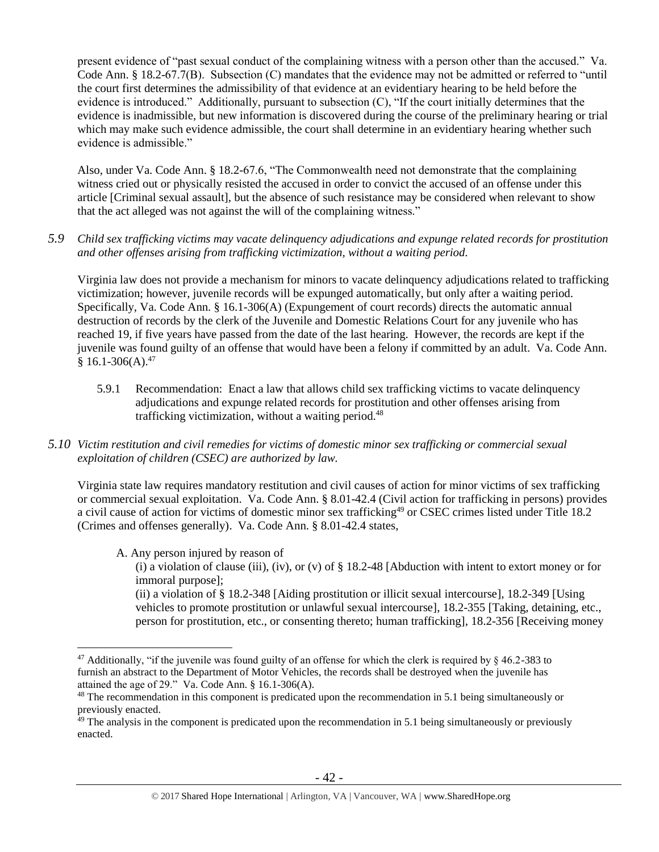present evidence of "past sexual conduct of the complaining witness with a person other than the accused." Va. Code Ann. § 18.2-67.7(B). Subsection (C) mandates that the evidence may not be admitted or referred to "until the court first determines the admissibility of that evidence at an evidentiary hearing to be held before the evidence is introduced." Additionally, pursuant to subsection (C), "If the court initially determines that the evidence is inadmissible, but new information is discovered during the course of the preliminary hearing or trial which may make such evidence admissible, the court shall determine in an evidentiary hearing whether such evidence is admissible."

Also, under Va. Code Ann. § 18.2-67.6, "The Commonwealth need not demonstrate that the complaining witness cried out or physically resisted the accused in order to convict the accused of an offense under this article [Criminal sexual assault], but the absence of such resistance may be considered when relevant to show that the act alleged was not against the will of the complaining witness."

*5.9 Child sex trafficking victims may vacate delinquency adjudications and expunge related records for prostitution and other offenses arising from trafficking victimization, without a waiting period.*

Virginia law does not provide a mechanism for minors to vacate delinquency adjudications related to trafficking victimization; however, juvenile records will be expunged automatically, but only after a waiting period. Specifically, Va. Code Ann. § 16.1-306(A) (Expungement of court records) directs the automatic annual destruction of records by the clerk of the Juvenile and Domestic Relations Court for any juvenile who has reached 19, if five years have passed from the date of the last hearing. However, the records are kept if the juvenile was found guilty of an offense that would have been a felony if committed by an adult. Va. Code Ann.  $$16.1-306(A).47$ 

- 5.9.1 Recommendation: Enact a law that allows child sex trafficking victims to vacate delinquency adjudications and expunge related records for prostitution and other offenses arising from trafficking victimization, without a waiting period.<sup>48</sup>
- *5.10 Victim restitution and civil remedies for victims of domestic minor sex trafficking or commercial sexual exploitation of children (CSEC) are authorized by law.*

Virginia state law requires mandatory restitution and civil causes of action for minor victims of sex trafficking or commercial sexual exploitation. Va. Code Ann. § 8.01-42.4 (Civil action for trafficking in persons) provides a civil cause of action for victims of domestic minor sex trafficking<sup>49</sup> or CSEC crimes listed under Title 18.2 (Crimes and offenses generally). Va. Code Ann. § 8.01-42.4 states,

A. Any person injured by reason of

 $\overline{a}$ 

(i) a violation of clause (iii), (iv), or (v) of  $\S 18.2-48$  [Abduction with intent to extort money or for immoral purpose];

(ii) a violation of § 18.2-348 [Aiding prostitution or illicit sexual intercourse], 18.2-349 [Using vehicles to promote prostitution or unlawful sexual intercourse], 18.2-355 [Taking, detaining, etc., person for prostitution, etc., or consenting thereto; human trafficking], 18.2-356 [Receiving money

<sup>&</sup>lt;sup>47</sup> Additionally, "if the juvenile was found guilty of an offense for which the clerk is required by  $\frac{1}{2}$  46.2-383 to furnish an abstract to the Department of Motor Vehicles, the records shall be destroyed when the juvenile has attained the age of 29." Va. Code Ann. § 16.1-306(A).

<sup>&</sup>lt;sup>48</sup> The recommendation in this component is predicated upon the recommendation in 5.1 being simultaneously or previously enacted.

<sup>&</sup>lt;sup>49</sup> The analysis in the component is predicated upon the recommendation in 5.1 being simultaneously or previously enacted.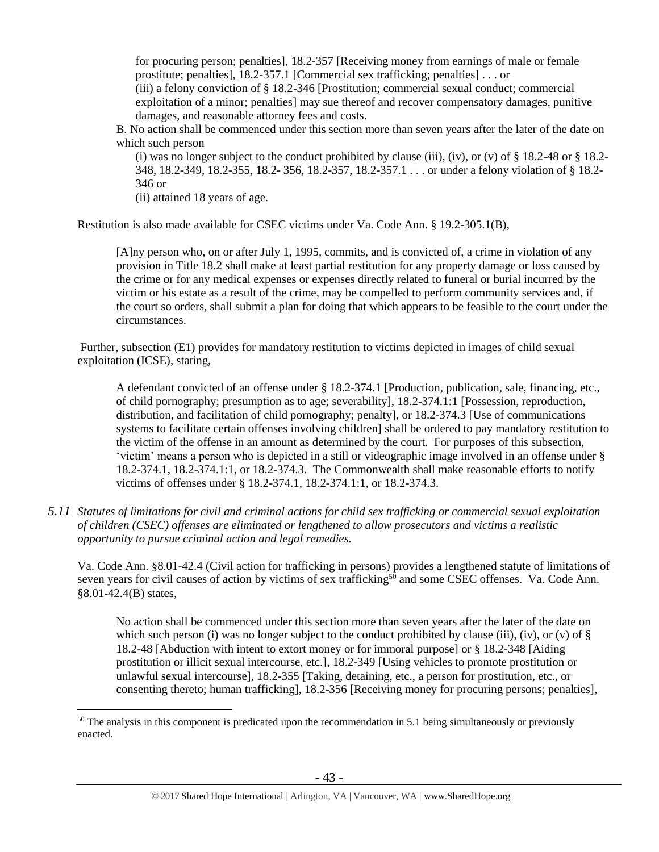for procuring person; penalties], 18.2-357 [Receiving money from earnings of male or female prostitute; penalties], 18.2-357.1 [Commercial sex trafficking; penalties] . . . or (iii) a felony conviction of § 18.2-346 [Prostitution; commercial sexual conduct; commercial exploitation of a minor; penalties] may sue thereof and recover compensatory damages, punitive damages, and reasonable attorney fees and costs.

B. No action shall be commenced under this section more than seven years after the later of the date on which such person

(i) was no longer subject to the conduct prohibited by clause (iii), (iv), or (v) of  $\S$  18.2-48 or  $\S$  18.2-348, 18.2-349, 18.2-355, 18.2- 356, 18.2-357, 18.2-357.1 . . . or under a felony violation of § 18.2- 346 or

(ii) attained 18 years of age.

 $\overline{a}$ 

Restitution is also made available for CSEC victims under Va. Code Ann. § 19.2-305.1(B),

[A]ny person who, on or after July 1, 1995, commits, and is convicted of, a crime in violation of any provision in Title 18.2 shall make at least partial restitution for any property damage or loss caused by the crime or for any medical expenses or expenses directly related to funeral or burial incurred by the victim or his estate as a result of the crime, may be compelled to perform community services and, if the court so orders, shall submit a plan for doing that which appears to be feasible to the court under the circumstances.

Further, subsection (E1) provides for mandatory restitution to victims depicted in images of child sexual exploitation (ICSE), stating,

A defendant convicted of an offense under § 18.2-374.1 [Production, publication, sale, financing, etc., of child pornography; presumption as to age; severability], 18.2-374.1:1 [Possession, reproduction, distribution, and facilitation of child pornography; penalty], or 18.2-374.3 [Use of communications systems to facilitate certain offenses involving children] shall be ordered to pay mandatory restitution to the victim of the offense in an amount as determined by the court. For purposes of this subsection, 'victim' means a person who is depicted in a still or videographic image involved in an offense under § 18.2-374.1, 18.2-374.1:1, or 18.2-374.3. The Commonwealth shall make reasonable efforts to notify victims of offenses under § 18.2-374.1, 18.2-374.1:1, or 18.2-374.3.

*5.11 Statutes of limitations for civil and criminal actions for child sex trafficking or commercial sexual exploitation of children (CSEC) offenses are eliminated or lengthened to allow prosecutors and victims a realistic opportunity to pursue criminal action and legal remedies.*

Va. Code Ann. §8.01-42.4 (Civil action for trafficking in persons) provides a lengthened statute of limitations of seven years for civil causes of action by victims of sex trafficking<sup>50</sup> and some CSEC offenses. Va. Code Ann. §8.01-42.4(B) states,

No action shall be commenced under this section more than seven years after the later of the date on which such person (i) was no longer subject to the conduct prohibited by clause (iii), (iv), or (v) of  $\S$ 18.2-48 [Abduction with intent to extort money or for immoral purpose] or § 18.2-348 [Aiding prostitution or illicit sexual intercourse, etc.], 18.2-349 [Using vehicles to promote prostitution or unlawful sexual intercourse], 18.2-355 [Taking, detaining, etc., a person for prostitution, etc., or consenting thereto; human trafficking], 18.2-356 [Receiving money for procuring persons; penalties],

 $50$  The analysis in this component is predicated upon the recommendation in 5.1 being simultaneously or previously enacted.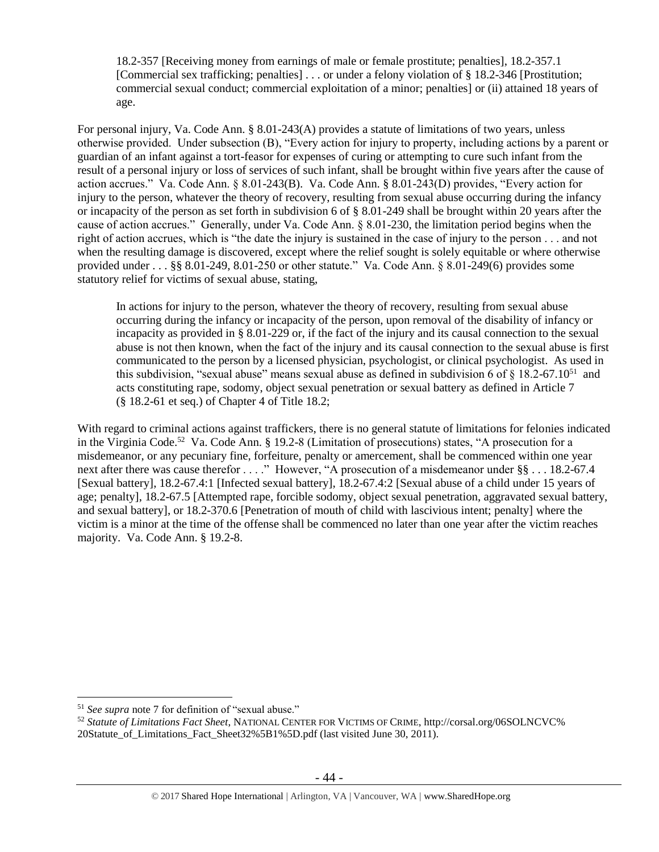18.2-357 [Receiving money from earnings of male or female prostitute; penalties], 18.2-357.1 [Commercial sex trafficking; penalties] . . . or under a felony violation of § 18.2-346 [Prostitution; commercial sexual conduct; commercial exploitation of a minor; penalties] or (ii) attained 18 years of age.

For personal injury, Va. Code Ann. § 8.01-243(A) provides a statute of limitations of two years, unless otherwise provided. Under subsection (B), "Every action for injury to property, including actions by a parent or guardian of an infant against a tort-feasor for expenses of curing or attempting to cure such infant from the result of a personal injury or loss of services of such infant, shall be brought within five years after the cause of action accrues." Va. Code Ann. § 8.01-243(B). Va. Code Ann. § 8.01-243(D) provides, "Every action for injury to the person, whatever the theory of recovery, resulting from sexual abuse occurring during the infancy or incapacity of the person as set forth in subdivision 6 of § 8.01-249 shall be brought within 20 years after the cause of action accrues." Generally, under Va. Code Ann. § 8.01-230, the limitation period begins when the right of action accrues, which is "the date the injury is sustained in the case of injury to the person . . . and not when the resulting damage is discovered, except where the relief sought is solely equitable or where otherwise provided under . . . §§ 8.01-249, 8.01-250 or other statute." Va. Code Ann. § 8.01-249(6) provides some statutory relief for victims of sexual abuse, stating,

In actions for injury to the person, whatever the theory of recovery, resulting from sexual abuse occurring during the infancy or incapacity of the person, upon removal of the disability of infancy or incapacity as provided in § 8.01-229 or, if the fact of the injury and its causal connection to the sexual abuse is not then known, when the fact of the injury and its causal connection to the sexual abuse is first communicated to the person by a licensed physician, psychologist, or clinical psychologist. As used in this subdivision, "sexual abuse" means sexual abuse as defined in subdivision 6 of  $\S 18.2$ -67.10<sup>51</sup> and acts constituting rape, sodomy, object sexual penetration or sexual battery as defined in Article 7 (§ 18.2-61 et seq.) of Chapter 4 of Title 18.2;

With regard to criminal actions against traffickers, there is no general statute of limitations for felonies indicated in the Virginia Code.<sup>52</sup> Va. Code Ann. § 19.2-8 (Limitation of prosecutions) states, "A prosecution for a misdemeanor, or any pecuniary fine, forfeiture, penalty or amercement, shall be commenced within one year next after there was cause therefor . . . ." However, "A prosecution of a misdemeanor under §§ . . . 18.2-67.4 [Sexual battery], 18.2-67.4:1 [Infected sexual battery], 18.2-67.4:2 [Sexual abuse of a child under 15 years of age; penalty], 18.2-67.5 [Attempted rape, forcible sodomy, object sexual penetration, aggravated sexual battery, and sexual battery], or 18.2-370.6 [Penetration of mouth of child with lascivious intent; penalty] where the victim is a minor at the time of the offense shall be commenced no later than one year after the victim reaches majority. Va. Code Ann. § 19.2-8.

<sup>51</sup> *See supra* note [7](#page-4-0) for definition of "sexual abuse."

<sup>52</sup> *Statute of Limitations Fact Sheet*, NATIONAL CENTER FOR VICTIMS OF CRIME, http://corsal.org/06SOLNCVC% 20Statute\_of\_Limitations\_Fact\_Sheet32%5B1%5D.pdf (last visited June 30, 2011).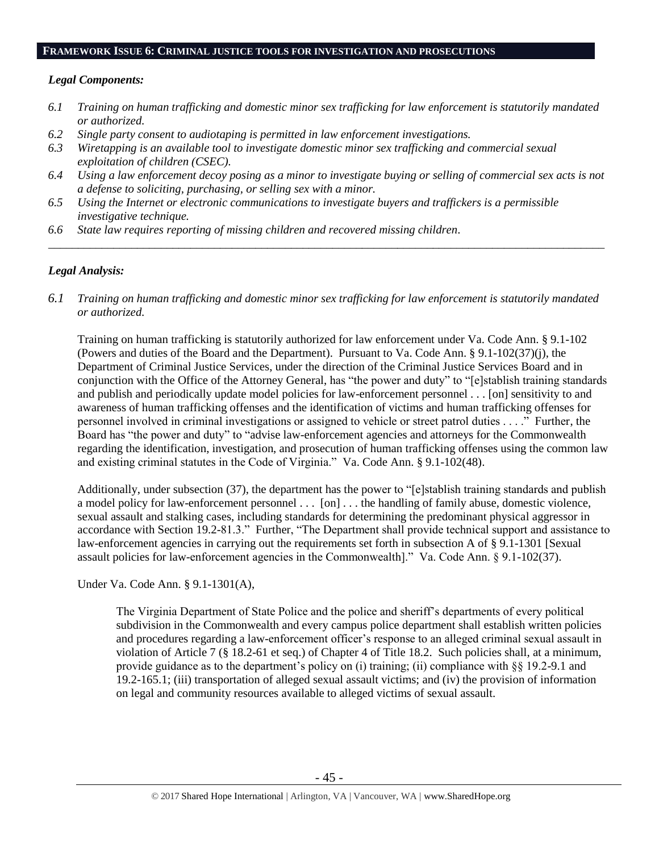#### **FRAMEWORK ISSUE 6: CRIMINAL JUSTICE TOOLS FOR INVESTIGATION AND PROSECUTIONS**

#### *Legal Components:*

- *6.1 Training on human trafficking and domestic minor sex trafficking for law enforcement is statutorily mandated or authorized.*
- *6.2 Single party consent to audiotaping is permitted in law enforcement investigations.*
- *6.3 Wiretapping is an available tool to investigate domestic minor sex trafficking and commercial sexual exploitation of children (CSEC).*
- *6.4 Using a law enforcement decoy posing as a minor to investigate buying or selling of commercial sex acts is not a defense to soliciting, purchasing, or selling sex with a minor.*

*\_\_\_\_\_\_\_\_\_\_\_\_\_\_\_\_\_\_\_\_\_\_\_\_\_\_\_\_\_\_\_\_\_\_\_\_\_\_\_\_\_\_\_\_\_\_\_\_\_\_\_\_\_\_\_\_\_\_\_\_\_\_\_\_\_\_\_\_\_\_\_\_\_\_\_\_\_\_\_\_\_\_\_\_\_\_\_\_\_\_\_\_\_\_*

- *6.5 Using the Internet or electronic communications to investigate buyers and traffickers is a permissible investigative technique.*
- *6.6 State law requires reporting of missing children and recovered missing children.*

#### *Legal Analysis:*

*6.1 Training on human trafficking and domestic minor sex trafficking for law enforcement is statutorily mandated or authorized.*

Training on human trafficking is statutorily authorized for law enforcement under Va. Code Ann. § 9.1-102 (Powers and duties of the Board and the Department). Pursuant to Va. Code Ann. § 9.1-102(37)(j), the Department of Criminal Justice Services, under the direction of the Criminal Justice Services Board and in conjunction with the Office of the Attorney General, has "the power and duty" to "[e]stablish training standards and publish and periodically update model policies for law-enforcement personnel . . . [on] sensitivity to and awareness of human trafficking offenses and the identification of victims and human trafficking offenses for personnel involved in criminal investigations or assigned to vehicle or street patrol duties . . . ." Further, the Board has "the power and duty" to "advise law-enforcement agencies and attorneys for the Commonwealth regarding the identification, investigation, and prosecution of human trafficking offenses using the common law and existing criminal statutes in the Code of Virginia." Va. Code Ann. § 9.1-102(48).

Additionally, under subsection (37), the department has the power to "[e]stablish training standards and publish a model policy for law-enforcement personnel . . . [on] . . . the handling of family abuse, domestic violence, sexual assault and stalking cases, including standards for determining the predominant physical aggressor in accordance with Section 19.2-81.3." Further, "The Department shall provide technical support and assistance to law-enforcement agencies in carrying out the requirements set forth in subsection A of § 9.1-1301 [Sexual assault policies for law-enforcement agencies in the Commonwealth]." Va. Code Ann. § 9.1-102(37).

Under Va. Code Ann. § 9.1-1301(A),

The Virginia Department of State Police and the police and sheriff's departments of every political subdivision in the Commonwealth and every campus police department shall establish written policies and procedures regarding a law-enforcement officer's response to an alleged criminal sexual assault in violation of Article 7 (§ 18.2-61 et seq.) of Chapter 4 of Title 18.2. Such policies shall, at a minimum, provide guidance as to the department's policy on (i) training; (ii) compliance with §§ 19.2-9.1 and 19.2-165.1; (iii) transportation of alleged sexual assault victims; and (iv) the provision of information on legal and community resources available to alleged victims of sexual assault.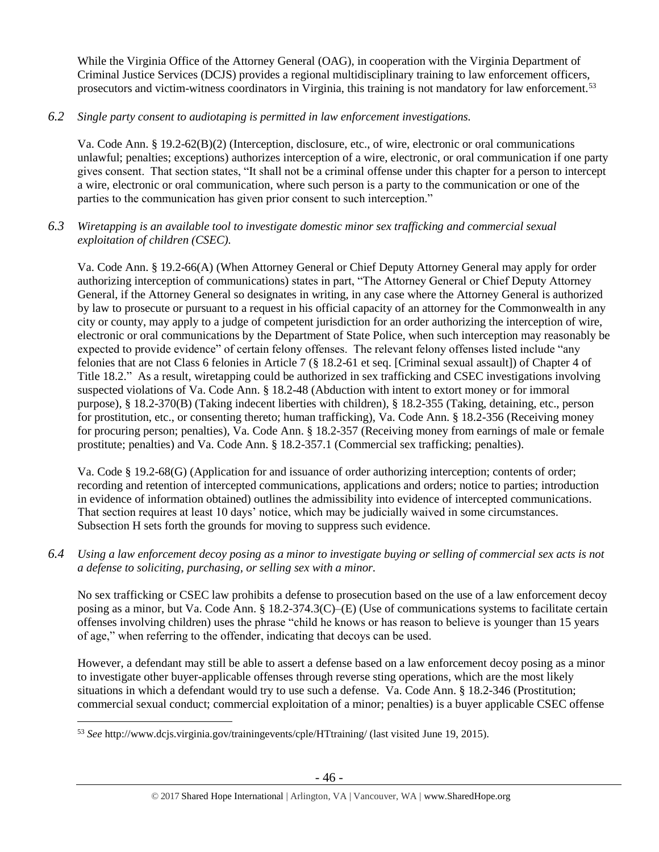While the Virginia Office of the Attorney General (OAG), in cooperation with the Virginia Department of Criminal Justice Services (DCJS) provides a regional multidisciplinary training to law enforcement officers, prosecutors and victim-witness coordinators in Virginia, this training is not mandatory for law enforcement.<sup>53</sup>

*6.2 Single party consent to audiotaping is permitted in law enforcement investigations.*

Va. Code Ann. § 19.2-62(B)(2) (Interception, disclosure, etc., of wire, electronic or oral communications unlawful; penalties; exceptions) authorizes interception of a wire, electronic, or oral communication if one party gives consent. That section states, "It shall not be a criminal offense under this chapter for a person to intercept a wire, electronic or oral communication, where such person is a party to the communication or one of the parties to the communication has given prior consent to such interception."

*6.3 Wiretapping is an available tool to investigate domestic minor sex trafficking and commercial sexual exploitation of children (CSEC).* 

Va. Code Ann. § 19.2-66(A) (When Attorney General or Chief Deputy Attorney General may apply for order authorizing interception of communications) states in part, "The Attorney General or Chief Deputy Attorney General, if the Attorney General so designates in writing, in any case where the Attorney General is authorized by law to prosecute or pursuant to a request in his official capacity of an attorney for the Commonwealth in any city or county, may apply to a judge of competent jurisdiction for an order authorizing the interception of wire, electronic or oral communications by the Department of State Police, when such interception may reasonably be expected to provide evidence" of certain felony offenses. The relevant felony offenses listed include "any felonies that are not Class 6 felonies in Article 7 (§ 18.2-61 et seq. [Criminal sexual assault]) of Chapter 4 of Title 18.2." As a result, wiretapping could be authorized in sex trafficking and CSEC investigations involving suspected violations of Va. Code Ann. § 18.2-48 (Abduction with intent to extort money or for immoral purpose), § 18.2-370(B) (Taking indecent liberties with children), § 18.2-355 (Taking, detaining, etc., person for prostitution, etc., or consenting thereto; human trafficking), Va. Code Ann. § 18.2-356 (Receiving money for procuring person; penalties), Va. Code Ann. § 18.2-357 (Receiving money from earnings of male or female prostitute; penalties) and Va. Code Ann. § 18.2-357.1 (Commercial sex trafficking; penalties).

Va. Code § 19.2-68(G) (Application for and issuance of order authorizing interception; contents of order; recording and retention of intercepted communications, applications and orders; notice to parties; introduction in evidence of information obtained) outlines the admissibility into evidence of intercepted communications. That section requires at least 10 days' notice, which may be judicially waived in some circumstances. Subsection H sets forth the grounds for moving to suppress such evidence.

*6.4 Using a law enforcement decoy posing as a minor to investigate buying or selling of commercial sex acts is not a defense to soliciting, purchasing, or selling sex with a minor.*

No sex trafficking or CSEC law prohibits a defense to prosecution based on the use of a law enforcement decoy posing as a minor, but Va. Code Ann. § 18.2-374.3(C)–(E) (Use of communications systems to facilitate certain offenses involving children) uses the phrase "child he knows or has reason to believe is younger than 15 years of age," when referring to the offender, indicating that decoys can be used.

However, a defendant may still be able to assert a defense based on a law enforcement decoy posing as a minor to investigate other buyer-applicable offenses through reverse sting operations, which are the most likely situations in which a defendant would try to use such a defense. Va. Code Ann. § 18.2-346 (Prostitution; commercial sexual conduct; commercial exploitation of a minor; penalties) is a buyer applicable CSEC offense

 $\overline{a}$ <sup>53</sup> *See* http://www.dcjs.virginia.gov/trainingevents/cple/HTtraining/ (last visited June 19, 2015).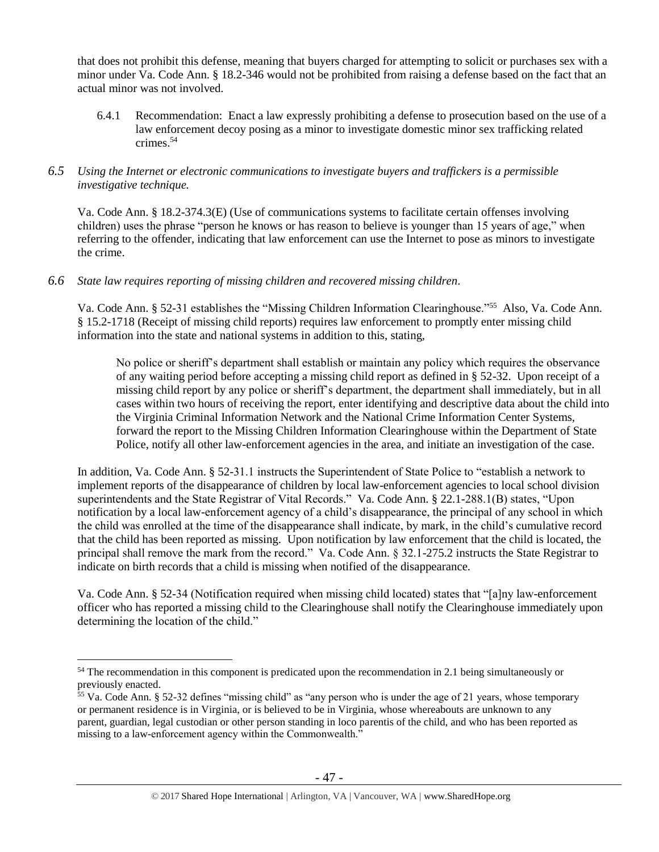that does not prohibit this defense, meaning that buyers charged for attempting to solicit or purchases sex with a minor under Va. Code Ann. § 18.2-346 would not be prohibited from raising a defense based on the fact that an actual minor was not involved.

6.4.1 Recommendation: Enact a law expressly prohibiting a defense to prosecution based on the use of a law enforcement decoy posing as a minor to investigate domestic minor sex trafficking related crimes.<sup>54</sup>

# *6.5 Using the Internet or electronic communications to investigate buyers and traffickers is a permissible investigative technique.*

Va. Code Ann. § 18.2-374.3(E) (Use of communications systems to facilitate certain offenses involving children) uses the phrase "person he knows or has reason to believe is younger than 15 years of age," when referring to the offender, indicating that law enforcement can use the Internet to pose as minors to investigate the crime.

# *6.6 State law requires reporting of missing children and recovered missing children.*

Va. Code Ann. § 52-31 establishes the "Missing Children Information Clearinghouse."<sup>55</sup> Also, Va. Code Ann. § 15.2-1718 (Receipt of missing child reports) requires law enforcement to promptly enter missing child information into the state and national systems in addition to this, stating,

No police or sheriff's department shall establish or maintain any policy which requires the observance of any waiting period before accepting a missing child report as defined in § 52-32. Upon receipt of a missing child report by any police or sheriff's department, the department shall immediately, but in all cases within two hours of receiving the report, enter identifying and descriptive data about the child into the Virginia Criminal Information Network and the National Crime Information Center Systems, forward the report to the Missing Children Information Clearinghouse within the Department of State Police, notify all other law-enforcement agencies in the area, and initiate an investigation of the case.

In addition, Va. Code Ann. § 52-31.1 instructs the Superintendent of State Police to "establish a network to implement reports of the disappearance of children by local law-enforcement agencies to local school division superintendents and the State Registrar of Vital Records." Va. Code Ann. § 22.1-288.1(B) states, "Upon notification by a local law-enforcement agency of a child's disappearance, the principal of any school in which the child was enrolled at the time of the disappearance shall indicate, by mark, in the child's cumulative record that the child has been reported as missing. Upon notification by law enforcement that the child is located, the principal shall remove the mark from the record." Va. Code Ann. § 32.1-275.2 instructs the State Registrar to indicate on birth records that a child is missing when notified of the disappearance.

Va. Code Ann. § 52-34 (Notification required when missing child located) states that "[a]ny law-enforcement officer who has reported a missing child to the Clearinghouse shall notify the Clearinghouse immediately upon determining the location of the child."

<sup>&</sup>lt;sup>54</sup> The recommendation in this component is predicated upon the recommendation in 2.1 being simultaneously or previously enacted.

<sup>&</sup>lt;sup>55</sup> Va. Code Ann. § 52-32 defines "missing child" as "any person who is under the age of 21 years, whose temporary or permanent residence is in Virginia, or is believed to be in Virginia, whose whereabouts are unknown to any parent, guardian, legal custodian or other person standing in loco parentis of the child, and who has been reported as missing to a law-enforcement agency within the Commonwealth."